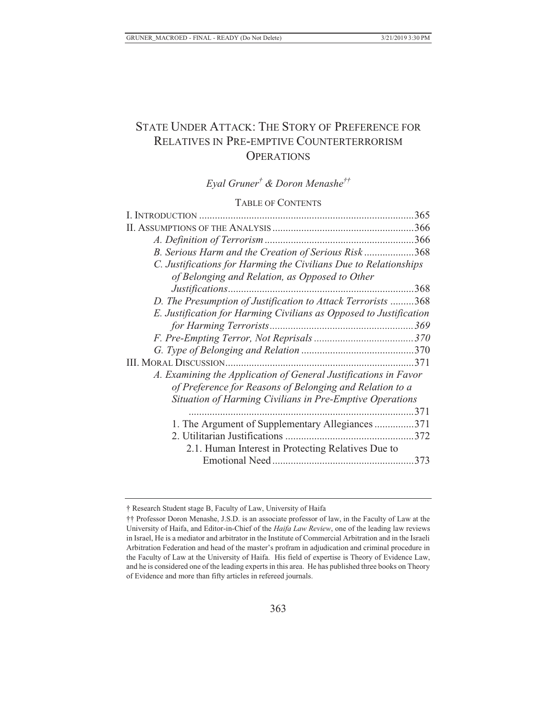# STATE UNDER ATTACK: THE STORY OF PREFERENCE FOR RELATIVES IN PRE-EMPTIVE COUNTERTERRORISM **OPERATIONS**

# *Eyal Gruner† & Doron Menashe††*

## TABLE OF CONTENTS

| I. INTRODUCTION                                                    |     |
|--------------------------------------------------------------------|-----|
|                                                                    |     |
|                                                                    |     |
| B. Serious Harm and the Creation of Serious Risk368                |     |
| C. Justifications for Harming the Civilians Due to Relationships   |     |
| of Belonging and Relation, as Opposed to Other                     |     |
|                                                                    |     |
| D. The Presumption of Justification to Attack Terrorists 368       |     |
| E. Justification for Harming Civilians as Opposed to Justification |     |
|                                                                    |     |
|                                                                    |     |
|                                                                    |     |
|                                                                    |     |
| A. Examining the Application of General Justifications in Favor    |     |
| of Preference for Reasons of Belonging and Relation to a           |     |
| Situation of Harming Civilians in Pre-Emptive Operations           |     |
|                                                                    | 371 |
| 1. The Argument of Supplementary Allegiances371                    |     |
|                                                                    |     |
| 2.1. Human Interest in Protecting Relatives Due to                 |     |
|                                                                    |     |

<sup>†</sup> Research Student stage B, Faculty of Law, University of Haifa

<sup>††</sup> Professor Doron Menashe, J.S.D. is an associate professor of law, in the Faculty of Law at the University of Haifa, and Editor-in-Chief of the *Haifa Law Review*, one of the leading law reviews in Israel, He is a mediator and arbitrator in the Institute of Commercial Arbitration and in the Israeli Arbitration Federation and head of the master's profram in adjudication and criminal procedure in the Faculty of Law at the University of Haifa. His field of expertise is Theory of Evidence Law, and he is considered one of the leading experts in this area. He has published three books on Theory of Evidence and more than fifty articles in refereed journals.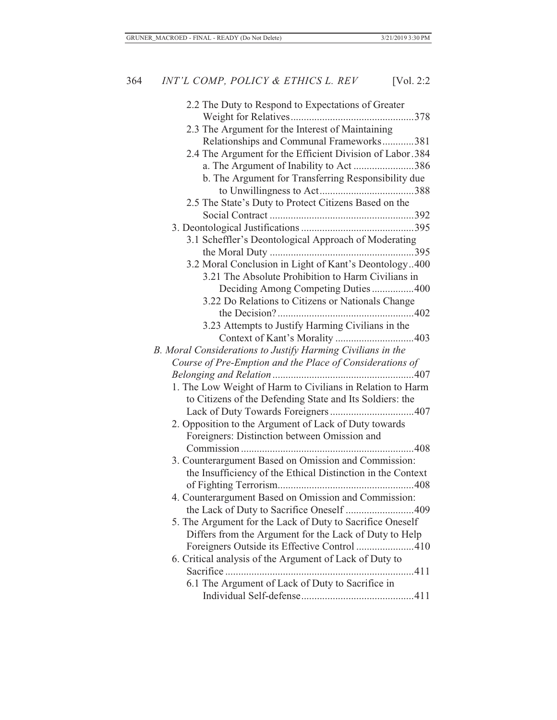| 2.2 The Duty to Respond to Expectations of Greater          |
|-------------------------------------------------------------|
|                                                             |
| 2.3 The Argument for the Interest of Maintaining            |
| Relationships and Communal Frameworks381                    |
| 2.4 The Argument for the Efficient Division of Labor.384    |
| a. The Argument of Inability to Act 386                     |
| b. The Argument for Transferring Responsibility due         |
|                                                             |
| 2.5 The State's Duty to Protect Citizens Based on the       |
|                                                             |
|                                                             |
| 3.1 Scheffler's Deontological Approach of Moderating        |
|                                                             |
| 3.2 Moral Conclusion in Light of Kant's Deontology400       |
| 3.21 The Absolute Prohibition to Harm Civilians in          |
| Deciding Among Competing Duties400                          |
| 3.22 Do Relations to Citizens or Nationals Change           |
|                                                             |
| 3.23 Attempts to Justify Harming Civilians in the           |
|                                                             |
| B. Moral Considerations to Justify Harming Civilians in the |
| Course of Pre-Emption and the Place of Considerations of    |
|                                                             |
| 1. The Low Weight of Harm to Civilians in Relation to Harm  |
| to Citizens of the Defending State and Its Soldiers: the    |
|                                                             |
| 2. Opposition to the Argument of Lack of Duty towards       |
| Foreigners: Distinction between Omission and                |
|                                                             |
| 3. Counterargument Based on Omission and Commission:        |
| the Insufficiency of the Ethical Distinction in the Context |
|                                                             |
| 4. Counterargument Based on Omission and Commission:        |
| the Lack of Duty to Sacrifice Oneself 409                   |
| 5. The Argument for the Lack of Duty to Sacrifice Oneself   |
| Differs from the Argument for the Lack of Duty to Help      |
| Foreigners Outside its Effective Control 410                |
| 6. Critical analysis of the Argument of Lack of Duty to     |
|                                                             |
| 6.1 The Argument of Lack of Duty to Sacrifice in            |
|                                                             |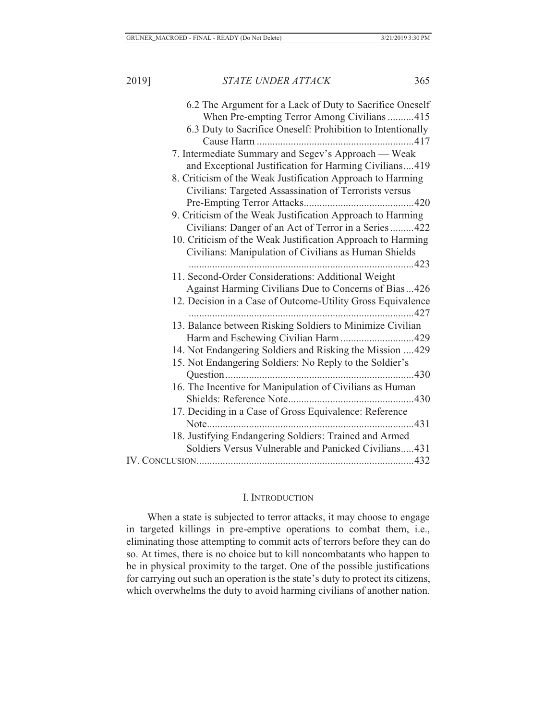| 6.2 The Argument for a Lack of Duty to Sacrifice Oneself    |
|-------------------------------------------------------------|
| When Pre-empting Terror Among Civilians 415                 |
| 6.3 Duty to Sacrifice Oneself: Prohibition to Intentionally |
|                                                             |
| 7. Intermediate Summary and Segev's Approach — Weak         |
| and Exceptional Justification for Harming Civilians419      |
| 8. Criticism of the Weak Justification Approach to Harming  |
| Civilians: Targeted Assassination of Terrorists versus      |
|                                                             |
| 9. Criticism of the Weak Justification Approach to Harming  |
| Civilians: Danger of an Act of Terror in a Series422        |
| 10. Criticism of the Weak Justification Approach to Harming |
| Civilians: Manipulation of Civilians as Human Shields       |
|                                                             |
| 11. Second-Order Considerations: Additional Weight          |
| Against Harming Civilians Due to Concerns of Bias426        |
| 12. Decision in a Case of Outcome-Utility Gross Equivalence |
|                                                             |
| 13. Balance between Risking Soldiers to Minimize Civilian   |
| Harm and Eschewing Civilian Harm429                         |
| 14. Not Endangering Soldiers and Risking the Mission  429   |
| 15. Not Endangering Soldiers: No Reply to the Soldier's     |
|                                                             |
| 16. The Incentive for Manipulation of Civilians as Human    |
|                                                             |
| 17. Deciding in a Case of Gross Equivalence: Reference      |
|                                                             |
| 18. Justifying Endangering Soldiers: Trained and Armed      |
| Soldiers Versus Vulnerable and Panicked Civilians431        |
|                                                             |

## I. INTRODUCTION

When a state is subjected to terror attacks, it may choose to engage in targeted killings in pre-emptive operations to combat them, i.e., eliminating those attempting to commit acts of terrors before they can do so. At times, there is no choice but to kill noncombatants who happen to be in physical proximity to the target. One of the possible justifications for carrying out such an operation is the state's duty to protect its citizens, which overwhelms the duty to avoid harming civilians of another nation.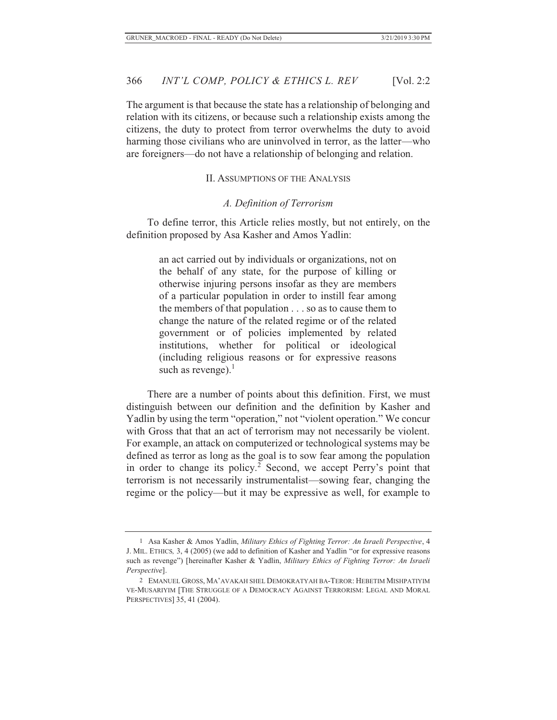The argument is that because the state has a relationship of belonging and relation with its citizens, or because such a relationship exists among the citizens, the duty to protect from terror overwhelms the duty to avoid harming those civilians who are uninvolved in terror, as the latter—who are foreigners—do not have a relationship of belonging and relation.

#### II. ASSUMPTIONS OF THE ANALYSIS

#### *A. Definition of Terrorism*

To define terror, this Article relies mostly, but not entirely, on the definition proposed by Asa Kasher and Amos Yadlin:

> an act carried out by individuals or organizations, not on the behalf of any state, for the purpose of killing or otherwise injuring persons insofar as they are members of a particular population in order to instill fear among the members of that population . . . so as to cause them to change the nature of the related regime or of the related government or of policies implemented by related institutions, whether for political or ideological (including religious reasons or for expressive reasons such as revenge). $<sup>1</sup>$ </sup>

There are a number of points about this definition. First, we must distinguish between our definition and the definition by Kasher and Yadlin by using the term "operation," not "violent operation." We concur with Gross that that an act of terrorism may not necessarily be violent. For example, an attack on computerized or technological systems may be defined as terror as long as the goal is to sow fear among the population in order to change its policy.<sup>2</sup> Second, we accept Perry's point that terrorism is not necessarily instrumentalist—sowing fear, changing the regime or the policy—but it may be expressive as well, for example to

<sup>1</sup> Asa Kasher & Amos Yadlin, *Military Ethics of Fighting Terror: An Israeli Perspective*, 4 J. MIL. ETHICS*,* 3, 4 (2005) (we add to definition of Kasher and Yadlin "or for expressive reasons such as revenge") [hereinafter Kasher & Yadlin, *Military Ethics of Fighting Terror: An Israeli Perspective*].

<sup>2</sup> EMANUEL GROSS, MA'AVAKAH SHEL DEMOKRATYAH BA-TEROR: HEBETIM MISHPATIYIM VE-MUSARIYIM [THE STRUGGLE OF A DEMOCRACY AGAINST TERRORISM: LEGAL AND MORAL PERSPECTIVES] 35, 41 (2004).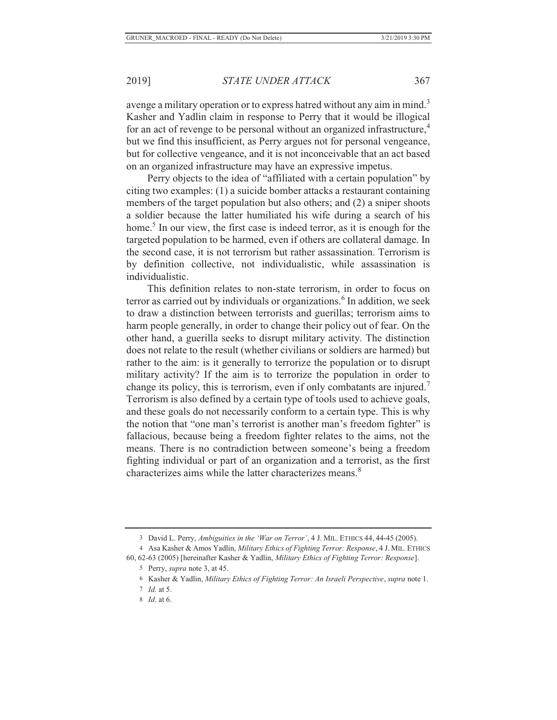avenge a military operation or to express hatred without any aim in mind.<sup>3</sup> Kasher and Yadlin claim in response to Perry that it would be illogical for an act of revenge to be personal without an organized infrastructure,<sup>4</sup> but we find this insufficient, as Perry argues not for personal vengeance, but for collective vengeance, and it is not inconceivable that an act based on an organized infrastructure may have an expressive impetus.

Perry objects to the idea of "affiliated with a certain population" by citing two examples: (1) a suicide bomber attacks a restaurant containing members of the target population but also others; and (2) a sniper shoots a soldier because the latter humiliated his wife during a search of his home.<sup>5</sup> In our view, the first case is indeed terror, as it is enough for the targeted population to be harmed, even if others are collateral damage. In the second case, it is not terrorism but rather assassination. Terrorism is by definition collective, not individualistic, while assassination is individualistic.

This definition relates to non-state terrorism, in order to focus on terror as carried out by individuals or organizations.<sup>6</sup> In addition, we seek to draw a distinction between terrorists and guerillas; terrorism aims to harm people generally, in order to change their policy out of fear. On the other hand, a guerilla seeks to disrupt military activity. The distinction does not relate to the result (whether civilians or soldiers are harmed) but rather to the aim: is it generally to terrorize the population or to disrupt military activity? If the aim is to terrorize the population in order to change its policy, this is terrorism, even if only combatants are injured.<sup>7</sup> Terrorism is also defined by a certain type of tools used to achieve goals, and these goals do not necessarily conform to a certain type. This is why the notion that "one man's terrorist is another man's freedom fighter" is fallacious, because being a freedom fighter relates to the aims, not the means. There is no contradiction between someone's being a freedom fighting individual or part of an organization and a terrorist, as the first characterizes aims while the latter characterizes means.<sup>8</sup>

<sup>3</sup> David L. Perry, *Ambiguities in the 'War on Terror'*, 4 J. MIL. ETHICS 44, 44-45 (2005).

<sup>4</sup> Asa Kasher & Amos Yadlin, *Military Ethics of Fighting Terror: Response*, 4 J. MIL. ETHICS 60, 62-63 (2005) [hereinafter Kasher & Yadlin, *Military Ethics of Fighting Terror: Response*].

<sup>5</sup> Perry, *supra* note 3, at 45.

<sup>6</sup> Kasher & Yadlin, *Military Ethics of Fighting Terror: An Israeli Perspective*, *supra* note 1.

<sup>7</sup> *Id.* at 5.

<sup>8</sup> *Id*. at 6.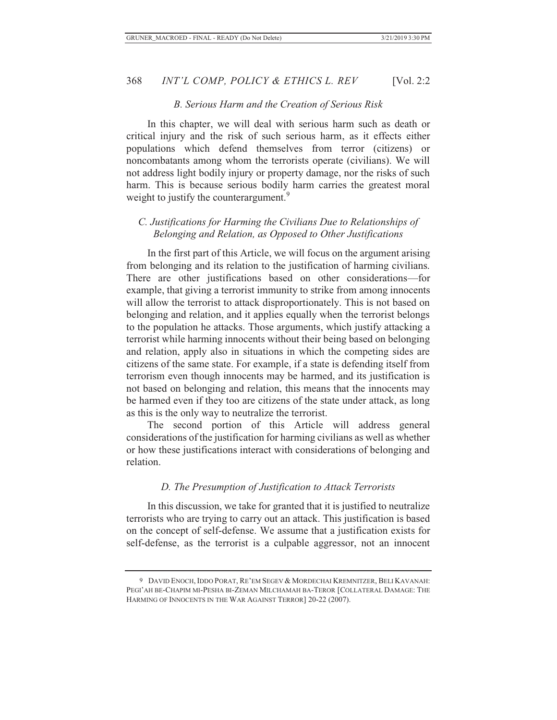#### *B. Serious Harm and the Creation of Serious Risk*

In this chapter, we will deal with serious harm such as death or critical injury and the risk of such serious harm, as it effects either populations which defend themselves from terror (citizens) or noncombatants among whom the terrorists operate (civilians). We will not address light bodily injury or property damage, nor the risks of such harm. This is because serious bodily harm carries the greatest moral weight to justify the counterargument.<sup>9</sup>

## *C. Justifications for Harming the Civilians Due to Relationships of Belonging and Relation, as Opposed to Other Justifications*

In the first part of this Article, we will focus on the argument arising from belonging and its relation to the justification of harming civilians. There are other justifications based on other considerations—for example, that giving a terrorist immunity to strike from among innocents will allow the terrorist to attack disproportionately. This is not based on belonging and relation, and it applies equally when the terrorist belongs to the population he attacks. Those arguments, which justify attacking a terrorist while harming innocents without their being based on belonging and relation, apply also in situations in which the competing sides are citizens of the same state. For example, if a state is defending itself from terrorism even though innocents may be harmed, and its justification is not based on belonging and relation, this means that the innocents may be harmed even if they too are citizens of the state under attack, as long as this is the only way to neutralize the terrorist.

The second portion of this Article will address general considerations of the justification for harming civilians as well as whether or how these justifications interact with considerations of belonging and relation.

#### *D. The Presumption of Justification to Attack Terrorists*

In this discussion, we take for granted that it is justified to neutralize terrorists who are trying to carry out an attack. This justification is based on the concept of self-defense. We assume that a justification exists for self-defense, as the terrorist is a culpable aggressor, not an innocent

<sup>9</sup> DAVID ENOCH, IDDO PORAT, RE'EM SEGEV & MORDECHAI KREMNITZER, BELI KAVANAH: PEGI'AH BE-CHAPIM MI-PESHA BI-ZEMAN MILCHAMAH BA-TEROR [COLLATERAL DAMAGE: THE HARMING OF INNOCENTS IN THE WAR AGAINST TERROR] 20-22 (2007).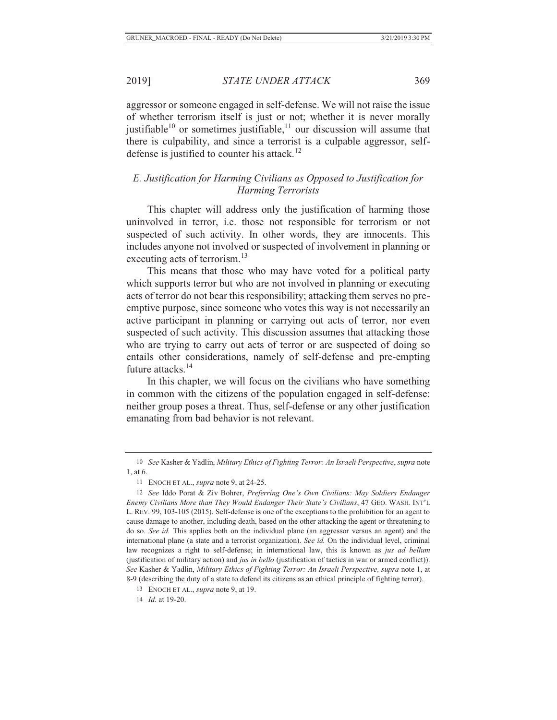aggressor or someone engaged in self-defense. We will not raise the issue of whether terrorism itself is just or not; whether it is never morally justifiable<sup>10</sup> or sometimes justifiable,<sup>11</sup> our discussion will assume that there is culpability, and since a terrorist is a culpable aggressor, selfdefense is justified to counter his attack.<sup>12</sup>

# *E. Justification for Harming Civilians as Opposed to Justification for Harming Terrorists*

This chapter will address only the justification of harming those uninvolved in terror, i.e. those not responsible for terrorism or not suspected of such activity. In other words, they are innocents. This includes anyone not involved or suspected of involvement in planning or executing acts of terrorism.<sup>13</sup>

This means that those who may have voted for a political party which supports terror but who are not involved in planning or executing acts of terror do not bear this responsibility; attacking them serves no preemptive purpose, since someone who votes this way is not necessarily an active participant in planning or carrying out acts of terror, nor even suspected of such activity. This discussion assumes that attacking those who are trying to carry out acts of terror or are suspected of doing so entails other considerations, namely of self-defense and pre-empting future attacks.<sup>14</sup>

In this chapter, we will focus on the civilians who have something in common with the citizens of the population engaged in self-defense: neither group poses a threat. Thus, self-defense or any other justification emanating from bad behavior is not relevant.

14 *Id.* at 19-20.

<sup>10</sup> *See* Kasher & Yadlin, *Military Ethics of Fighting Terror: An Israeli Perspective*, *supra* note 1, at 6.

<sup>11</sup> ENOCH ET AL., *supra* note 9, at 24-25.

<sup>12</sup> *See* Iddo Porat & Ziv Bohrer, *Preferring One's Own Civilians: May Soldiers Endanger Enemy Civilians More than They Would Endanger Their State's Civilians*, 47 GEO. WASH. INT'L L. REV. 99, 103-105 (2015). Self-defense is one of the exceptions to the prohibition for an agent to cause damage to another, including death, based on the other attacking the agent or threatening to do so. *See id.* This applies both on the individual plane (an aggressor versus an agent) and the international plane (a state and a terrorist organization). *See id.* On the individual level, criminal law recognizes a right to self-defense; in international law, this is known as *jus ad bellum* (justification of military action) and *jus in bello* (justification of tactics in war or armed conflict)). *See* Kasher & Yadlin, *Military Ethics of Fighting Terror: An Israeli Perspective, supra* note 1, at 8-9 (describing the duty of a state to defend its citizens as an ethical principle of fighting terror).

<sup>13</sup> ENOCH ET AL., *supra* note 9, at 19.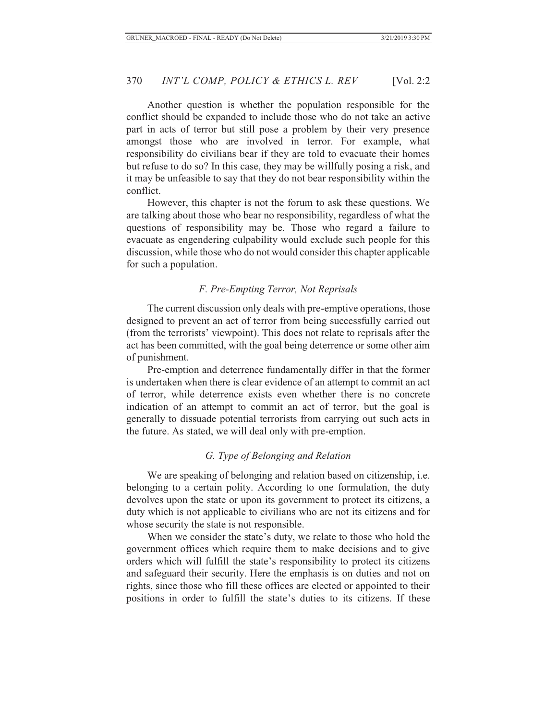Another question is whether the population responsible for the conflict should be expanded to include those who do not take an active part in acts of terror but still pose a problem by their very presence amongst those who are involved in terror. For example, what responsibility do civilians bear if they are told to evacuate their homes but refuse to do so? In this case, they may be willfully posing a risk, and it may be unfeasible to say that they do not bear responsibility within the conflict.

However, this chapter is not the forum to ask these questions. We are talking about those who bear no responsibility, regardless of what the questions of responsibility may be. Those who regard a failure to evacuate as engendering culpability would exclude such people for this discussion, while those who do not would consider this chapter applicable for such a population.

## *F. Pre-Empting Terror, Not Reprisals*

The current discussion only deals with pre-emptive operations, those designed to prevent an act of terror from being successfully carried out (from the terrorists' viewpoint). This does not relate to reprisals after the act has been committed, with the goal being deterrence or some other aim of punishment.

Pre-emption and deterrence fundamentally differ in that the former is undertaken when there is clear evidence of an attempt to commit an act of terror, while deterrence exists even whether there is no concrete indication of an attempt to commit an act of terror, but the goal is generally to dissuade potential terrorists from carrying out such acts in the future. As stated, we will deal only with pre-emption.

## *G. Type of Belonging and Relation*

We are speaking of belonging and relation based on citizenship, i.e. belonging to a certain polity. According to one formulation, the duty devolves upon the state or upon its government to protect its citizens, a duty which is not applicable to civilians who are not its citizens and for whose security the state is not responsible.

When we consider the state's duty, we relate to those who hold the government offices which require them to make decisions and to give orders which will fulfill the state's responsibility to protect its citizens and safeguard their security. Here the emphasis is on duties and not on rights, since those who fill these offices are elected or appointed to their positions in order to fulfill the state's duties to its citizens. If these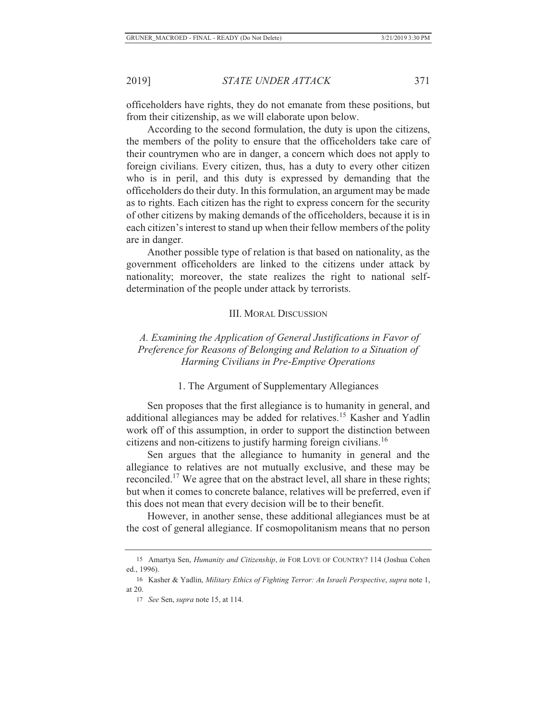officeholders have rights, they do not emanate from these positions, but from their citizenship, as we will elaborate upon below.

According to the second formulation, the duty is upon the citizens, the members of the polity to ensure that the officeholders take care of their countrymen who are in danger, a concern which does not apply to foreign civilians. Every citizen, thus, has a duty to every other citizen who is in peril, and this duty is expressed by demanding that the officeholders do their duty. In this formulation, an argument may be made as to rights. Each citizen has the right to express concern for the security of other citizens by making demands of the officeholders, because it is in each citizen's interest to stand up when their fellow members of the polity are in danger.

Another possible type of relation is that based on nationality, as the government officeholders are linked to the citizens under attack by nationality; moreover, the state realizes the right to national selfdetermination of the people under attack by terrorists.

## III. MORAL DISCUSSION

 *A. Examining the Application of General Justifications in Favor of Preference for Reasons of Belonging and Relation to a Situation of Harming Civilians in Pre-Emptive Operations* 

#### 1. The Argument of Supplementary Allegiances

Sen proposes that the first allegiance is to humanity in general, and additional allegiances may be added for relatives.15 Kasher and Yadlin work off of this assumption, in order to support the distinction between citizens and non-citizens to justify harming foreign civilians.<sup>16</sup>

Sen argues that the allegiance to humanity in general and the allegiance to relatives are not mutually exclusive, and these may be reconciled.17 We agree that on the abstract level, all share in these rights; but when it comes to concrete balance, relatives will be preferred, even if this does not mean that every decision will be to their benefit.

However, in another sense, these additional allegiances must be at the cost of general allegiance. If cosmopolitanism means that no person

<sup>15</sup> Amartya Sen, *Humanity and Citizenship*, *in* FOR LOVE OF COUNTRY? 114 (Joshua Cohen ed., 1996).

<sup>16</sup> Kasher & Yadlin, *Military Ethics of Fighting Terror: An Israeli Perspective*, *supra* note 1, at 20.

<sup>17</sup> *See* Sen, *supra* note 15, at 114.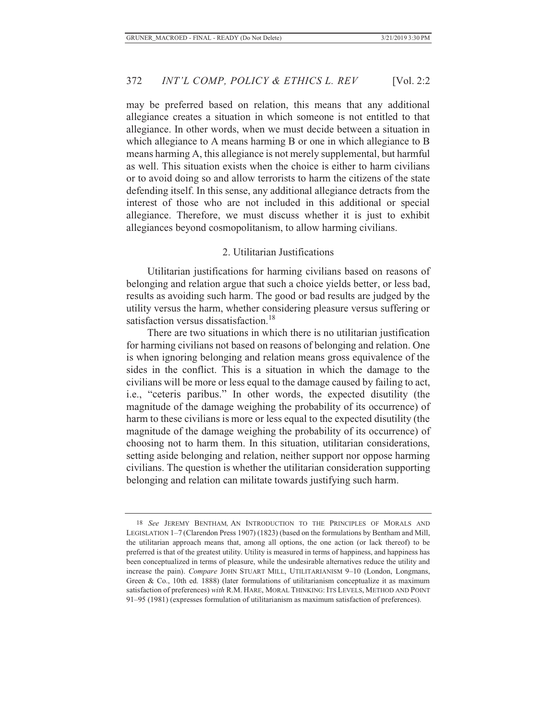may be preferred based on relation, this means that any additional allegiance creates a situation in which someone is not entitled to that allegiance. In other words, when we must decide between a situation in which allegiance to A means harming B or one in which allegiance to B means harming A, this allegiance is not merely supplemental, but harmful as well. This situation exists when the choice is either to harm civilians or to avoid doing so and allow terrorists to harm the citizens of the state defending itself. In this sense, any additional allegiance detracts from the interest of those who are not included in this additional or special allegiance. Therefore, we must discuss whether it is just to exhibit allegiances beyond cosmopolitanism, to allow harming civilians.

#### 2. Utilitarian Justifications

Utilitarian justifications for harming civilians based on reasons of belonging and relation argue that such a choice yields better, or less bad, results as avoiding such harm. The good or bad results are judged by the utility versus the harm, whether considering pleasure versus suffering or satisfaction versus dissatisfaction.<sup>18</sup>

There are two situations in which there is no utilitarian justification for harming civilians not based on reasons of belonging and relation. One is when ignoring belonging and relation means gross equivalence of the sides in the conflict. This is a situation in which the damage to the civilians will be more or less equal to the damage caused by failing to act, i.e., "ceteris paribus." In other words, the expected disutility (the magnitude of the damage weighing the probability of its occurrence) of harm to these civilians is more or less equal to the expected disutility (the magnitude of the damage weighing the probability of its occurrence) of choosing not to harm them. In this situation, utilitarian considerations, setting aside belonging and relation, neither support nor oppose harming civilians. The question is whether the utilitarian consideration supporting belonging and relation can militate towards justifying such harm.

<sup>18</sup> *See* JEREMY BENTHAM*,* AN INTRODUCTION TO THE PRINCIPLES OF MORALS AND LEGISLATION 1–7 (Clarendon Press 1907) (1823) (based on the formulations by Bentham and Mill, the utilitarian approach means that, among all options, the one action (or lack thereof) to be preferred is that of the greatest utility. Utility is measured in terms of happiness, and happiness has been conceptualized in terms of pleasure, while the undesirable alternatives reduce the utility and increase the pain). *Compare* JOHN STUART MILL, UTILITARIANISM 9–10 (London, Longmans, Green & Co., 10th ed. 1888) (later formulations of utilitarianism conceptualize it as maximum satisfaction of preferences) *with* R.M. HARE, MORAL THINKING: ITS LEVELS, METHOD AND POINT 91–95 (1981) (expresses formulation of utilitarianism as maximum satisfaction of preferences).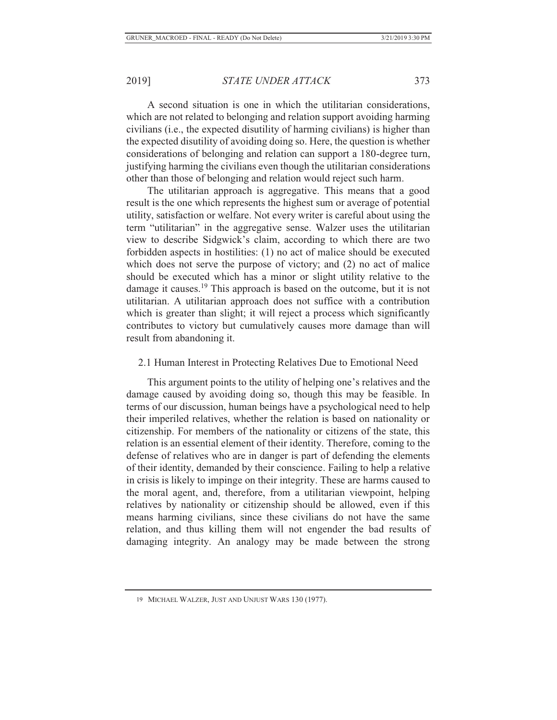A second situation is one in which the utilitarian considerations, which are not related to belonging and relation support avoiding harming civilians (i.e., the expected disutility of harming civilians) is higher than the expected disutility of avoiding doing so. Here, the question is whether considerations of belonging and relation can support a 180-degree turn, justifying harming the civilians even though the utilitarian considerations other than those of belonging and relation would reject such harm.

The utilitarian approach is aggregative. This means that a good result is the one which represents the highest sum or average of potential utility, satisfaction or welfare. Not every writer is careful about using the term "utilitarian" in the aggregative sense. Walzer uses the utilitarian view to describe Sidgwick's claim, according to which there are two forbidden aspects in hostilities: (1) no act of malice should be executed which does not serve the purpose of victory; and (2) no act of malice should be executed which has a minor or slight utility relative to the damage it causes.<sup>19</sup> This approach is based on the outcome, but it is not utilitarian. A utilitarian approach does not suffice with a contribution which is greater than slight; it will reject a process which significantly contributes to victory but cumulatively causes more damage than will result from abandoning it.

## 2.1 Human Interest in Protecting Relatives Due to Emotional Need

This argument points to the utility of helping one's relatives and the damage caused by avoiding doing so, though this may be feasible. In terms of our discussion, human beings have a psychological need to help their imperiled relatives, whether the relation is based on nationality or citizenship. For members of the nationality or citizens of the state, this relation is an essential element of their identity. Therefore, coming to the defense of relatives who are in danger is part of defending the elements of their identity, demanded by their conscience. Failing to help a relative in crisis is likely to impinge on their integrity. These are harms caused to the moral agent, and, therefore, from a utilitarian viewpoint, helping relatives by nationality or citizenship should be allowed, even if this means harming civilians, since these civilians do not have the same relation, and thus killing them will not engender the bad results of damaging integrity. An analogy may be made between the strong

<sup>19</sup> MICHAEL WALZER, JUST AND UNJUST WARS 130 (1977).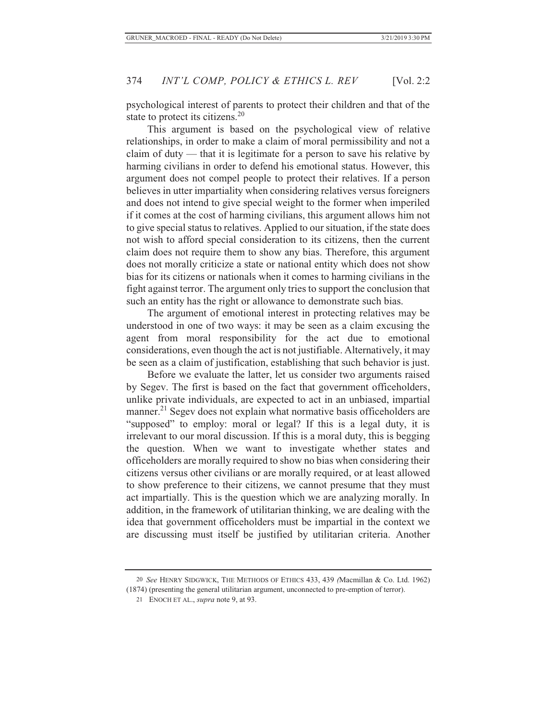psychological interest of parents to protect their children and that of the state to protect its citizens.<sup>20</sup>

This argument is based on the psychological view of relative relationships, in order to make a claim of moral permissibility and not a claim of duty — that it is legitimate for a person to save his relative by harming civilians in order to defend his emotional status. However, this argument does not compel people to protect their relatives. If a person believes in utter impartiality when considering relatives versus foreigners and does not intend to give special weight to the former when imperiled if it comes at the cost of harming civilians, this argument allows him not to give special status to relatives. Applied to our situation, if the state does not wish to afford special consideration to its citizens, then the current claim does not require them to show any bias. Therefore, this argument does not morally criticize a state or national entity which does not show bias for its citizens or nationals when it comes to harming civilians in the fight against terror. The argument only tries to support the conclusion that such an entity has the right or allowance to demonstrate such bias.

The argument of emotional interest in protecting relatives may be understood in one of two ways: it may be seen as a claim excusing the agent from moral responsibility for the act due to emotional considerations, even though the act is not justifiable. Alternatively, it may be seen as a claim of justification, establishing that such behavior is just.

Before we evaluate the latter, let us consider two arguments raised by Segev. The first is based on the fact that government officeholders, unlike private individuals, are expected to act in an unbiased, impartial manner.<sup>21</sup> Segev does not explain what normative basis officeholders are "supposed" to employ: moral or legal? If this is a legal duty, it is irrelevant to our moral discussion. If this is a moral duty, this is begging the question. When we want to investigate whether states and officeholders are morally required to show no bias when considering their citizens versus other civilians or are morally required, or at least allowed to show preference to their citizens, we cannot presume that they must act impartially. This is the question which we are analyzing morally. In addition, in the framework of utilitarian thinking, we are dealing with the idea that government officeholders must be impartial in the context we are discussing must itself be justified by utilitarian criteria. Another

<sup>20</sup> *See* HENRY SIDGWICK, THE METHODS OF ETHICS 433, 439 *(*Macmillan & Co. Ltd. 1962) (1874) (presenting the general utilitarian argument, unconnected to pre-emption of terror).

<sup>21</sup> ENOCH ET AL., *supra* note 9, at 93.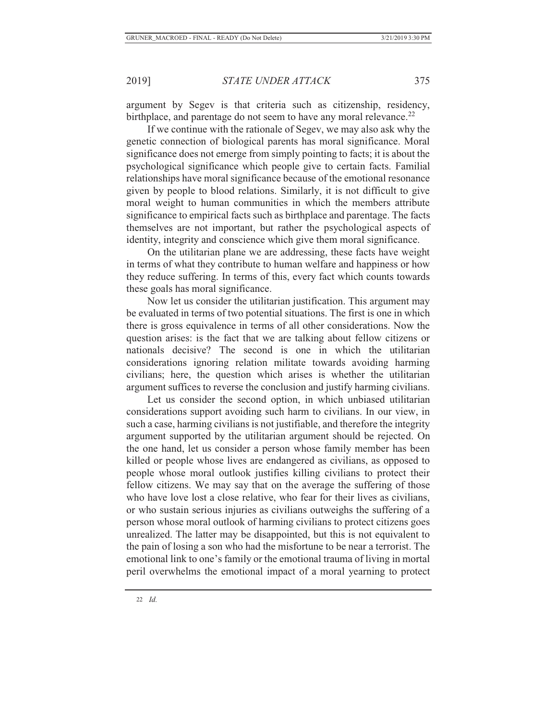argument by Segev is that criteria such as citizenship, residency, birthplace, and parentage do not seem to have any moral relevance. $^{22}$ 

If we continue with the rationale of Segev, we may also ask why the genetic connection of biological parents has moral significance. Moral significance does not emerge from simply pointing to facts; it is about the psychological significance which people give to certain facts. Familial relationships have moral significance because of the emotional resonance given by people to blood relations. Similarly, it is not difficult to give moral weight to human communities in which the members attribute significance to empirical facts such as birthplace and parentage. The facts themselves are not important, but rather the psychological aspects of identity, integrity and conscience which give them moral significance.

On the utilitarian plane we are addressing, these facts have weight in terms of what they contribute to human welfare and happiness or how they reduce suffering. In terms of this, every fact which counts towards these goals has moral significance.

Now let us consider the utilitarian justification. This argument may be evaluated in terms of two potential situations. The first is one in which there is gross equivalence in terms of all other considerations. Now the question arises: is the fact that we are talking about fellow citizens or nationals decisive? The second is one in which the utilitarian considerations ignoring relation militate towards avoiding harming civilians; here, the question which arises is whether the utilitarian argument suffices to reverse the conclusion and justify harming civilians.

Let us consider the second option, in which unbiased utilitarian considerations support avoiding such harm to civilians. In our view, in such a case, harming civilians is not justifiable, and therefore the integrity argument supported by the utilitarian argument should be rejected. On the one hand, let us consider a person whose family member has been killed or people whose lives are endangered as civilians, as opposed to people whose moral outlook justifies killing civilians to protect their fellow citizens. We may say that on the average the suffering of those who have love lost a close relative, who fear for their lives as civilians, or who sustain serious injuries as civilians outweighs the suffering of a person whose moral outlook of harming civilians to protect citizens goes unrealized. The latter may be disappointed, but this is not equivalent to the pain of losing a son who had the misfortune to be near a terrorist. The emotional link to one's family or the emotional trauma of living in mortal peril overwhelms the emotional impact of a moral yearning to protect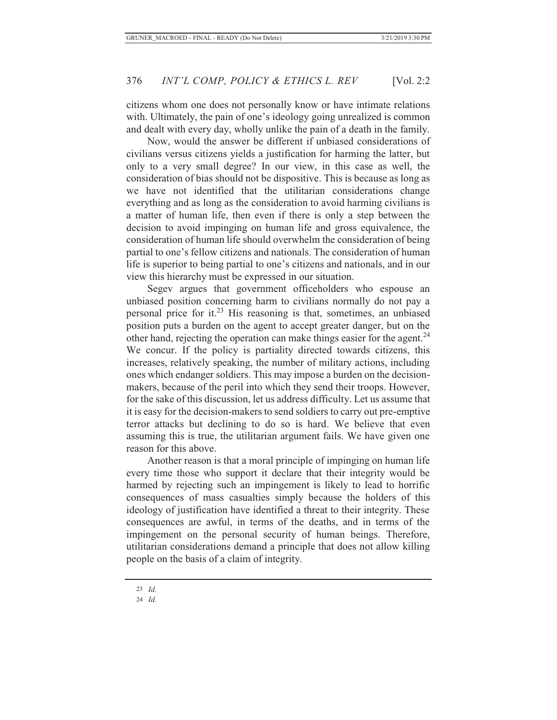citizens whom one does not personally know or have intimate relations with. Ultimately, the pain of one's ideology going unrealized is common and dealt with every day, wholly unlike the pain of a death in the family.

Now, would the answer be different if unbiased considerations of civilians versus citizens yields a justification for harming the latter, but only to a very small degree? In our view, in this case as well, the consideration of bias should not be dispositive. This is because as long as we have not identified that the utilitarian considerations change everything and as long as the consideration to avoid harming civilians is a matter of human life, then even if there is only a step between the decision to avoid impinging on human life and gross equivalence, the consideration of human life should overwhelm the consideration of being partial to one's fellow citizens and nationals. The consideration of human life is superior to being partial to one's citizens and nationals, and in our view this hierarchy must be expressed in our situation.

Segev argues that government officeholders who espouse an unbiased position concerning harm to civilians normally do not pay a personal price for it.<sup>23</sup> His reasoning is that, sometimes, an unbiased position puts a burden on the agent to accept greater danger, but on the other hand, rejecting the operation can make things easier for the agent.<sup>24</sup> We concur. If the policy is partiality directed towards citizens, this increases, relatively speaking, the number of military actions, including ones which endanger soldiers. This may impose a burden on the decisionmakers, because of the peril into which they send their troops. However, for the sake of this discussion, let us address difficulty. Let us assume that it is easy for the decision-makers to send soldiers to carry out pre-emptive terror attacks but declining to do so is hard. We believe that even assuming this is true, the utilitarian argument fails. We have given one reason for this above.

Another reason is that a moral principle of impinging on human life every time those who support it declare that their integrity would be harmed by rejecting such an impingement is likely to lead to horrific consequences of mass casualties simply because the holders of this ideology of justification have identified a threat to their integrity. These consequences are awful, in terms of the deaths, and in terms of the impingement on the personal security of human beings. Therefore, utilitarian considerations demand a principle that does not allow killing people on the basis of a claim of integrity.

<sup>23</sup> *Id.*

<sup>24</sup> *Id.*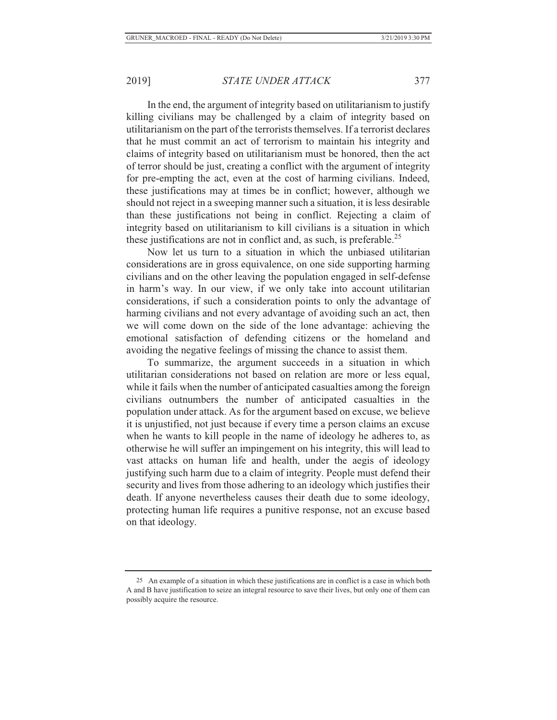In the end, the argument of integrity based on utilitarianism to justify killing civilians may be challenged by a claim of integrity based on utilitarianism on the part of the terrorists themselves. If a terrorist declares that he must commit an act of terrorism to maintain his integrity and claims of integrity based on utilitarianism must be honored, then the act of terror should be just, creating a conflict with the argument of integrity for pre-empting the act, even at the cost of harming civilians. Indeed, these justifications may at times be in conflict; however, although we should not reject in a sweeping manner such a situation, it is less desirable than these justifications not being in conflict. Rejecting a claim of integrity based on utilitarianism to kill civilians is a situation in which these justifications are not in conflict and, as such, is preferable.<sup>25</sup>

Now let us turn to a situation in which the unbiased utilitarian considerations are in gross equivalence, on one side supporting harming civilians and on the other leaving the population engaged in self-defense in harm's way. In our view, if we only take into account utilitarian considerations, if such a consideration points to only the advantage of harming civilians and not every advantage of avoiding such an act, then we will come down on the side of the lone advantage: achieving the emotional satisfaction of defending citizens or the homeland and avoiding the negative feelings of missing the chance to assist them.

To summarize, the argument succeeds in a situation in which utilitarian considerations not based on relation are more or less equal, while it fails when the number of anticipated casualties among the foreign civilians outnumbers the number of anticipated casualties in the population under attack. As for the argument based on excuse, we believe it is unjustified, not just because if every time a person claims an excuse when he wants to kill people in the name of ideology he adheres to, as otherwise he will suffer an impingement on his integrity, this will lead to vast attacks on human life and health, under the aegis of ideology justifying such harm due to a claim of integrity. People must defend their security and lives from those adhering to an ideology which justifies their death. If anyone nevertheless causes their death due to some ideology, protecting human life requires a punitive response, not an excuse based on that ideology.

<sup>25</sup> An example of a situation in which these justifications are in conflict is a case in which both A and B have justification to seize an integral resource to save their lives, but only one of them can possibly acquire the resource.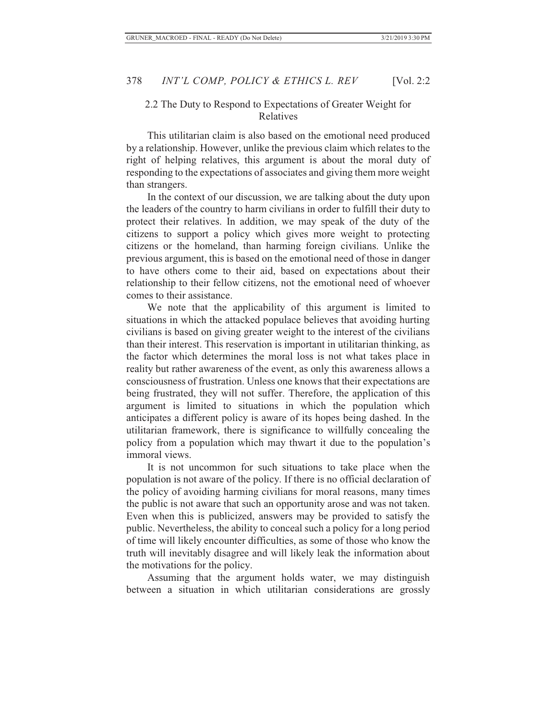## 2.2 The Duty to Respond to Expectations of Greater Weight for Relatives

This utilitarian claim is also based on the emotional need produced by a relationship. However, unlike the previous claim which relates to the right of helping relatives, this argument is about the moral duty of responding to the expectations of associates and giving them more weight than strangers.

In the context of our discussion, we are talking about the duty upon the leaders of the country to harm civilians in order to fulfill their duty to protect their relatives. In addition, we may speak of the duty of the citizens to support a policy which gives more weight to protecting citizens or the homeland, than harming foreign civilians. Unlike the previous argument, this is based on the emotional need of those in danger to have others come to their aid, based on expectations about their relationship to their fellow citizens, not the emotional need of whoever comes to their assistance.

We note that the applicability of this argument is limited to situations in which the attacked populace believes that avoiding hurting civilians is based on giving greater weight to the interest of the civilians than their interest. This reservation is important in utilitarian thinking, as the factor which determines the moral loss is not what takes place in reality but rather awareness of the event, as only this awareness allows a consciousness of frustration. Unless one knows that their expectations are being frustrated, they will not suffer. Therefore, the application of this argument is limited to situations in which the population which anticipates a different policy is aware of its hopes being dashed. In the utilitarian framework, there is significance to willfully concealing the policy from a population which may thwart it due to the population's immoral views.

It is not uncommon for such situations to take place when the population is not aware of the policy. If there is no official declaration of the policy of avoiding harming civilians for moral reasons, many times the public is not aware that such an opportunity arose and was not taken. Even when this is publicized, answers may be provided to satisfy the public. Nevertheless, the ability to conceal such a policy for a long period of time will likely encounter difficulties, as some of those who know the truth will inevitably disagree and will likely leak the information about the motivations for the policy.

Assuming that the argument holds water, we may distinguish between a situation in which utilitarian considerations are grossly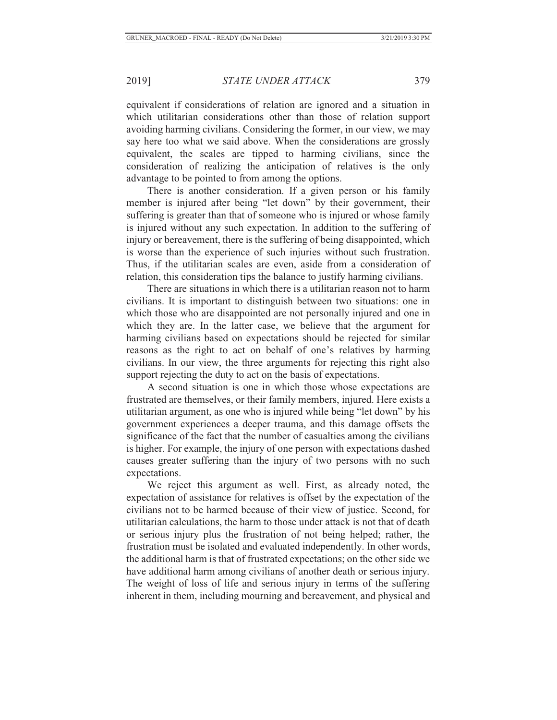equivalent if considerations of relation are ignored and a situation in which utilitarian considerations other than those of relation support avoiding harming civilians. Considering the former, in our view, we may say here too what we said above. When the considerations are grossly equivalent, the scales are tipped to harming civilians, since the consideration of realizing the anticipation of relatives is the only advantage to be pointed to from among the options.

There is another consideration. If a given person or his family member is injured after being "let down" by their government, their suffering is greater than that of someone who is injured or whose family is injured without any such expectation. In addition to the suffering of injury or bereavement, there is the suffering of being disappointed, which is worse than the experience of such injuries without such frustration. Thus, if the utilitarian scales are even, aside from a consideration of relation, this consideration tips the balance to justify harming civilians.

There are situations in which there is a utilitarian reason not to harm civilians. It is important to distinguish between two situations: one in which those who are disappointed are not personally injured and one in which they are. In the latter case, we believe that the argument for harming civilians based on expectations should be rejected for similar reasons as the right to act on behalf of one's relatives by harming civilians. In our view, the three arguments for rejecting this right also support rejecting the duty to act on the basis of expectations.

A second situation is one in which those whose expectations are frustrated are themselves, or their family members, injured. Here exists a utilitarian argument, as one who is injured while being "let down" by his government experiences a deeper trauma, and this damage offsets the significance of the fact that the number of casualties among the civilians is higher. For example, the injury of one person with expectations dashed causes greater suffering than the injury of two persons with no such expectations.

We reject this argument as well. First, as already noted, the expectation of assistance for relatives is offset by the expectation of the civilians not to be harmed because of their view of justice. Second, for utilitarian calculations, the harm to those under attack is not that of death or serious injury plus the frustration of not being helped; rather, the frustration must be isolated and evaluated independently. In other words, the additional harm is that of frustrated expectations; on the other side we have additional harm among civilians of another death or serious injury. The weight of loss of life and serious injury in terms of the suffering inherent in them, including mourning and bereavement, and physical and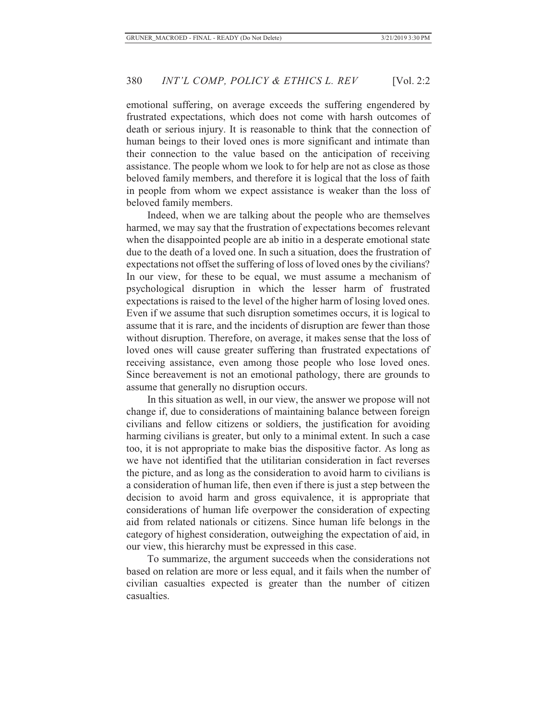emotional suffering, on average exceeds the suffering engendered by frustrated expectations, which does not come with harsh outcomes of death or serious injury. It is reasonable to think that the connection of human beings to their loved ones is more significant and intimate than their connection to the value based on the anticipation of receiving assistance. The people whom we look to for help are not as close as those beloved family members, and therefore it is logical that the loss of faith in people from whom we expect assistance is weaker than the loss of beloved family members.

Indeed, when we are talking about the people who are themselves harmed, we may say that the frustration of expectations becomes relevant when the disappointed people are ab initio in a desperate emotional state due to the death of a loved one. In such a situation, does the frustration of expectations not offset the suffering of loss of loved ones by the civilians? In our view, for these to be equal, we must assume a mechanism of psychological disruption in which the lesser harm of frustrated expectations is raised to the level of the higher harm of losing loved ones. Even if we assume that such disruption sometimes occurs, it is logical to assume that it is rare, and the incidents of disruption are fewer than those without disruption. Therefore, on average, it makes sense that the loss of loved ones will cause greater suffering than frustrated expectations of receiving assistance, even among those people who lose loved ones. Since bereavement is not an emotional pathology, there are grounds to assume that generally no disruption occurs.

In this situation as well, in our view, the answer we propose will not change if, due to considerations of maintaining balance between foreign civilians and fellow citizens or soldiers, the justification for avoiding harming civilians is greater, but only to a minimal extent. In such a case too, it is not appropriate to make bias the dispositive factor. As long as we have not identified that the utilitarian consideration in fact reverses the picture, and as long as the consideration to avoid harm to civilians is a consideration of human life, then even if there is just a step between the decision to avoid harm and gross equivalence, it is appropriate that considerations of human life overpower the consideration of expecting aid from related nationals or citizens. Since human life belongs in the category of highest consideration, outweighing the expectation of aid, in our view, this hierarchy must be expressed in this case.

To summarize, the argument succeeds when the considerations not based on relation are more or less equal, and it fails when the number of civilian casualties expected is greater than the number of citizen casualties.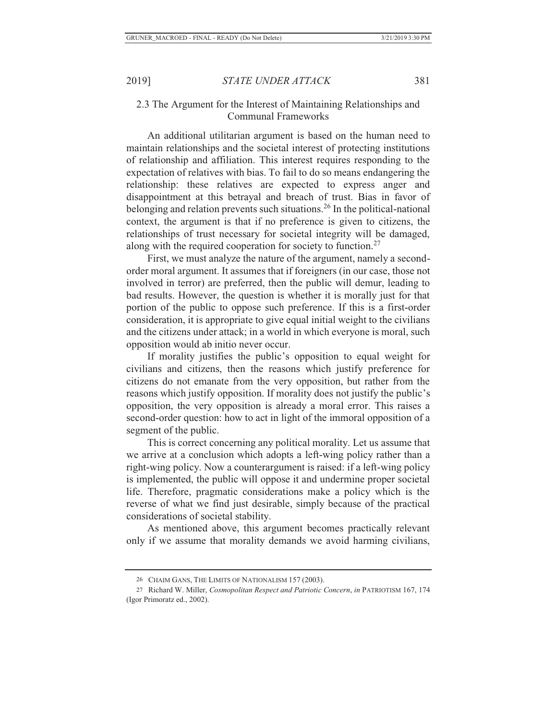## 2.3 The Argument for the Interest of Maintaining Relationships and Communal Frameworks

An additional utilitarian argument is based on the human need to maintain relationships and the societal interest of protecting institutions of relationship and affiliation. This interest requires responding to the expectation of relatives with bias. To fail to do so means endangering the relationship: these relatives are expected to express anger and disappointment at this betrayal and breach of trust. Bias in favor of belonging and relation prevents such situations.<sup>26</sup> In the political-national context, the argument is that if no preference is given to citizens, the relationships of trust necessary for societal integrity will be damaged, along with the required cooperation for society to function.<sup>27</sup>

First, we must analyze the nature of the argument, namely a secondorder moral argument. It assumes that if foreigners (in our case, those not involved in terror) are preferred, then the public will demur, leading to bad results. However, the question is whether it is morally just for that portion of the public to oppose such preference. If this is a first-order consideration, it is appropriate to give equal initial weight to the civilians and the citizens under attack; in a world in which everyone is moral, such opposition would ab initio never occur.

If morality justifies the public's opposition to equal weight for civilians and citizens, then the reasons which justify preference for citizens do not emanate from the very opposition, but rather from the reasons which justify opposition. If morality does not justify the public's opposition, the very opposition is already a moral error. This raises a second-order question: how to act in light of the immoral opposition of a segment of the public.

This is correct concerning any political morality. Let us assume that we arrive at a conclusion which adopts a left-wing policy rather than a right-wing policy. Now a counterargument is raised: if a left-wing policy is implemented, the public will oppose it and undermine proper societal life. Therefore, pragmatic considerations make a policy which is the reverse of what we find just desirable, simply because of the practical considerations of societal stability.

As mentioned above, this argument becomes practically relevant only if we assume that morality demands we avoid harming civilians,

<sup>26</sup> CHAIM GANS, THE LIMITS OF NATIONALISM 157 (2003).

<sup>27</sup> Richard W. Miller, *Cosmopolitan Respect and Patriotic Concern*, *in* PATRIOTISM 167, 174 (Igor Primoratz ed., 2002).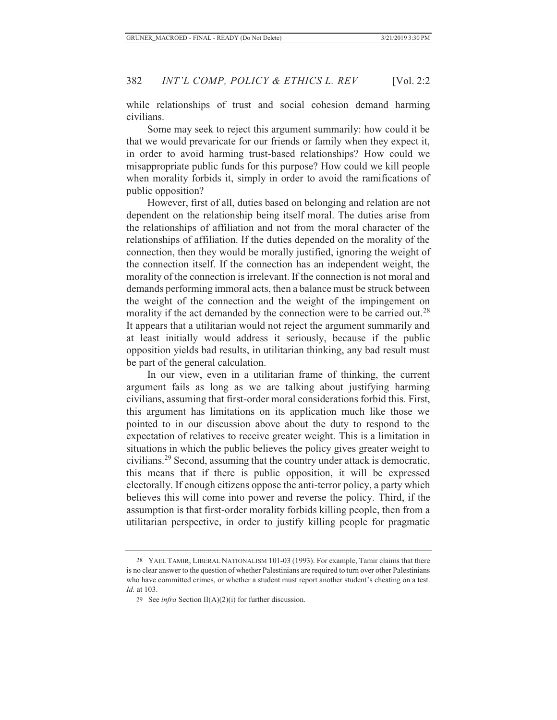while relationships of trust and social cohesion demand harming civilians.

Some may seek to reject this argument summarily: how could it be that we would prevaricate for our friends or family when they expect it, in order to avoid harming trust-based relationships? How could we misappropriate public funds for this purpose? How could we kill people when morality forbids it, simply in order to avoid the ramifications of public opposition?

However, first of all, duties based on belonging and relation are not dependent on the relationship being itself moral. The duties arise from the relationships of affiliation and not from the moral character of the relationships of affiliation. If the duties depended on the morality of the connection, then they would be morally justified, ignoring the weight of the connection itself. If the connection has an independent weight, the morality of the connection is irrelevant. If the connection is not moral and demands performing immoral acts, then a balance must be struck between the weight of the connection and the weight of the impingement on morality if the act demanded by the connection were to be carried out.<sup>28</sup> It appears that a utilitarian would not reject the argument summarily and at least initially would address it seriously, because if the public opposition yields bad results, in utilitarian thinking, any bad result must be part of the general calculation.

In our view, even in a utilitarian frame of thinking, the current argument fails as long as we are talking about justifying harming civilians, assuming that first-order moral considerations forbid this. First, this argument has limitations on its application much like those we pointed to in our discussion above about the duty to respond to the expectation of relatives to receive greater weight. This is a limitation in situations in which the public believes the policy gives greater weight to civilians.29 Second, assuming that the country under attack is democratic, this means that if there is public opposition, it will be expressed electorally. If enough citizens oppose the anti-terror policy, a party which believes this will come into power and reverse the policy. Third, if the assumption is that first-order morality forbids killing people, then from a utilitarian perspective, in order to justify killing people for pragmatic

<sup>28</sup> YAEL TAMIR, LIBERAL NATIONALISM 101-03 (1993). For example, Tamir claims that there is no clear answer to the question of whether Palestinians are required to turn over other Palestinians who have committed crimes, or whether a student must report another student's cheating on a test. *Id.* at 103.

<sup>29</sup> See *infra* Section II(A)(2)(i) for further discussion.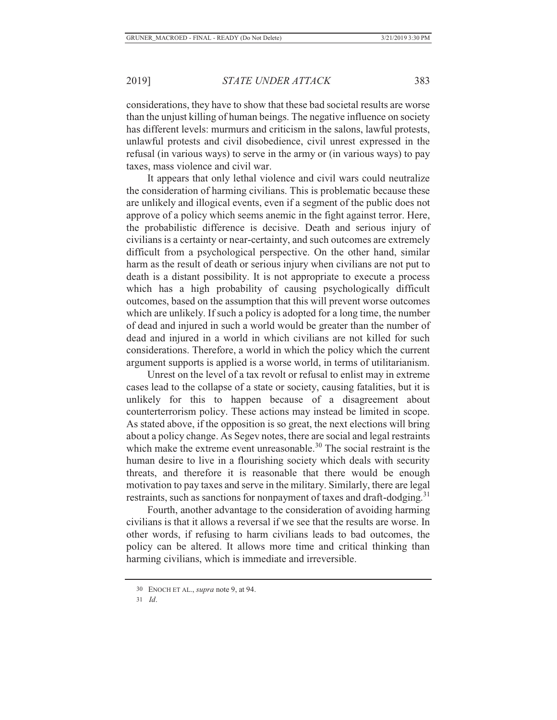considerations, they have to show that these bad societal results are worse than the unjust killing of human beings. The negative influence on society has different levels: murmurs and criticism in the salons, lawful protests, unlawful protests and civil disobedience, civil unrest expressed in the refusal (in various ways) to serve in the army or (in various ways) to pay taxes, mass violence and civil war.

It appears that only lethal violence and civil wars could neutralize the consideration of harming civilians. This is problematic because these are unlikely and illogical events, even if a segment of the public does not approve of a policy which seems anemic in the fight against terror. Here, the probabilistic difference is decisive. Death and serious injury of civilians is a certainty or near-certainty, and such outcomes are extremely difficult from a psychological perspective. On the other hand, similar harm as the result of death or serious injury when civilians are not put to death is a distant possibility. It is not appropriate to execute a process which has a high probability of causing psychologically difficult outcomes, based on the assumption that this will prevent worse outcomes which are unlikely. If such a policy is adopted for a long time, the number of dead and injured in such a world would be greater than the number of dead and injured in a world in which civilians are not killed for such considerations. Therefore, a world in which the policy which the current argument supports is applied is a worse world, in terms of utilitarianism.

Unrest on the level of a tax revolt or refusal to enlist may in extreme cases lead to the collapse of a state or society, causing fatalities, but it is unlikely for this to happen because of a disagreement about counterterrorism policy. These actions may instead be limited in scope. As stated above, if the opposition is so great, the next elections will bring about a policy change. As Segev notes, there are social and legal restraints which make the extreme event unreasonable.<sup>30</sup> The social restraint is the human desire to live in a flourishing society which deals with security threats, and therefore it is reasonable that there would be enough motivation to pay taxes and serve in the military. Similarly, there are legal restraints, such as sanctions for nonpayment of taxes and draft-dodging.<sup>31</sup>

Fourth, another advantage to the consideration of avoiding harming civilians is that it allows a reversal if we see that the results are worse. In other words, if refusing to harm civilians leads to bad outcomes, the policy can be altered. It allows more time and critical thinking than harming civilians, which is immediate and irreversible.

31 *Id*.

<sup>30</sup> ENOCH ET AL., *supra* note 9, at 94.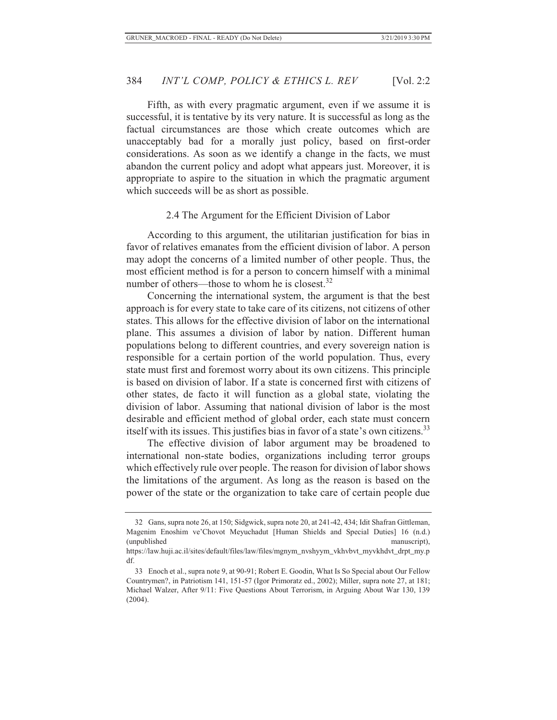Fifth, as with every pragmatic argument, even if we assume it is successful, it is tentative by its very nature. It is successful as long as the factual circumstances are those which create outcomes which are unacceptably bad for a morally just policy, based on first-order considerations. As soon as we identify a change in the facts, we must abandon the current policy and adopt what appears just. Moreover, it is appropriate to aspire to the situation in which the pragmatic argument which succeeds will be as short as possible.

#### 2.4 The Argument for the Efficient Division of Labor

According to this argument, the utilitarian justification for bias in favor of relatives emanates from the efficient division of labor. A person may adopt the concerns of a limited number of other people. Thus, the most efficient method is for a person to concern himself with a minimal number of others—those to whom he is closest. $32$ 

Concerning the international system, the argument is that the best approach is for every state to take care of its citizens, not citizens of other states. This allows for the effective division of labor on the international plane. This assumes a division of labor by nation. Different human populations belong to different countries, and every sovereign nation is responsible for a certain portion of the world population. Thus, every state must first and foremost worry about its own citizens. This principle is based on division of labor. If a state is concerned first with citizens of other states, de facto it will function as a global state, violating the division of labor. Assuming that national division of labor is the most desirable and efficient method of global order, each state must concern itself with its issues. This justifies bias in favor of a state's own citizens.<sup>33</sup>

The effective division of labor argument may be broadened to international non-state bodies, organizations including terror groups which effectively rule over people. The reason for division of labor shows the limitations of the argument. As long as the reason is based on the power of the state or the organization to take care of certain people due

 <sup>32</sup> Gans, supra note 26, at 150; Sidgwick, supra note 20, at 241-42, 434; Idit Shafran Gittleman, Magenim Enoshim ve'Chovot Meyuchadut [Human Shields and Special Duties] 16 (n.d.) (unpublished manuscript),

https://law.huji.ac.il/sites/default/files/law/files/mgnym\_nvshyym\_vkhvbvt\_myvkhdvt\_drpt\_my.p df.

 <sup>33</sup> Enoch et al., supra note 9, at 90-91; Robert E. Goodin, What Is So Special about Our Fellow Countrymen?, in Patriotism 141, 151-57 (Igor Primoratz ed., 2002); Miller, supra note 27, at 181; Michael Walzer, After 9/11: Five Questions About Terrorism, in Arguing About War 130, 139 (2004).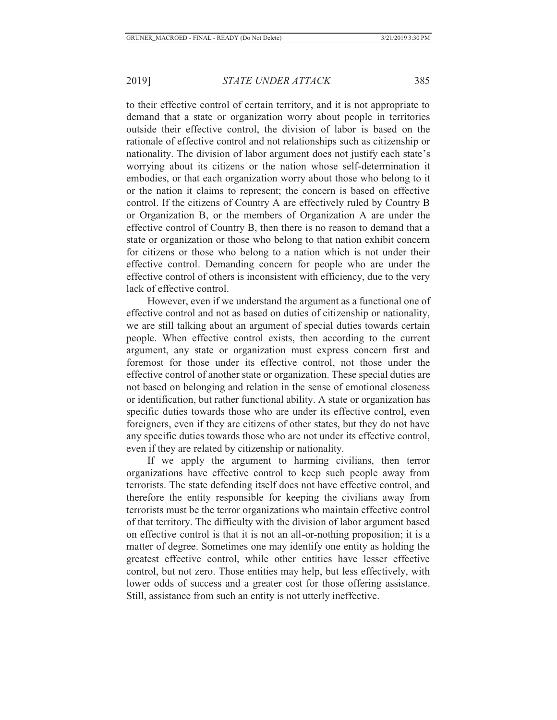to their effective control of certain territory, and it is not appropriate to demand that a state or organization worry about people in territories outside their effective control, the division of labor is based on the rationale of effective control and not relationships such as citizenship or nationality. The division of labor argument does not justify each state's worrying about its citizens or the nation whose self-determination it embodies, or that each organization worry about those who belong to it or the nation it claims to represent; the concern is based on effective control. If the citizens of Country A are effectively ruled by Country B or Organization B, or the members of Organization A are under the effective control of Country B, then there is no reason to demand that a state or organization or those who belong to that nation exhibit concern for citizens or those who belong to a nation which is not under their effective control. Demanding concern for people who are under the effective control of others is inconsistent with efficiency, due to the very lack of effective control.

However, even if we understand the argument as a functional one of effective control and not as based on duties of citizenship or nationality, we are still talking about an argument of special duties towards certain people. When effective control exists, then according to the current argument, any state or organization must express concern first and foremost for those under its effective control, not those under the effective control of another state or organization. These special duties are not based on belonging and relation in the sense of emotional closeness or identification, but rather functional ability. A state or organization has specific duties towards those who are under its effective control, even foreigners, even if they are citizens of other states, but they do not have any specific duties towards those who are not under its effective control, even if they are related by citizenship or nationality.

If we apply the argument to harming civilians, then terror organizations have effective control to keep such people away from terrorists. The state defending itself does not have effective control, and therefore the entity responsible for keeping the civilians away from terrorists must be the terror organizations who maintain effective control of that territory. The difficulty with the division of labor argument based on effective control is that it is not an all-or-nothing proposition; it is a matter of degree. Sometimes one may identify one entity as holding the greatest effective control, while other entities have lesser effective control, but not zero. Those entities may help, but less effectively, with lower odds of success and a greater cost for those offering assistance. Still, assistance from such an entity is not utterly ineffective.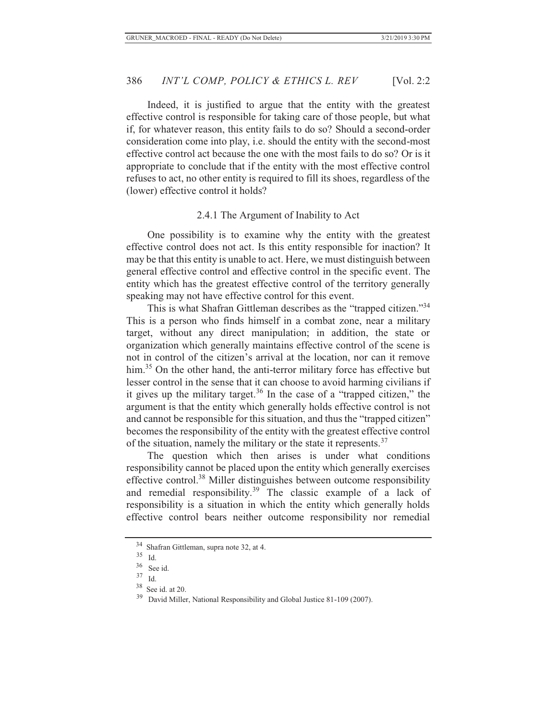Indeed, it is justified to argue that the entity with the greatest effective control is responsible for taking care of those people, but what if, for whatever reason, this entity fails to do so? Should a second-order consideration come into play, i.e. should the entity with the second-most effective control act because the one with the most fails to do so? Or is it appropriate to conclude that if the entity with the most effective control refuses to act, no other entity is required to fill its shoes, regardless of the (lower) effective control it holds?

## 2.4.1 The Argument of Inability to Act

One possibility is to examine why the entity with the greatest effective control does not act. Is this entity responsible for inaction? It may be that this entity is unable to act. Here, we must distinguish between general effective control and effective control in the specific event. The entity which has the greatest effective control of the territory generally speaking may not have effective control for this event.

This is what Shafran Gittleman describes as the "trapped citizen."<sup>34</sup> This is a person who finds himself in a combat zone, near a military target, without any direct manipulation; in addition, the state or organization which generally maintains effective control of the scene is not in control of the citizen's arrival at the location, nor can it remove him.<sup>35</sup> On the other hand, the anti-terror military force has effective but lesser control in the sense that it can choose to avoid harming civilians if it gives up the military target.<sup>36</sup> In the case of a "trapped citizen," the argument is that the entity which generally holds effective control is not and cannot be responsible for this situation, and thus the "trapped citizen" becomes the responsibility of the entity with the greatest effective control of the situation, namely the military or the state it represents.<sup>37</sup>

The question which then arises is under what conditions responsibility cannot be placed upon the entity which generally exercises effective control.38 Miller distinguishes between outcome responsibility and remedial responsibility.39 The classic example of a lack of responsibility is a situation in which the entity which generally holds effective control bears neither outcome responsibility nor remedial

 $^{34}$  Shafran Gittleman, supra note 32, at 4.<br>35  $_{\text{Id}}$ 

 $\frac{35}{36}$  Id.

 $\frac{36}{37}$  See id.

 $\frac{37}{38}$  Id.

See id. at 20.

<sup>&</sup>lt;sup>39</sup> David Miller, National Responsibility and Global Justice 81-109 (2007).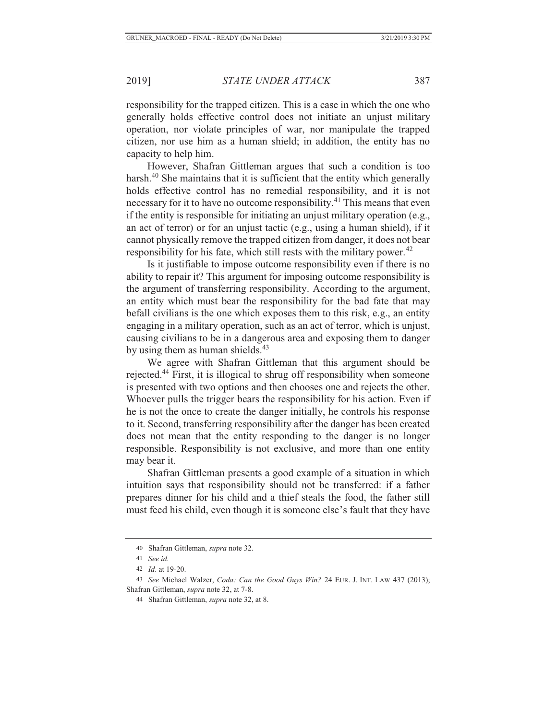responsibility for the trapped citizen. This is a case in which the one who generally holds effective control does not initiate an unjust military operation, nor violate principles of war, nor manipulate the trapped citizen, nor use him as a human shield; in addition, the entity has no capacity to help him.

However, Shafran Gittleman argues that such a condition is too harsh.<sup>40</sup> She maintains that it is sufficient that the entity which generally holds effective control has no remedial responsibility, and it is not necessary for it to have no outcome responsibility.41 This means that even if the entity is responsible for initiating an unjust military operation (e.g., an act of terror) or for an unjust tactic (e.g., using a human shield), if it cannot physically remove the trapped citizen from danger, it does not bear responsibility for his fate, which still rests with the military power.<sup>42</sup>

Is it justifiable to impose outcome responsibility even if there is no ability to repair it? This argument for imposing outcome responsibility is the argument of transferring responsibility. According to the argument, an entity which must bear the responsibility for the bad fate that may befall civilians is the one which exposes them to this risk, e.g., an entity engaging in a military operation, such as an act of terror, which is unjust, causing civilians to be in a dangerous area and exposing them to danger by using them as human shields.<sup>43</sup>

We agree with Shafran Gittleman that this argument should be rejected.44 First, it is illogical to shrug off responsibility when someone is presented with two options and then chooses one and rejects the other. Whoever pulls the trigger bears the responsibility for his action. Even if he is not the once to create the danger initially, he controls his response to it. Second, transferring responsibility after the danger has been created does not mean that the entity responding to the danger is no longer responsible. Responsibility is not exclusive, and more than one entity may bear it.

Shafran Gittleman presents a good example of a situation in which intuition says that responsibility should not be transferred: if a father prepares dinner for his child and a thief steals the food, the father still must feed his child, even though it is someone else's fault that they have

<sup>40</sup> Shafran Gittleman, *supra* note 32.

<sup>41</sup> *See id.*

<sup>42</sup> *Id*. at 19-20.

<sup>43</sup> *See* Michael Walzer, *Coda: Can the Good Guys Win?* 24 EUR. J. INT. LAW 437 (2013); Shafran Gittleman, *supra* note 32, at 7-8.

<sup>44</sup> Shafran Gittleman, *supra* note 32, at 8.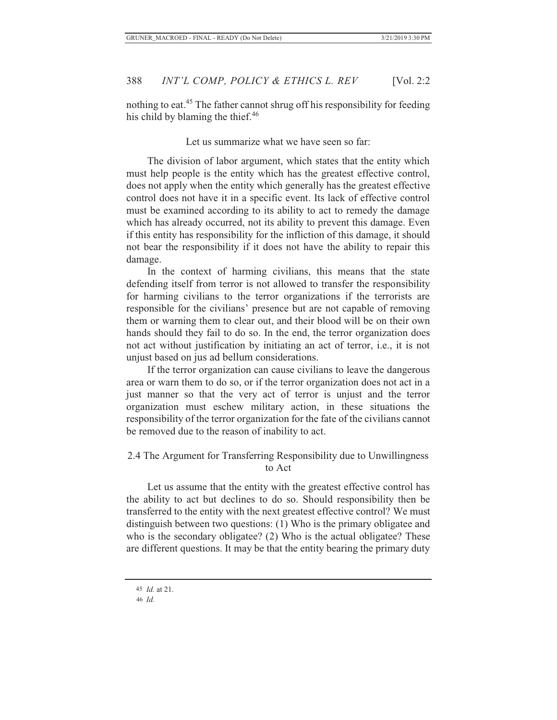nothing to eat.45 The father cannot shrug off his responsibility for feeding his child by blaming the thief.<sup>46</sup>

Let us summarize what we have seen so far:

The division of labor argument, which states that the entity which must help people is the entity which has the greatest effective control, does not apply when the entity which generally has the greatest effective control does not have it in a specific event. Its lack of effective control must be examined according to its ability to act to remedy the damage which has already occurred, not its ability to prevent this damage. Even if this entity has responsibility for the infliction of this damage, it should not bear the responsibility if it does not have the ability to repair this damage.

In the context of harming civilians, this means that the state defending itself from terror is not allowed to transfer the responsibility for harming civilians to the terror organizations if the terrorists are responsible for the civilians' presence but are not capable of removing them or warning them to clear out, and their blood will be on their own hands should they fail to do so. In the end, the terror organization does not act without justification by initiating an act of terror, i.e., it is not unjust based on jus ad bellum considerations.

If the terror organization can cause civilians to leave the dangerous area or warn them to do so, or if the terror organization does not act in a just manner so that the very act of terror is unjust and the terror organization must eschew military action, in these situations the responsibility of the terror organization for the fate of the civilians cannot be removed due to the reason of inability to act.

# 2.4 The Argument for Transferring Responsibility due to Unwillingness to Act

Let us assume that the entity with the greatest effective control has the ability to act but declines to do so. Should responsibility then be transferred to the entity with the next greatest effective control? We must distinguish between two questions: (1) Who is the primary obligatee and who is the secondary obligatee? (2) Who is the actual obligatee? These are different questions. It may be that the entity bearing the primary duty

 <sup>45</sup> *Id.* at 21.

<sup>46</sup> *Id.*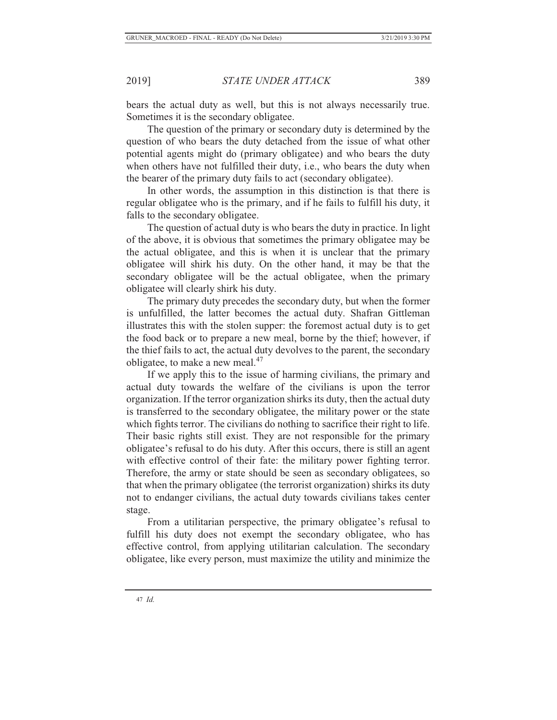bears the actual duty as well, but this is not always necessarily true. Sometimes it is the secondary obligatee.

The question of the primary or secondary duty is determined by the question of who bears the duty detached from the issue of what other potential agents might do (primary obligatee) and who bears the duty when others have not fulfilled their duty, i.e., who bears the duty when the bearer of the primary duty fails to act (secondary obligatee).

In other words, the assumption in this distinction is that there is regular obligatee who is the primary, and if he fails to fulfill his duty, it falls to the secondary obligatee.

The question of actual duty is who bears the duty in practice. In light of the above, it is obvious that sometimes the primary obligatee may be the actual obligatee, and this is when it is unclear that the primary obligatee will shirk his duty. On the other hand, it may be that the secondary obligatee will be the actual obligatee, when the primary obligatee will clearly shirk his duty.

The primary duty precedes the secondary duty, but when the former is unfulfilled, the latter becomes the actual duty. Shafran Gittleman illustrates this with the stolen supper: the foremost actual duty is to get the food back or to prepare a new meal, borne by the thief; however, if the thief fails to act, the actual duty devolves to the parent, the secondary obligatee, to make a new meal.<sup>47</sup>

If we apply this to the issue of harming civilians, the primary and actual duty towards the welfare of the civilians is upon the terror organization. If the terror organization shirks its duty, then the actual duty is transferred to the secondary obligatee, the military power or the state which fights terror. The civilians do nothing to sacrifice their right to life. Their basic rights still exist. They are not responsible for the primary obligatee's refusal to do his duty. After this occurs, there is still an agent with effective control of their fate: the military power fighting terror. Therefore, the army or state should be seen as secondary obligatees, so that when the primary obligatee (the terrorist organization) shirks its duty not to endanger civilians, the actual duty towards civilians takes center stage.

From a utilitarian perspective, the primary obligatee's refusal to fulfill his duty does not exempt the secondary obligatee, who has effective control, from applying utilitarian calculation. The secondary obligatee, like every person, must maximize the utility and minimize the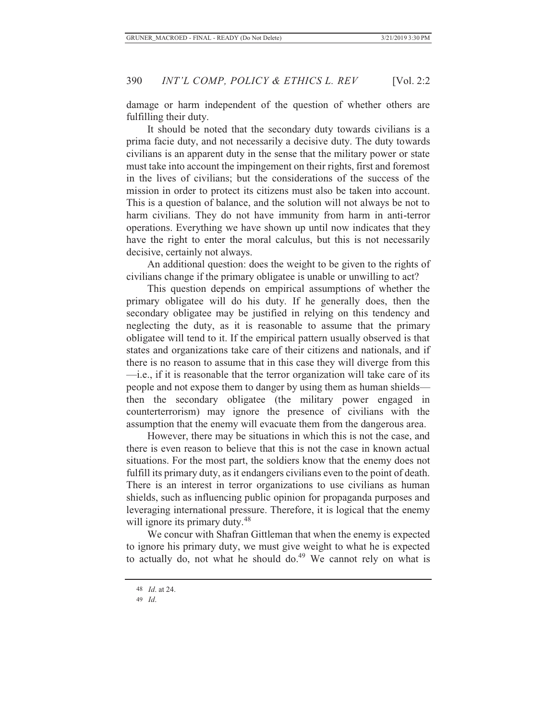damage or harm independent of the question of whether others are fulfilling their duty.

It should be noted that the secondary duty towards civilians is a prima facie duty, and not necessarily a decisive duty. The duty towards civilians is an apparent duty in the sense that the military power or state must take into account the impingement on their rights, first and foremost in the lives of civilians; but the considerations of the success of the mission in order to protect its citizens must also be taken into account. This is a question of balance, and the solution will not always be not to harm civilians. They do not have immunity from harm in anti-terror operations. Everything we have shown up until now indicates that they have the right to enter the moral calculus, but this is not necessarily decisive, certainly not always.

An additional question: does the weight to be given to the rights of civilians change if the primary obligatee is unable or unwilling to act?

This question depends on empirical assumptions of whether the primary obligatee will do his duty. If he generally does, then the secondary obligatee may be justified in relying on this tendency and neglecting the duty, as it is reasonable to assume that the primary obligatee will tend to it. If the empirical pattern usually observed is that states and organizations take care of their citizens and nationals, and if there is no reason to assume that in this case they will diverge from this —i.e., if it is reasonable that the terror organization will take care of its people and not expose them to danger by using them as human shields then the secondary obligatee (the military power engaged in counterterrorism) may ignore the presence of civilians with the assumption that the enemy will evacuate them from the dangerous area.

However, there may be situations in which this is not the case, and there is even reason to believe that this is not the case in known actual situations. For the most part, the soldiers know that the enemy does not fulfill its primary duty, as it endangers civilians even to the point of death. There is an interest in terror organizations to use civilians as human shields, such as influencing public opinion for propaganda purposes and leveraging international pressure. Therefore, it is logical that the enemy will ignore its primary duty.<sup>48</sup>

We concur with Shafran Gittleman that when the enemy is expected to ignore his primary duty, we must give weight to what he is expected to actually do, not what he should do.<sup>49</sup> We cannot rely on what is

<sup>48</sup> *Id*. at 24.

<sup>49</sup> *Id*.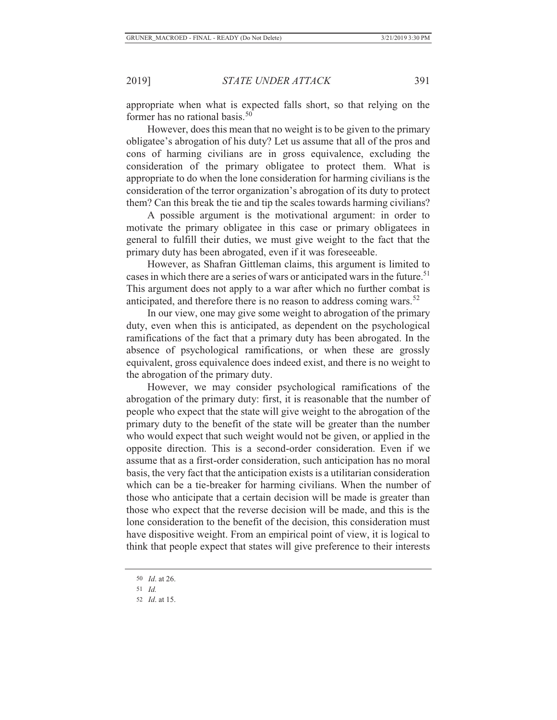appropriate when what is expected falls short, so that relying on the former has no rational basis.<sup>50</sup>

However, does this mean that no weight is to be given to the primary obligatee's abrogation of his duty? Let us assume that all of the pros and cons of harming civilians are in gross equivalence, excluding the consideration of the primary obligatee to protect them. What is appropriate to do when the lone consideration for harming civilians is the consideration of the terror organization's abrogation of its duty to protect them? Can this break the tie and tip the scales towards harming civilians?

A possible argument is the motivational argument: in order to motivate the primary obligatee in this case or primary obligatees in general to fulfill their duties, we must give weight to the fact that the primary duty has been abrogated, even if it was foreseeable.

However, as Shafran Gittleman claims, this argument is limited to cases in which there are a series of wars or anticipated wars in the future.<sup>51</sup> This argument does not apply to a war after which no further combat is anticipated, and therefore there is no reason to address coming wars.<sup>52</sup>

In our view, one may give some weight to abrogation of the primary duty, even when this is anticipated, as dependent on the psychological ramifications of the fact that a primary duty has been abrogated. In the absence of psychological ramifications, or when these are grossly equivalent, gross equivalence does indeed exist, and there is no weight to the abrogation of the primary duty.

However, we may consider psychological ramifications of the abrogation of the primary duty: first, it is reasonable that the number of people who expect that the state will give weight to the abrogation of the primary duty to the benefit of the state will be greater than the number who would expect that such weight would not be given, or applied in the opposite direction. This is a second-order consideration. Even if we assume that as a first-order consideration, such anticipation has no moral basis, the very fact that the anticipation exists is a utilitarian consideration which can be a tie-breaker for harming civilians. When the number of those who anticipate that a certain decision will be made is greater than those who expect that the reverse decision will be made, and this is the lone consideration to the benefit of the decision, this consideration must have dispositive weight. From an empirical point of view, it is logical to think that people expect that states will give preference to their interests

<sup>50</sup> *Id*. at 26.

<sup>51</sup> *Id.*

<sup>52</sup> *Id*. at 15.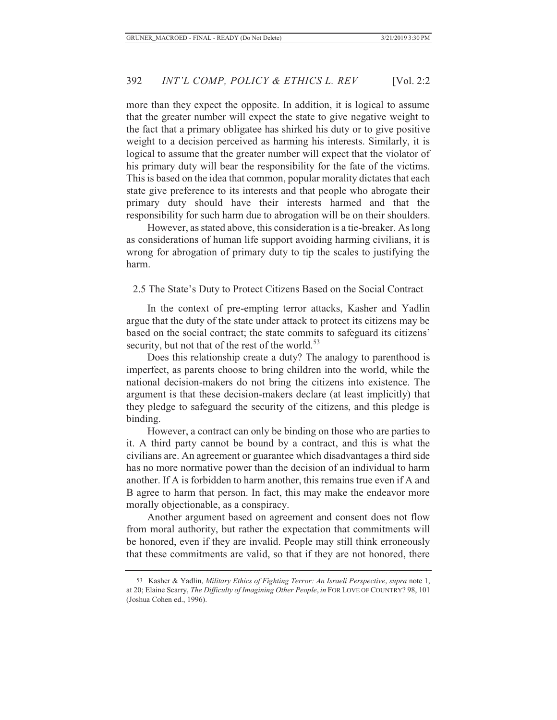more than they expect the opposite. In addition, it is logical to assume that the greater number will expect the state to give negative weight to the fact that a primary obligatee has shirked his duty or to give positive weight to a decision perceived as harming his interests. Similarly, it is logical to assume that the greater number will expect that the violator of his primary duty will bear the responsibility for the fate of the victims. This is based on the idea that common, popular morality dictates that each state give preference to its interests and that people who abrogate their primary duty should have their interests harmed and that the responsibility for such harm due to abrogation will be on their shoulders.

However, as stated above, this consideration is a tie-breaker. As long as considerations of human life support avoiding harming civilians, it is wrong for abrogation of primary duty to tip the scales to justifying the harm.

2.5 The State's Duty to Protect Citizens Based on the Social Contract

In the context of pre-empting terror attacks, Kasher and Yadlin argue that the duty of the state under attack to protect its citizens may be based on the social contract; the state commits to safeguard its citizens' security, but not that of the rest of the world.<sup>53</sup>

Does this relationship create a duty? The analogy to parenthood is imperfect, as parents choose to bring children into the world, while the national decision-makers do not bring the citizens into existence. The argument is that these decision-makers declare (at least implicitly) that they pledge to safeguard the security of the citizens, and this pledge is binding.

However, a contract can only be binding on those who are parties to it. A third party cannot be bound by a contract, and this is what the civilians are. An agreement or guarantee which disadvantages a third side has no more normative power than the decision of an individual to harm another. If A is forbidden to harm another, this remains true even if A and B agree to harm that person. In fact, this may make the endeavor more morally objectionable, as a conspiracy.

Another argument based on agreement and consent does not flow from moral authority, but rather the expectation that commitments will be honored, even if they are invalid. People may still think erroneously that these commitments are valid, so that if they are not honored, there

<sup>53</sup> Kasher & Yadlin, *Military Ethics of Fighting Terror: An Israeli Perspective*, *supra* note 1, at 20; Elaine Scarry, *The Difficulty of Imagining Other People*, *in* FOR LOVE OF COUNTRY? 98, 101 (Joshua Cohen ed., 1996).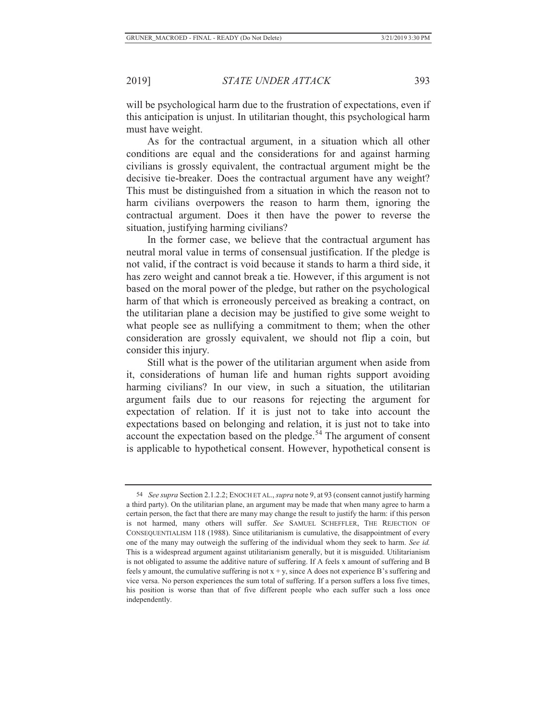will be psychological harm due to the frustration of expectations, even if this anticipation is unjust. In utilitarian thought, this psychological harm must have weight.

As for the contractual argument, in a situation which all other conditions are equal and the considerations for and against harming civilians is grossly equivalent, the contractual argument might be the decisive tie-breaker. Does the contractual argument have any weight? This must be distinguished from a situation in which the reason not to harm civilians overpowers the reason to harm them, ignoring the contractual argument. Does it then have the power to reverse the situation, justifying harming civilians?

In the former case, we believe that the contractual argument has neutral moral value in terms of consensual justification. If the pledge is not valid, if the contract is void because it stands to harm a third side, it has zero weight and cannot break a tie. However, if this argument is not based on the moral power of the pledge, but rather on the psychological harm of that which is erroneously perceived as breaking a contract, on the utilitarian plane a decision may be justified to give some weight to what people see as nullifying a commitment to them; when the other consideration are grossly equivalent, we should not flip a coin, but consider this injury.

Still what is the power of the utilitarian argument when aside from it, considerations of human life and human rights support avoiding harming civilians? In our view, in such a situation, the utilitarian argument fails due to our reasons for rejecting the argument for expectation of relation. If it is just not to take into account the expectations based on belonging and relation, it is just not to take into account the expectation based on the pledge.<sup>54</sup> The argument of consent is applicable to hypothetical consent. However, hypothetical consent is

<sup>54</sup> *See supra* Section 2.1.2.2; ENOCH ET AL., *supra* note 9, at 93 (consent cannot justify harming a third party). On the utilitarian plane, an argument may be made that when many agree to harm a certain person, the fact that there are many may change the result to justify the harm: if this person is not harmed, many others will suffer. *See* SAMUEL SCHEFFLER, THE REJECTION OF CONSEQUENTIALISM 118 (1988). Since utilitarianism is cumulative, the disappointment of every one of the many may outweigh the suffering of the individual whom they seek to harm. *See id.*  This is a widespread argument against utilitarianism generally, but it is misguided. Utilitarianism is not obligated to assume the additive nature of suffering. If A feels x amount of suffering and B feels y amount, the cumulative suffering is not  $x + y$ , since A does not experience B's suffering and vice versa. No person experiences the sum total of suffering. If a person suffers a loss five times, his position is worse than that of five different people who each suffer such a loss once independently.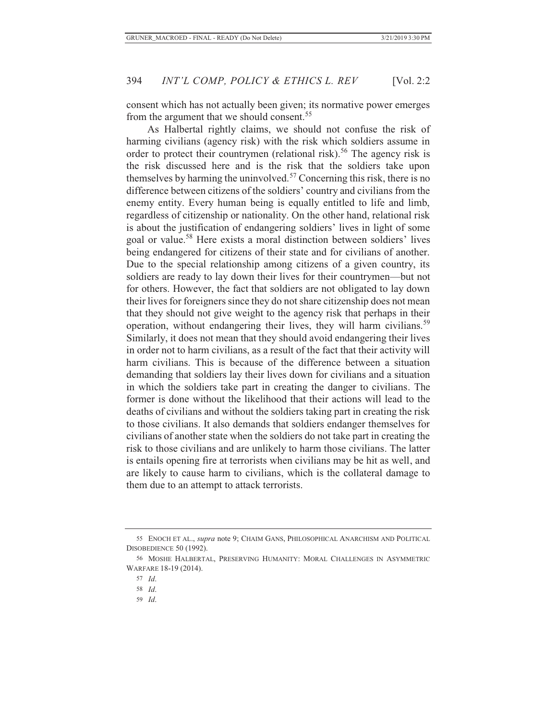consent which has not actually been given; its normative power emerges from the argument that we should consent.<sup>55</sup>

As Halbertal rightly claims, we should not confuse the risk of harming civilians (agency risk) with the risk which soldiers assume in order to protect their countrymen (relational risk).<sup>56</sup> The agency risk is the risk discussed here and is the risk that the soldiers take upon themselves by harming the uninvolved.<sup>57</sup> Concerning this risk, there is no difference between citizens of the soldiers' country and civilians from the enemy entity. Every human being is equally entitled to life and limb, regardless of citizenship or nationality. On the other hand, relational risk is about the justification of endangering soldiers' lives in light of some goal or value.58 Here exists a moral distinction between soldiers' lives being endangered for citizens of their state and for civilians of another. Due to the special relationship among citizens of a given country, its soldiers are ready to lay down their lives for their countrymen—but not for others. However, the fact that soldiers are not obligated to lay down their lives for foreigners since they do not share citizenship does not mean that they should not give weight to the agency risk that perhaps in their operation, without endangering their lives, they will harm civilians.<sup>59</sup> Similarly, it does not mean that they should avoid endangering their lives in order not to harm civilians, as a result of the fact that their activity will harm civilians. This is because of the difference between a situation demanding that soldiers lay their lives down for civilians and a situation in which the soldiers take part in creating the danger to civilians. The former is done without the likelihood that their actions will lead to the deaths of civilians and without the soldiers taking part in creating the risk to those civilians. It also demands that soldiers endanger themselves for civilians of another state when the soldiers do not take part in creating the risk to those civilians and are unlikely to harm those civilians. The latter is entails opening fire at terrorists when civilians may be hit as well, and are likely to cause harm to civilians, which is the collateral damage to them due to an attempt to attack terrorists.

59 *Id*.

<sup>55</sup> ENOCH ET AL., *supra* note 9; CHAIM GANS, PHILOSOPHICAL ANARCHISM AND POLITICAL DISOBEDIENCE 50 (1992).

<sup>56</sup> MOSHE HALBERTAL, PRESERVING HUMANITY: MORAL CHALLENGES IN ASYMMETRIC WARFARE 18-19 (2014).

<sup>57</sup> *Id*.

<sup>58</sup> *Id*.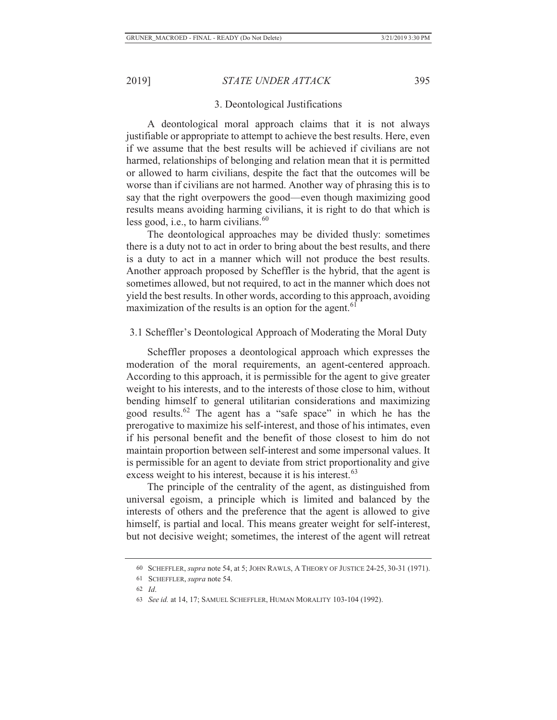#### 3. Deontological Justifications

A deontological moral approach claims that it is not always justifiable or appropriate to attempt to achieve the best results. Here, even if we assume that the best results will be achieved if civilians are not harmed, relationships of belonging and relation mean that it is permitted or allowed to harm civilians, despite the fact that the outcomes will be worse than if civilians are not harmed. Another way of phrasing this is to say that the right overpowers the good—even though maximizing good results means avoiding harming civilians, it is right to do that which is less good, i.e., to harm civilians. $60$ 

The deontological approaches may be divided thusly: sometimes there is a duty not to act in order to bring about the best results, and there is a duty to act in a manner which will not produce the best results. Another approach proposed by Scheffler is the hybrid, that the agent is sometimes allowed, but not required, to act in the manner which does not yield the best results. In other words, according to this approach, avoiding maximization of the results is an option for the agent. $61$ 

#### 3.1 Scheffler's Deontological Approach of Moderating the Moral Duty

Scheffler proposes a deontological approach which expresses the moderation of the moral requirements, an agent-centered approach. According to this approach, it is permissible for the agent to give greater weight to his interests, and to the interests of those close to him, without bending himself to general utilitarian considerations and maximizing good results.62 The agent has a "safe space" in which he has the prerogative to maximize his self-interest, and those of his intimates, even if his personal benefit and the benefit of those closest to him do not maintain proportion between self-interest and some impersonal values. It is permissible for an agent to deviate from strict proportionality and give excess weight to his interest, because it is his interest.<sup>63</sup>

The principle of the centrality of the agent, as distinguished from universal egoism, a principle which is limited and balanced by the interests of others and the preference that the agent is allowed to give himself, is partial and local. This means greater weight for self-interest, but not decisive weight; sometimes, the interest of the agent will retreat

<sup>60</sup> SCHEFFLER, *supra* note 54, at 5; JOHN RAWLS, A THEORY OF JUSTICE 24-25, 30-31 (1971).

<sup>61</sup> SCHEFFLER, *supra* note 54.

<sup>62</sup> *Id*.

<sup>63</sup> *See id.* at 14, 17; SAMUEL SCHEFFLER, HUMAN MORALITY 103-104 (1992).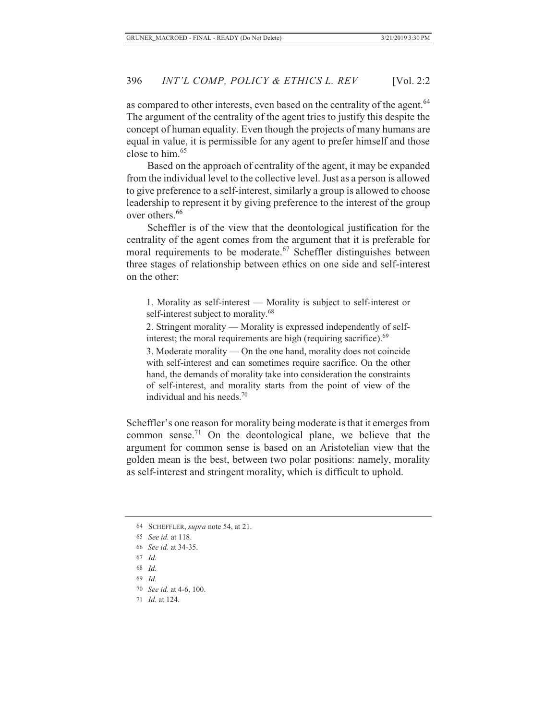as compared to other interests, even based on the centrality of the agent.<sup>64</sup> The argument of the centrality of the agent tries to justify this despite the concept of human equality. Even though the projects of many humans are equal in value, it is permissible for any agent to prefer himself and those close to him.65

Based on the approach of centrality of the agent, it may be expanded from the individual level to the collective level. Just as a person is allowed to give preference to a self-interest, similarly a group is allowed to choose leadership to represent it by giving preference to the interest of the group over others.<sup>66</sup>

Scheffler is of the view that the deontological justification for the centrality of the agent comes from the argument that it is preferable for moral requirements to be moderate.<sup>67</sup> Scheffler distinguishes between three stages of relationship between ethics on one side and self-interest on the other:

1. Morality as self-interest — Morality is subject to self-interest or self-interest subject to morality.<sup>68</sup>

2. Stringent morality — Morality is expressed independently of selfinterest; the moral requirements are high (requiring sacrifice). $69$ 

3. Moderate morality — On the one hand, morality does not coincide with self-interest and can sometimes require sacrifice. On the other hand, the demands of morality take into consideration the constraints of self-interest, and morality starts from the point of view of the individual and his needs $10$ 

Scheffler's one reason for morality being moderate is that it emerges from common sense.71 On the deontological plane, we believe that the argument for common sense is based on an Aristotelian view that the golden mean is the best, between two polar positions: namely, morality as self-interest and stringent morality, which is difficult to uphold.

- 68 *Id.*
- 69 *Id.*
- 70 *See id.* at 4-6, 100.
- 71 *Id.* at 124.

<sup>64</sup> SCHEFFLER, *supra* note 54, at 21.

<sup>65</sup> *See id.* at 118.

<sup>66</sup> *See id.* at 34-35.

<sup>67</sup> *Id*.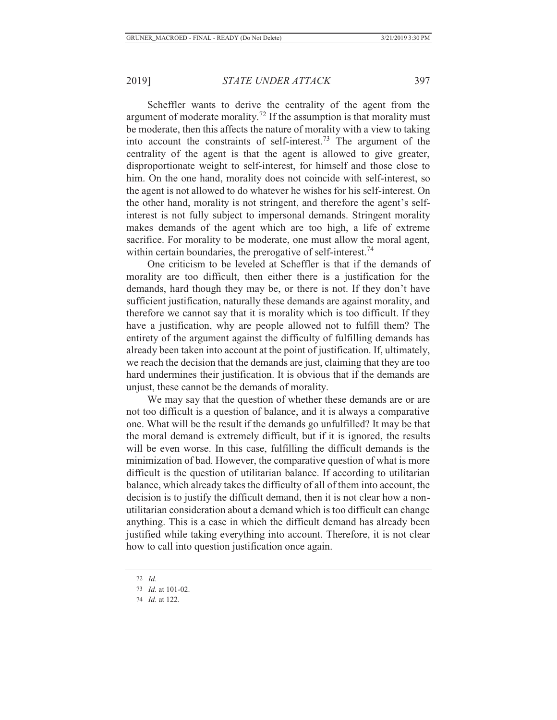Scheffler wants to derive the centrality of the agent from the argument of moderate morality.<sup>72</sup> If the assumption is that morality must be moderate, then this affects the nature of morality with a view to taking into account the constraints of self-interest.<sup>73</sup> The argument of the centrality of the agent is that the agent is allowed to give greater, disproportionate weight to self-interest, for himself and those close to him. On the one hand, morality does not coincide with self-interest, so the agent is not allowed to do whatever he wishes for his self-interest. On the other hand, morality is not stringent, and therefore the agent's selfinterest is not fully subject to impersonal demands. Stringent morality makes demands of the agent which are too high, a life of extreme sacrifice. For morality to be moderate, one must allow the moral agent, within certain boundaries, the prerogative of self-interest.<sup>74</sup>

One criticism to be leveled at Scheffler is that if the demands of morality are too difficult, then either there is a justification for the demands, hard though they may be, or there is not. If they don't have sufficient justification, naturally these demands are against morality, and therefore we cannot say that it is morality which is too difficult. If they have a justification, why are people allowed not to fulfill them? The entirety of the argument against the difficulty of fulfilling demands has already been taken into account at the point of justification. If, ultimately, we reach the decision that the demands are just, claiming that they are too hard undermines their justification. It is obvious that if the demands are unjust, these cannot be the demands of morality.

We may say that the question of whether these demands are or are not too difficult is a question of balance, and it is always a comparative one. What will be the result if the demands go unfulfilled? It may be that the moral demand is extremely difficult, but if it is ignored, the results will be even worse. In this case, fulfilling the difficult demands is the minimization of bad. However, the comparative question of what is more difficult is the question of utilitarian balance. If according to utilitarian balance, which already takes the difficulty of all of them into account, the decision is to justify the difficult demand, then it is not clear how a nonutilitarian consideration about a demand which is too difficult can change anything. This is a case in which the difficult demand has already been justified while taking everything into account. Therefore, it is not clear how to call into question justification once again.

<sup>72</sup> *Id*.

<sup>73</sup> *Id.* at 101-02.

<sup>74</sup> *Id*. at 122.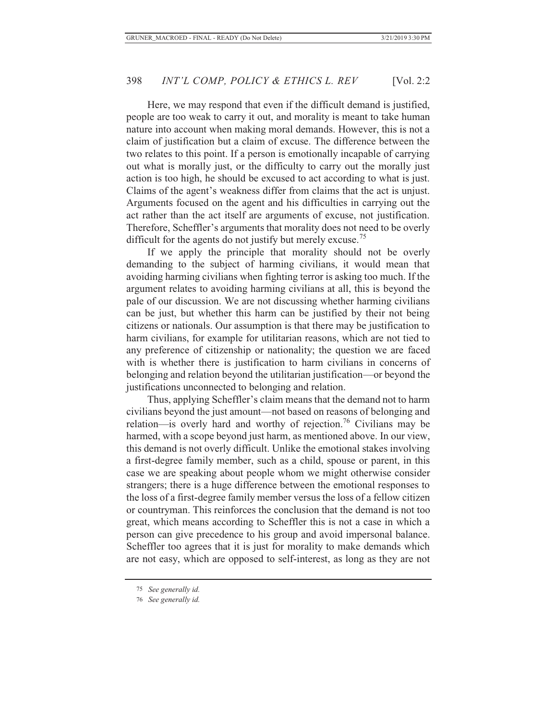Here, we may respond that even if the difficult demand is justified, people are too weak to carry it out, and morality is meant to take human nature into account when making moral demands. However, this is not a claim of justification but a claim of excuse. The difference between the two relates to this point. If a person is emotionally incapable of carrying out what is morally just, or the difficulty to carry out the morally just action is too high, he should be excused to act according to what is just. Claims of the agent's weakness differ from claims that the act is unjust. Arguments focused on the agent and his difficulties in carrying out the act rather than the act itself are arguments of excuse, not justification. Therefore, Scheffler's arguments that morality does not need to be overly difficult for the agents do not justify but merely excuse.<sup>75</sup>

If we apply the principle that morality should not be overly demanding to the subject of harming civilians, it would mean that avoiding harming civilians when fighting terror is asking too much. If the argument relates to avoiding harming civilians at all, this is beyond the pale of our discussion. We are not discussing whether harming civilians can be just, but whether this harm can be justified by their not being citizens or nationals. Our assumption is that there may be justification to harm civilians, for example for utilitarian reasons, which are not tied to any preference of citizenship or nationality; the question we are faced with is whether there is justification to harm civilians in concerns of belonging and relation beyond the utilitarian justification—or beyond the justifications unconnected to belonging and relation.

Thus, applying Scheffler's claim means that the demand not to harm civilians beyond the just amount—not based on reasons of belonging and relation—is overly hard and worthy of rejection.<sup>76</sup> Civilians may be harmed, with a scope beyond just harm, as mentioned above. In our view, this demand is not overly difficult. Unlike the emotional stakes involving a first-degree family member, such as a child, spouse or parent, in this case we are speaking about people whom we might otherwise consider strangers; there is a huge difference between the emotional responses to the loss of a first-degree family member versus the loss of a fellow citizen or countryman. This reinforces the conclusion that the demand is not too great, which means according to Scheffler this is not a case in which a person can give precedence to his group and avoid impersonal balance. Scheffler too agrees that it is just for morality to make demands which are not easy, which are opposed to self-interest, as long as they are not

<sup>75</sup> *See generally id.*

<sup>76</sup> *See generally id.*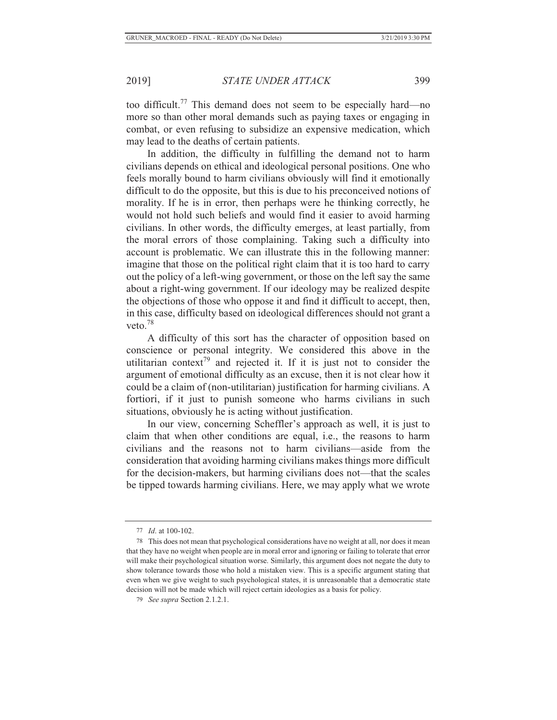too difficult.77 This demand does not seem to be especially hard—no more so than other moral demands such as paying taxes or engaging in combat, or even refusing to subsidize an expensive medication, which may lead to the deaths of certain patients.

In addition, the difficulty in fulfilling the demand not to harm civilians depends on ethical and ideological personal positions. One who feels morally bound to harm civilians obviously will find it emotionally difficult to do the opposite, but this is due to his preconceived notions of morality. If he is in error, then perhaps were he thinking correctly, he would not hold such beliefs and would find it easier to avoid harming civilians. In other words, the difficulty emerges, at least partially, from the moral errors of those complaining. Taking such a difficulty into account is problematic. We can illustrate this in the following manner: imagine that those on the political right claim that it is too hard to carry out the policy of a left-wing government, or those on the left say the same about a right-wing government. If our ideology may be realized despite the objections of those who oppose it and find it difficult to accept, then, in this case, difficulty based on ideological differences should not grant a veto.<sup>78</sup>

A difficulty of this sort has the character of opposition based on conscience or personal integrity. We considered this above in the utilitarian context<sup>79</sup> and rejected it. If it is just not to consider the argument of emotional difficulty as an excuse, then it is not clear how it could be a claim of (non-utilitarian) justification for harming civilians. A fortiori, if it just to punish someone who harms civilians in such situations, obviously he is acting without justification.

In our view, concerning Scheffler's approach as well, it is just to claim that when other conditions are equal, i.e., the reasons to harm civilians and the reasons not to harm civilians—aside from the consideration that avoiding harming civilians makes things more difficult for the decision-makers, but harming civilians does not—that the scales be tipped towards harming civilians. Here, we may apply what we wrote

<sup>77</sup> *Id*. at 100-102.

<sup>78</sup> This does not mean that psychological considerations have no weight at all, nor does it mean that they have no weight when people are in moral error and ignoring or failing to tolerate that error will make their psychological situation worse. Similarly, this argument does not negate the duty to show tolerance towards those who hold a mistaken view. This is a specific argument stating that even when we give weight to such psychological states, it is unreasonable that a democratic state decision will not be made which will reject certain ideologies as a basis for policy.

<sup>79</sup> *See supra* Section 2.1.2.1.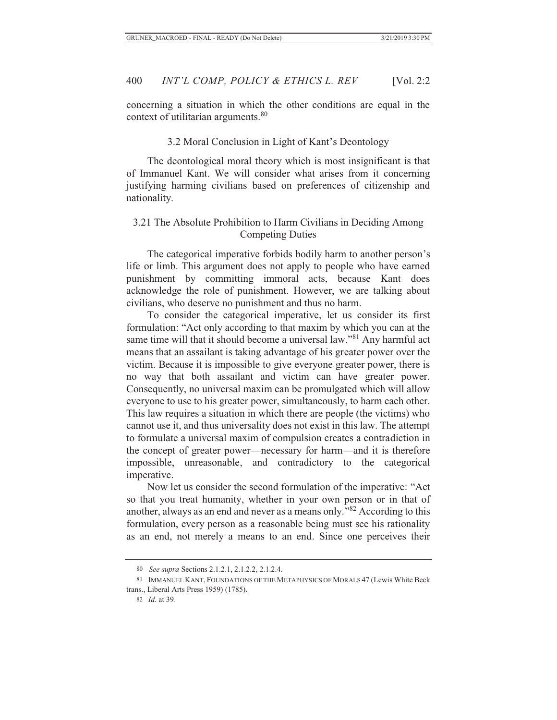concerning a situation in which the other conditions are equal in the context of utilitarian arguments.<sup>80</sup>

#### 3.2 Moral Conclusion in Light of Kant's Deontology

The deontological moral theory which is most insignificant is that of Immanuel Kant. We will consider what arises from it concerning justifying harming civilians based on preferences of citizenship and nationality.

# 3.21 The Absolute Prohibition to Harm Civilians in Deciding Among Competing Duties

The categorical imperative forbids bodily harm to another person's life or limb. This argument does not apply to people who have earned punishment by committing immoral acts, because Kant does acknowledge the role of punishment. However, we are talking about civilians, who deserve no punishment and thus no harm.

To consider the categorical imperative, let us consider its first formulation: "Act only according to that maxim by which you can at the same time will that it should become a universal law."<sup>81</sup> Any harmful act means that an assailant is taking advantage of his greater power over the victim. Because it is impossible to give everyone greater power, there is no way that both assailant and victim can have greater power. Consequently, no universal maxim can be promulgated which will allow everyone to use to his greater power, simultaneously, to harm each other. This law requires a situation in which there are people (the victims) who cannot use it, and thus universality does not exist in this law. The attempt to formulate a universal maxim of compulsion creates a contradiction in the concept of greater power—necessary for harm—and it is therefore impossible, unreasonable, and contradictory to the categorical imperative.

Now let us consider the second formulation of the imperative: "Act so that you treat humanity, whether in your own person or in that of another, always as an end and never as a means only."82 According to this formulation, every person as a reasonable being must see his rationality as an end, not merely a means to an end. Since one perceives their

<sup>80</sup> *See supra* Sections 2.1.2.1, 2.1.2.2, 2.1.2.4.

<sup>81</sup> IMMANUEL KANT, FOUNDATIONS OF THE METAPHYSICS OF MORALS 47 (Lewis White Beck trans., Liberal Arts Press 1959) (1785).

<sup>82</sup> *Id.* at 39.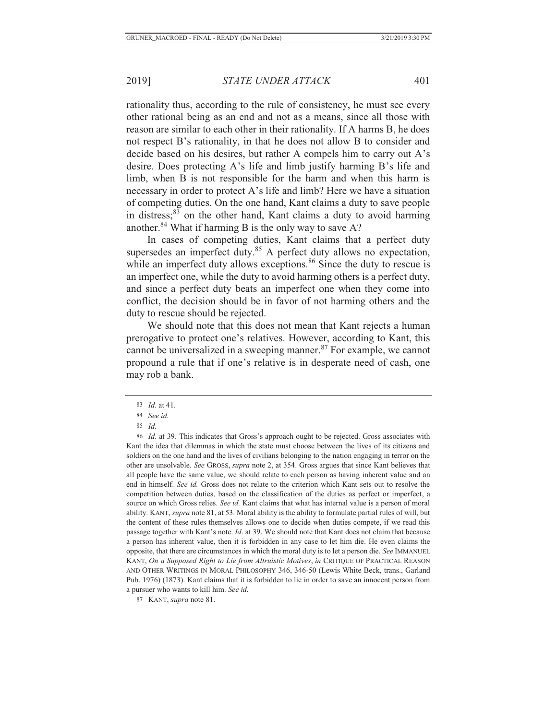rationality thus, according to the rule of consistency, he must see every other rational being as an end and not as a means, since all those with reason are similar to each other in their rationality. If A harms B, he does not respect B's rationality, in that he does not allow B to consider and decide based on his desires, but rather A compels him to carry out A's desire. Does protecting A's life and limb justify harming B's life and limb, when B is not responsible for the harm and when this harm is necessary in order to protect A's life and limb? Here we have a situation of competing duties. On the one hand, Kant claims a duty to save people in distress; $83$  on the other hand, Kant claims a duty to avoid harming another.<sup>84</sup> What if harming B is the only way to save A?

In cases of competing duties, Kant claims that a perfect duty supersedes an imperfect duty.<sup>85</sup> A perfect duty allows no expectation, while an imperfect duty allows exceptions.<sup>86</sup> Since the duty to rescue is an imperfect one, while the duty to avoid harming others is a perfect duty, and since a perfect duty beats an imperfect one when they come into conflict, the decision should be in favor of not harming others and the duty to rescue should be rejected.

We should note that this does not mean that Kant rejects a human prerogative to protect one's relatives. However, according to Kant, this cannot be universalized in a sweeping manner. $87$  For example, we cannot propound a rule that if one's relative is in desperate need of cash, one may rob a bank.

87 KANT, *supra* note 81.

<sup>83</sup> *Id*. at 41.

<sup>84</sup> *See id.*

<sup>85</sup> *Id.*

<sup>86</sup> *Id*. at 39. This indicates that Gross's approach ought to be rejected. Gross associates with Kant the idea that dilemmas in which the state must choose between the lives of its citizens and soldiers on the one hand and the lives of civilians belonging to the nation engaging in terror on the other are unsolvable. *See* GROSS, *supra* note 2, at 354. Gross argues that since Kant believes that all people have the same value, we should relate to each person as having inherent value and an end in himself. *See id.* Gross does not relate to the criterion which Kant sets out to resolve the competition between duties, based on the classification of the duties as perfect or imperfect, a source on which Gross relies. *See id.* Kant claims that what has internal value is a person of moral ability. KANT, *supra* note 81, at 53. Moral ability is the ability to formulate partial rules of will, but the content of these rules themselves allows one to decide when duties compete, if we read this passage together with Kant's note. *Id*. at 39. We should note that Kant does not claim that because a person has inherent value, then it is forbidden in any case to let him die. He even claims the opposite, that there are circumstances in which the moral duty is to let a person die. *See* IMMANUEL KANT, *On a Supposed Right to Lie from Altruistic Motives*, *in* CRITIQUE OF PRACTICAL REASON AND OTHER WRITINGS IN MORAL PHILOSOPHY 346, 346-50 (Lewis White Beck, trans., Garland Pub. 1976) (1873). Kant claims that it is forbidden to lie in order to save an innocent person from a pursuer who wants to kill him. *See id.*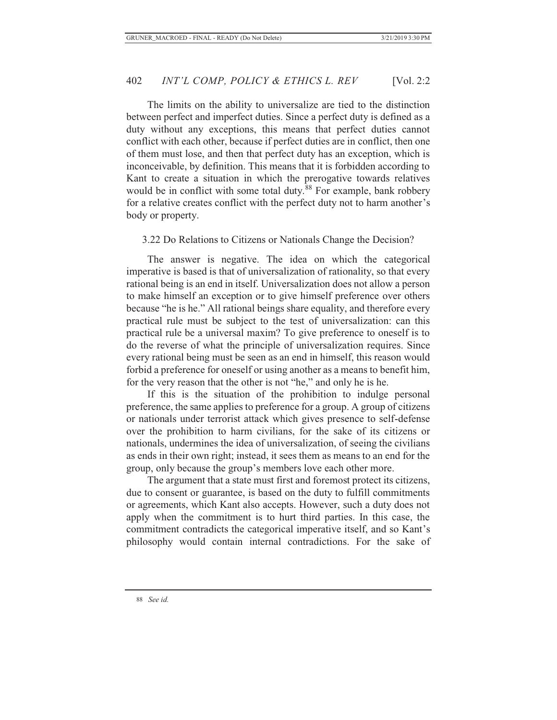The limits on the ability to universalize are tied to the distinction between perfect and imperfect duties. Since a perfect duty is defined as a duty without any exceptions, this means that perfect duties cannot conflict with each other, because if perfect duties are in conflict, then one of them must lose, and then that perfect duty has an exception, which is inconceivable, by definition. This means that it is forbidden according to Kant to create a situation in which the prerogative towards relatives would be in conflict with some total duty.<sup>88</sup> For example, bank robbery for a relative creates conflict with the perfect duty not to harm another's body or property.

#### 3.22 Do Relations to Citizens or Nationals Change the Decision?

The answer is negative. The idea on which the categorical imperative is based is that of universalization of rationality, so that every rational being is an end in itself. Universalization does not allow a person to make himself an exception or to give himself preference over others because "he is he." All rational beings share equality, and therefore every practical rule must be subject to the test of universalization: can this practical rule be a universal maxim? To give preference to oneself is to do the reverse of what the principle of universalization requires. Since every rational being must be seen as an end in himself, this reason would forbid a preference for oneself or using another as a means to benefit him, for the very reason that the other is not "he," and only he is he.

If this is the situation of the prohibition to indulge personal preference, the same applies to preference for a group. A group of citizens or nationals under terrorist attack which gives presence to self-defense over the prohibition to harm civilians, for the sake of its citizens or nationals, undermines the idea of universalization, of seeing the civilians as ends in their own right; instead, it sees them as means to an end for the group, only because the group's members love each other more.

The argument that a state must first and foremost protect its citizens, due to consent or guarantee, is based on the duty to fulfill commitments or agreements, which Kant also accepts. However, such a duty does not apply when the commitment is to hurt third parties. In this case, the commitment contradicts the categorical imperative itself, and so Kant's philosophy would contain internal contradictions. For the sake of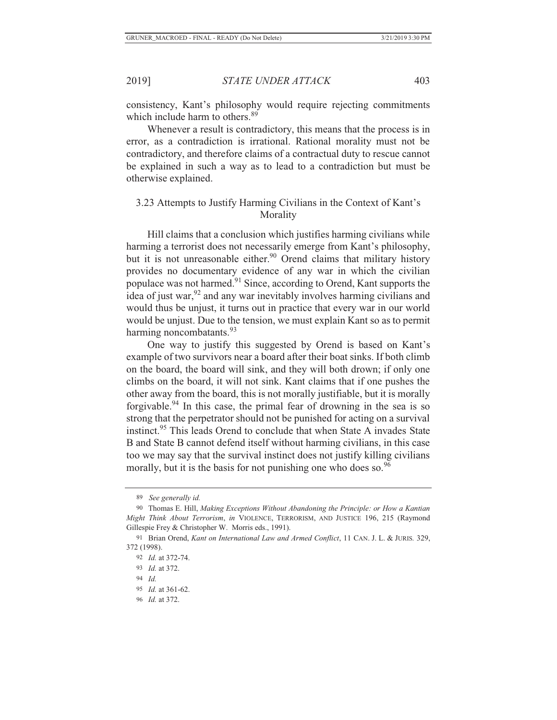consistency, Kant's philosophy would require rejecting commitments which include harm to others.<sup>89</sup>

Whenever a result is contradictory, this means that the process is in error, as a contradiction is irrational. Rational morality must not be contradictory, and therefore claims of a contractual duty to rescue cannot be explained in such a way as to lead to a contradiction but must be otherwise explained.

## 3.23 Attempts to Justify Harming Civilians in the Context of Kant's Morality

Hill claims that a conclusion which justifies harming civilians while harming a terrorist does not necessarily emerge from Kant's philosophy, but it is not unreasonable either.<sup>90</sup> Orend claims that military history provides no documentary evidence of any war in which the civilian populace was not harmed.<sup>91</sup> Since, according to Orend, Kant supports the idea of just war, $92$  and any war inevitably involves harming civilians and would thus be unjust, it turns out in practice that every war in our world would be unjust. Due to the tension, we must explain Kant so as to permit harming noncombatants.<sup>93</sup>

One way to justify this suggested by Orend is based on Kant's example of two survivors near a board after their boat sinks. If both climb on the board, the board will sink, and they will both drown; if only one climbs on the board, it will not sink. Kant claims that if one pushes the other away from the board, this is not morally justifiable, but it is morally forgivable.94 In this case, the primal fear of drowning in the sea is so strong that the perpetrator should not be punished for acting on a survival instinct.95 This leads Orend to conclude that when State A invades State B and State B cannot defend itself without harming civilians, in this case too we may say that the survival instinct does not justify killing civilians morally, but it is the basis for not punishing one who does so.  $96$ 

96 *Id.* at 372.

<sup>89</sup> *See generally id.*

<sup>90</sup> Thomas E. Hill, *Making Exceptions Without Abandoning the Principle: or How a Kantian Might Think About Terrorism*, *in* VIOLENCE, TERRORISM, AND JUSTICE 196, 215 (Raymond Gillespie Frey & Christopher W. Morris eds., 1991).

<sup>91</sup> Brian Orend, *Kant on International Law and Armed Conflict*, 11 CAN. J. L. & JURIS*.* 329, 372 (1998).

<sup>92</sup> *Id.* at 372-74.

<sup>93</sup> *Id.* at 372.

<sup>94</sup> *Id.*

<sup>95</sup> *Id.* at 361-62.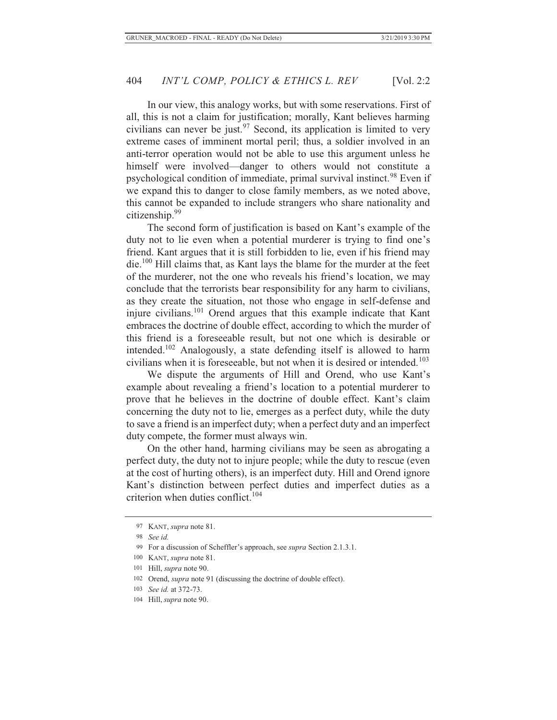In our view, this analogy works, but with some reservations. First of all, this is not a claim for justification; morally, Kant believes harming civilians can never be just.<sup>97</sup> Second, its application is limited to very extreme cases of imminent mortal peril; thus, a soldier involved in an anti-terror operation would not be able to use this argument unless he himself were involved—danger to others would not constitute a psychological condition of immediate, primal survival instinct.<sup>98</sup> Even if we expand this to danger to close family members, as we noted above, this cannot be expanded to include strangers who share nationality and citizenship.99

The second form of justification is based on Kant's example of the duty not to lie even when a potential murderer is trying to find one's friend. Kant argues that it is still forbidden to lie, even if his friend may die.100 Hill claims that, as Kant lays the blame for the murder at the feet of the murderer, not the one who reveals his friend's location, we may conclude that the terrorists bear responsibility for any harm to civilians, as they create the situation, not those who engage in self-defense and injure civilians.101 Orend argues that this example indicate that Kant embraces the doctrine of double effect, according to which the murder of this friend is a foreseeable result, but not one which is desirable or intended.<sup>102</sup> Analogously, a state defending itself is allowed to harm civilians when it is foreseeable, but not when it is desired or intended.<sup>103</sup>

We dispute the arguments of Hill and Orend, who use Kant's example about revealing a friend's location to a potential murderer to prove that he believes in the doctrine of double effect. Kant's claim concerning the duty not to lie, emerges as a perfect duty, while the duty to save a friend is an imperfect duty; when a perfect duty and an imperfect duty compete, the former must always win.

On the other hand, harming civilians may be seen as abrogating a perfect duty, the duty not to injure people; while the duty to rescue (even at the cost of hurting others), is an imperfect duty. Hill and Orend ignore Kant's distinction between perfect duties and imperfect duties as a criterion when duties conflict. $104$ 

<sup>97</sup> KANT, *supra* note 81.

<sup>98</sup> *See id.*

<sup>99</sup> For a discussion of Scheffler's approach, see *supra* Section 2.1.3.1.

<sup>100</sup> KANT, *supra* note 81.

<sup>101</sup> Hill, *supra* note 90.

<sup>102</sup> Orend, *supra* note 91 (discussing the doctrine of double effect).

<sup>103</sup> *See id.* at 372-73.

<sup>104</sup> Hill, *supra* note 90.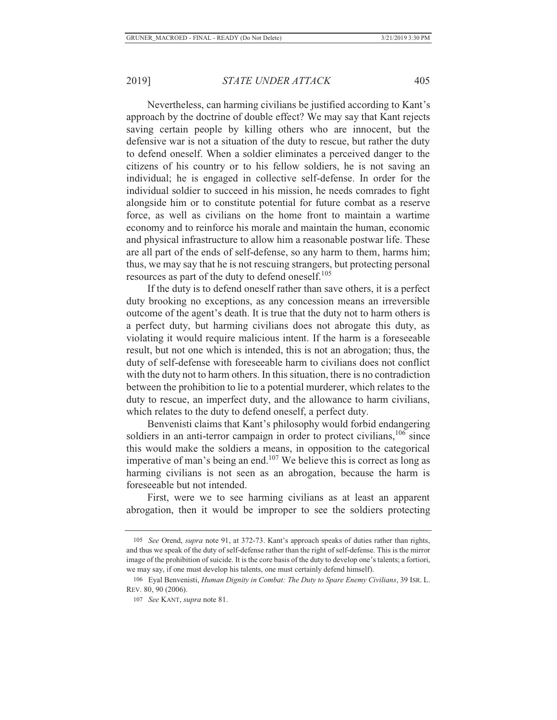Nevertheless, can harming civilians be justified according to Kant's approach by the doctrine of double effect? We may say that Kant rejects saving certain people by killing others who are innocent, but the defensive war is not a situation of the duty to rescue, but rather the duty to defend oneself. When a soldier eliminates a perceived danger to the citizens of his country or to his fellow soldiers, he is not saving an individual; he is engaged in collective self-defense. In order for the individual soldier to succeed in his mission, he needs comrades to fight alongside him or to constitute potential for future combat as a reserve force, as well as civilians on the home front to maintain a wartime economy and to reinforce his morale and maintain the human, economic and physical infrastructure to allow him a reasonable postwar life. These are all part of the ends of self-defense, so any harm to them, harms him; thus, we may say that he is not rescuing strangers, but protecting personal resources as part of the duty to defend oneself.<sup>105</sup>

If the duty is to defend oneself rather than save others, it is a perfect duty brooking no exceptions, as any concession means an irreversible outcome of the agent's death. It is true that the duty not to harm others is a perfect duty, but harming civilians does not abrogate this duty, as violating it would require malicious intent. If the harm is a foreseeable result, but not one which is intended, this is not an abrogation; thus, the duty of self-defense with foreseeable harm to civilians does not conflict with the duty not to harm others. In this situation, there is no contradiction between the prohibition to lie to a potential murderer, which relates to the duty to rescue, an imperfect duty, and the allowance to harm civilians, which relates to the duty to defend oneself, a perfect duty.

Benvenisti claims that Kant's philosophy would forbid endangering soldiers in an anti-terror campaign in order to protect civilians,  $106$  since this would make the soldiers a means, in opposition to the categorical imperative of man's being an end.107 We believe this is correct as long as harming civilians is not seen as an abrogation, because the harm is foreseeable but not intended.

First, were we to see harming civilians as at least an apparent abrogation, then it would be improper to see the soldiers protecting

<sup>105</sup> *See* Orend, *supra* note 91, at 372-73. Kant's approach speaks of duties rather than rights, and thus we speak of the duty of self-defense rather than the right of self-defense. This is the mirror image of the prohibition of suicide. It is the core basis of the duty to develop one's talents; a fortiori, we may say, if one must develop his talents, one must certainly defend himself).

<sup>106</sup> Eyal Benvenisti, *Human Dignity in Combat: The Duty to Spare Enemy Civilians*, 39 ISR. L. REV. 80, 90 (2006).

<sup>107</sup> *See* KANT, *supra* note 81.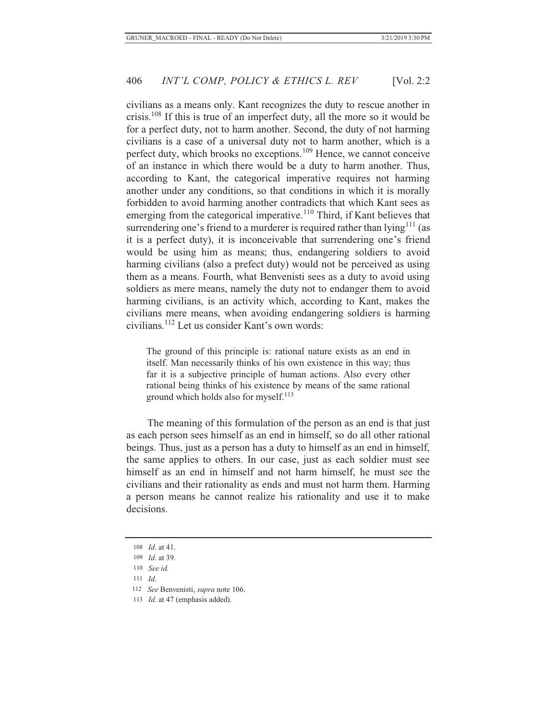civilians as a means only. Kant recognizes the duty to rescue another in crisis.108 If this is true of an imperfect duty, all the more so it would be for a perfect duty, not to harm another. Second, the duty of not harming civilians is a case of a universal duty not to harm another, which is a perfect duty, which brooks no exceptions.<sup>109</sup> Hence, we cannot conceive of an instance in which there would be a duty to harm another. Thus, according to Kant, the categorical imperative requires not harming another under any conditions, so that conditions in which it is morally forbidden to avoid harming another contradicts that which Kant sees as emerging from the categorical imperative.<sup>110</sup> Third, if Kant believes that surrendering one's friend to a murderer is required rather than  $\text{lying}^{111}$  (as it is a perfect duty), it is inconceivable that surrendering one's friend would be using him as means; thus, endangering soldiers to avoid harming civilians (also a prefect duty) would not be perceived as using them as a means. Fourth, what Benvenisti sees as a duty to avoid using soldiers as mere means, namely the duty not to endanger them to avoid harming civilians, is an activity which, according to Kant, makes the civilians mere means, when avoiding endangering soldiers is harming civilians.112 Let us consider Kant's own words:

The ground of this principle is: rational nature exists as an end in itself. Man necessarily thinks of his own existence in this way; thus far it is a subjective principle of human actions. Also every other rational being thinks of his existence by means of the same rational ground which holds also for myself.<sup>113</sup>

The meaning of this formulation of the person as an end is that just as each person sees himself as an end in himself, so do all other rational beings. Thus, just as a person has a duty to himself as an end in himself, the same applies to others. In our case, just as each soldier must see himself as an end in himself and not harm himself, he must see the civilians and their rationality as ends and must not harm them. Harming a person means he cannot realize his rationality and use it to make decisions.

<sup>108</sup> *Id*. at 41.

<sup>109</sup> *Id*. at 39.

<sup>110</sup> *See id.*

<sup>111</sup> *Id.*

 <sup>112</sup> *See* Benvenisti, *supra* note 106.

<sup>113</sup> *Id.* at 47 (emphasis added).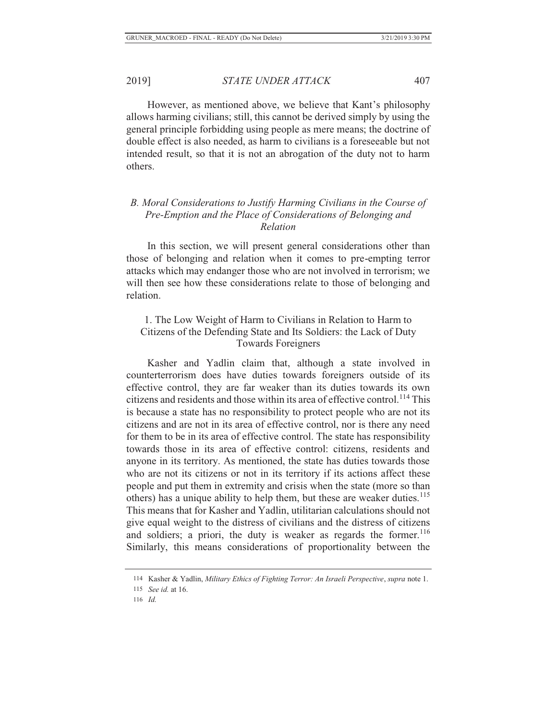However, as mentioned above, we believe that Kant's philosophy allows harming civilians; still, this cannot be derived simply by using the general principle forbidding using people as mere means; the doctrine of double effect is also needed, as harm to civilians is a foreseeable but not intended result, so that it is not an abrogation of the duty not to harm others.

### *B. Moral Considerations to Justify Harming Civilians in the Course of Pre-Emption and the Place of Considerations of Belonging and Relation*

In this section, we will present general considerations other than those of belonging and relation when it comes to pre-empting terror attacks which may endanger those who are not involved in terrorism; we will then see how these considerations relate to those of belonging and relation.

# 1. The Low Weight of Harm to Civilians in Relation to Harm to Citizens of the Defending State and Its Soldiers: the Lack of Duty Towards Foreigners

Kasher and Yadlin claim that, although a state involved in counterterrorism does have duties towards foreigners outside of its effective control, they are far weaker than its duties towards its own citizens and residents and those within its area of effective control.<sup>114</sup> This is because a state has no responsibility to protect people who are not its citizens and are not in its area of effective control, nor is there any need for them to be in its area of effective control. The state has responsibility towards those in its area of effective control: citizens, residents and anyone in its territory. As mentioned, the state has duties towards those who are not its citizens or not in its territory if its actions affect these people and put them in extremity and crisis when the state (more so than others) has a unique ability to help them, but these are weaker duties.<sup>115</sup> This means that for Kasher and Yadlin, utilitarian calculations should not give equal weight to the distress of civilians and the distress of citizens and soldiers; a priori, the duty is weaker as regards the former.<sup>116</sup> Similarly, this means considerations of proportionality between the

<sup>114</sup> Kasher & Yadlin, *Military Ethics of Fighting Terror: An Israeli Perspective*, *supra* note 1.

<sup>115</sup> *See id.* at 16.

<sup>116</sup> *Id.*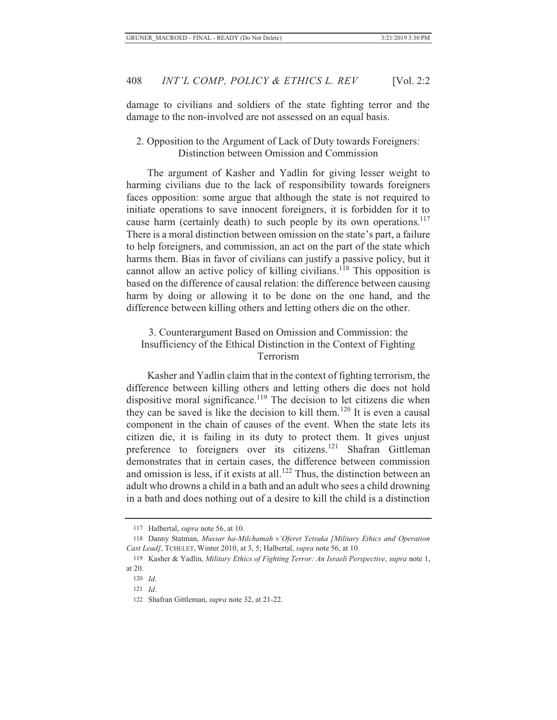damage to civilians and soldiers of the state fighting terror and the damage to the non-involved are not assessed on an equal basis.

2. Opposition to the Argument of Lack of Duty towards Foreigners: Distinction between Omission and Commission

The argument of Kasher and Yadlin for giving lesser weight to harming civilians due to the lack of responsibility towards foreigners faces opposition: some argue that although the state is not required to initiate operations to save innocent foreigners, it is forbidden for it to cause harm (certainly death) to such people by its own operations.<sup>117</sup> There is a moral distinction between omission on the state's part, a failure to help foreigners, and commission, an act on the part of the state which harms them. Bias in favor of civilians can justify a passive policy, but it cannot allow an active policy of killing civilians.<sup>118</sup> This opposition is based on the difference of causal relation: the difference between causing harm by doing or allowing it to be done on the one hand, and the difference between killing others and letting others die on the other.

### 3. Counterargument Based on Omission and Commission: the Insufficiency of the Ethical Distinction in the Context of Fighting Terrorism

Kasher and Yadlin claim that in the context of fighting terrorism, the difference between killing others and letting others die does not hold dispositive moral significance.<sup>119</sup> The decision to let citizens die when they can be saved is like the decision to kill them.<sup>120</sup> It is even a causal component in the chain of causes of the event. When the state lets its citizen die, it is failing in its duty to protect them. It gives unjust preference to foreigners over its citizens.<sup>121</sup> Shafran Gittleman demonstrates that in certain cases, the difference between commission and omission is less, if it exists at all.<sup>122</sup> Thus, the distinction between an adult who drowns a child in a bath and an adult who sees a child drowning in a bath and does nothing out of a desire to kill the child is a distinction

<sup>117</sup> Halbertal, *supra* note 56, at 10.

<sup>118</sup> Danny Statman, *Mussar ha-Milchamah v'Oferet Yetsuka [Military Ethics and Operation Cast Lead]*, TCHELET, Winter 2010, at 3, 5; Halbertal, *supra* note 56, at 10.

<sup>119</sup> Kasher & Yadlin, *Military Ethics of Fighting Terror: An Israeli Perspective*, *supra* note 1, at 20.

<sup>120</sup> *Id.*

<sup>121</sup> *Id*.

<sup>122</sup> Shafran Gittleman, *supra* note 32, at 21-22.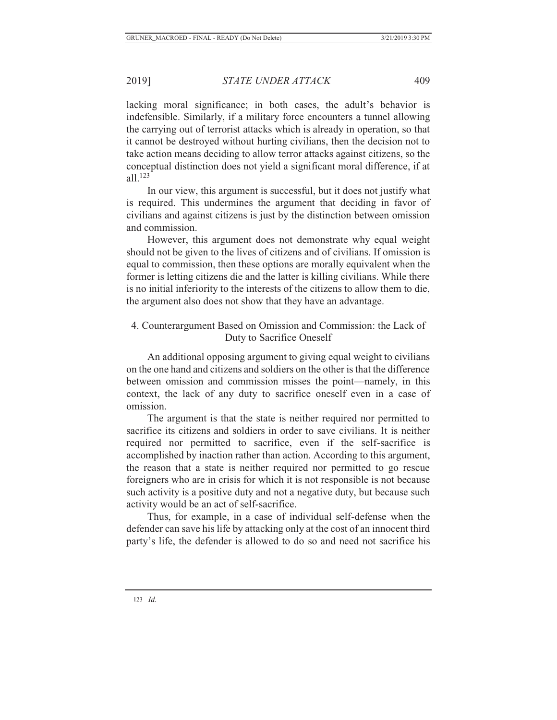lacking moral significance; in both cases, the adult's behavior is indefensible. Similarly, if a military force encounters a tunnel allowing the carrying out of terrorist attacks which is already in operation, so that it cannot be destroyed without hurting civilians, then the decision not to take action means deciding to allow terror attacks against citizens, so the conceptual distinction does not yield a significant moral difference, if at all.123

In our view, this argument is successful, but it does not justify what is required. This undermines the argument that deciding in favor of civilians and against citizens is just by the distinction between omission and commission.

However, this argument does not demonstrate why equal weight should not be given to the lives of citizens and of civilians. If omission is equal to commission, then these options are morally equivalent when the former is letting citizens die and the latter is killing civilians. While there is no initial inferiority to the interests of the citizens to allow them to die, the argument also does not show that they have an advantage.

# 4. Counterargument Based on Omission and Commission: the Lack of Duty to Sacrifice Oneself

An additional opposing argument to giving equal weight to civilians on the one hand and citizens and soldiers on the other is that the difference between omission and commission misses the point—namely, in this context, the lack of any duty to sacrifice oneself even in a case of omission.

The argument is that the state is neither required nor permitted to sacrifice its citizens and soldiers in order to save civilians. It is neither required nor permitted to sacrifice, even if the self-sacrifice is accomplished by inaction rather than action. According to this argument, the reason that a state is neither required nor permitted to go rescue foreigners who are in crisis for which it is not responsible is not because such activity is a positive duty and not a negative duty, but because such activity would be an act of self-sacrifice.

Thus, for example, in a case of individual self-defense when the defender can save his life by attacking only at the cost of an innocent third party's life, the defender is allowed to do so and need not sacrifice his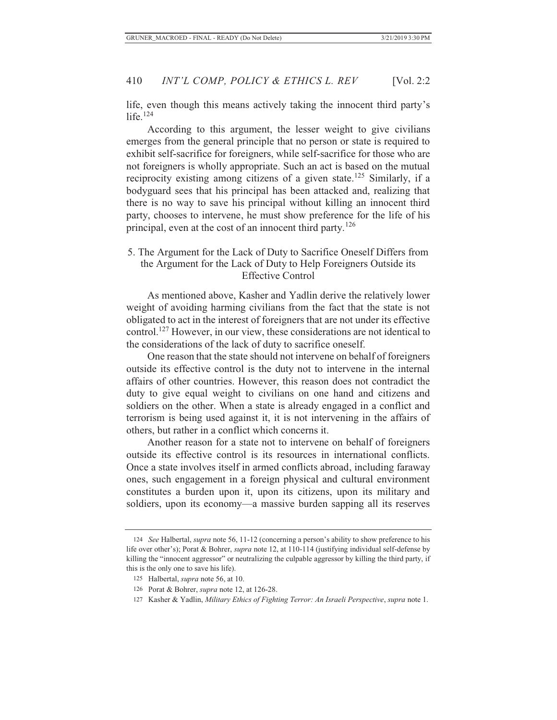life, even though this means actively taking the innocent third party's life. $124$ 

According to this argument, the lesser weight to give civilians emerges from the general principle that no person or state is required to exhibit self-sacrifice for foreigners, while self-sacrifice for those who are not foreigners is wholly appropriate. Such an act is based on the mutual reciprocity existing among citizens of a given state.<sup>125</sup> Similarly, if a bodyguard sees that his principal has been attacked and, realizing that there is no way to save his principal without killing an innocent third party, chooses to intervene, he must show preference for the life of his principal, even at the cost of an innocent third party.<sup>126</sup>

### 5. The Argument for the Lack of Duty to Sacrifice Oneself Differs from the Argument for the Lack of Duty to Help Foreigners Outside its Effective Control

As mentioned above, Kasher and Yadlin derive the relatively lower weight of avoiding harming civilians from the fact that the state is not obligated to act in the interest of foreigners that are not under its effective control.127 However, in our view, these considerations are not identical to the considerations of the lack of duty to sacrifice oneself.

One reason that the state should not intervene on behalf of foreigners outside its effective control is the duty not to intervene in the internal affairs of other countries. However, this reason does not contradict the duty to give equal weight to civilians on one hand and citizens and soldiers on the other. When a state is already engaged in a conflict and terrorism is being used against it, it is not intervening in the affairs of others, but rather in a conflict which concerns it.

Another reason for a state not to intervene on behalf of foreigners outside its effective control is its resources in international conflicts. Once a state involves itself in armed conflicts abroad, including faraway ones, such engagement in a foreign physical and cultural environment constitutes a burden upon it, upon its citizens, upon its military and soldiers, upon its economy—a massive burden sapping all its reserves

<sup>124</sup> *See* Halbertal, *supra* note 56, 11-12 (concerning a person's ability to show preference to his life over other's); Porat & Bohrer, *supra* note 12, at 110-114 (justifying individual self-defense by killing the "innocent aggressor" or neutralizing the culpable aggressor by killing the third party, if this is the only one to save his life).

<sup>125</sup> Halbertal, *supra* note 56, at 10.

<sup>126</sup> Porat & Bohrer, *supra* note 12, at 126-28.

<sup>127</sup> Kasher & Yadlin, *Military Ethics of Fighting Terror: An Israeli Perspective*, *supra* note 1.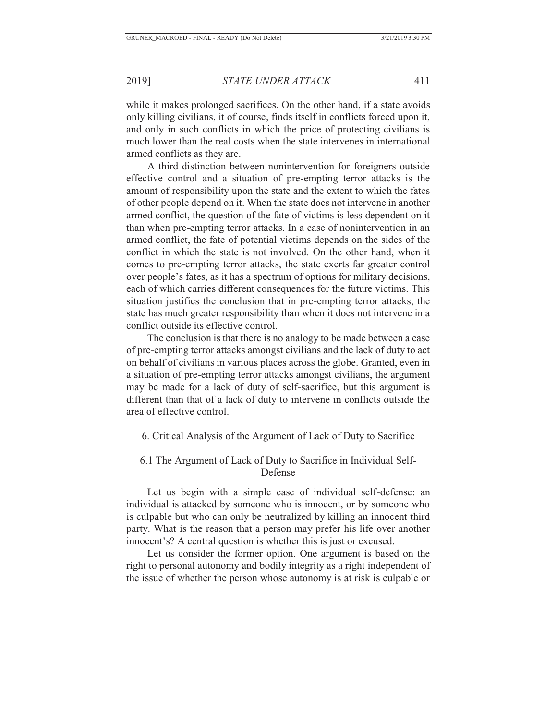while it makes prolonged sacrifices. On the other hand, if a state avoids only killing civilians, it of course, finds itself in conflicts forced upon it, and only in such conflicts in which the price of protecting civilians is much lower than the real costs when the state intervenes in international armed conflicts as they are.

A third distinction between nonintervention for foreigners outside effective control and a situation of pre-empting terror attacks is the amount of responsibility upon the state and the extent to which the fates of other people depend on it. When the state does not intervene in another armed conflict, the question of the fate of victims is less dependent on it than when pre-empting terror attacks. In a case of nonintervention in an armed conflict, the fate of potential victims depends on the sides of the conflict in which the state is not involved. On the other hand, when it comes to pre-empting terror attacks, the state exerts far greater control over people's fates, as it has a spectrum of options for military decisions, each of which carries different consequences for the future victims. This situation justifies the conclusion that in pre-empting terror attacks, the state has much greater responsibility than when it does not intervene in a conflict outside its effective control.

The conclusion is that there is no analogy to be made between a case of pre-empting terror attacks amongst civilians and the lack of duty to act on behalf of civilians in various places across the globe. Granted, even in a situation of pre-empting terror attacks amongst civilians, the argument may be made for a lack of duty of self-sacrifice, but this argument is different than that of a lack of duty to intervene in conflicts outside the area of effective control.

#### 6. Critical Analysis of the Argument of Lack of Duty to Sacrifice

## 6.1 The Argument of Lack of Duty to Sacrifice in Individual Self-Defense

Let us begin with a simple case of individual self-defense: an individual is attacked by someone who is innocent, or by someone who is culpable but who can only be neutralized by killing an innocent third party. What is the reason that a person may prefer his life over another innocent's? A central question is whether this is just or excused.

Let us consider the former option. One argument is based on the right to personal autonomy and bodily integrity as a right independent of the issue of whether the person whose autonomy is at risk is culpable or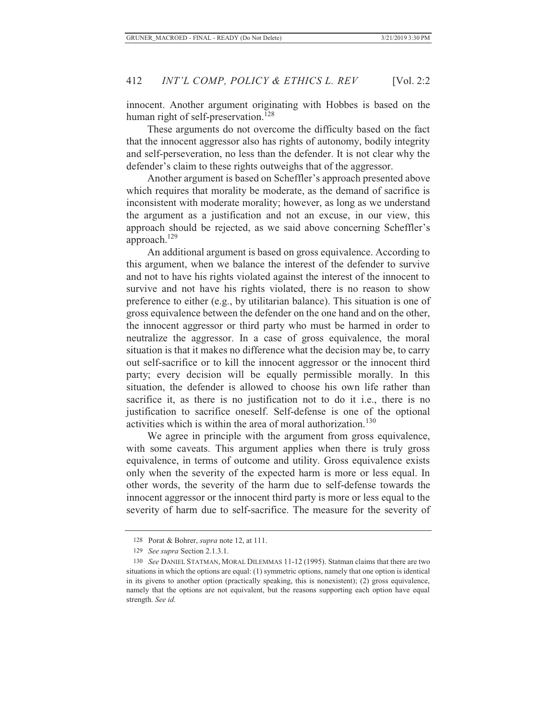innocent. Another argument originating with Hobbes is based on the human right of self-preservation.<sup>128</sup>

These arguments do not overcome the difficulty based on the fact that the innocent aggressor also has rights of autonomy, bodily integrity and self-perseveration, no less than the defender. It is not clear why the defender's claim to these rights outweighs that of the aggressor.

Another argument is based on Scheffler's approach presented above which requires that morality be moderate, as the demand of sacrifice is inconsistent with moderate morality; however, as long as we understand the argument as a justification and not an excuse, in our view, this approach should be rejected, as we said above concerning Scheffler's approach.129

An additional argument is based on gross equivalence. According to this argument, when we balance the interest of the defender to survive and not to have his rights violated against the interest of the innocent to survive and not have his rights violated, there is no reason to show preference to either (e.g., by utilitarian balance). This situation is one of gross equivalence between the defender on the one hand and on the other, the innocent aggressor or third party who must be harmed in order to neutralize the aggressor. In a case of gross equivalence, the moral situation is that it makes no difference what the decision may be, to carry out self-sacrifice or to kill the innocent aggressor or the innocent third party; every decision will be equally permissible morally. In this situation, the defender is allowed to choose his own life rather than sacrifice it, as there is no justification not to do it i.e., there is no justification to sacrifice oneself. Self-defense is one of the optional activities which is within the area of moral authorization.<sup>130</sup>

We agree in principle with the argument from gross equivalence, with some caveats. This argument applies when there is truly gross equivalence, in terms of outcome and utility. Gross equivalence exists only when the severity of the expected harm is more or less equal. In other words, the severity of the harm due to self-defense towards the innocent aggressor or the innocent third party is more or less equal to the severity of harm due to self-sacrifice. The measure for the severity of

<sup>128</sup> Porat & Bohrer, *supra* note 12, at 111.

<sup>129</sup> *See supra* Section 2.1.3.1.

<sup>130</sup> *See* DANIEL STATMAN, MORAL DILEMMAS 11-12 (1995). Statman claims that there are two situations in which the options are equal: (1) symmetric options, namely that one option is identical in its givens to another option (practically speaking, this is nonexistent); (2) gross equivalence, namely that the options are not equivalent, but the reasons supporting each option have equal strength. *See id.*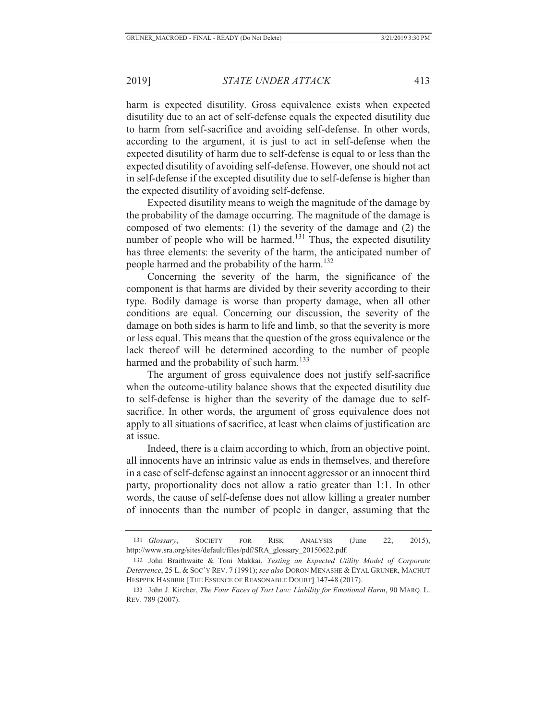harm is expected disutility. Gross equivalence exists when expected disutility due to an act of self-defense equals the expected disutility due to harm from self-sacrifice and avoiding self-defense. In other words, according to the argument, it is just to act in self-defense when the expected disutility of harm due to self-defense is equal to or less than the expected disutility of avoiding self-defense. However, one should not act in self-defense if the excepted disutility due to self-defense is higher than the expected disutility of avoiding self-defense.

Expected disutility means to weigh the magnitude of the damage by the probability of the damage occurring. The magnitude of the damage is composed of two elements: (1) the severity of the damage and (2) the number of people who will be harmed. $131$  Thus, the expected disutility has three elements: the severity of the harm, the anticipated number of people harmed and the probability of the harm.<sup>132</sup>

Concerning the severity of the harm, the significance of the component is that harms are divided by their severity according to their type. Bodily damage is worse than property damage, when all other conditions are equal. Concerning our discussion, the severity of the damage on both sides is harm to life and limb, so that the severity is more or less equal. This means that the question of the gross equivalence or the lack thereof will be determined according to the number of people harmed and the probability of such harm.<sup>133</sup>

The argument of gross equivalence does not justify self-sacrifice when the outcome-utility balance shows that the expected disutility due to self-defense is higher than the severity of the damage due to selfsacrifice. In other words, the argument of gross equivalence does not apply to all situations of sacrifice, at least when claims of justification are at issue.

Indeed, there is a claim according to which, from an objective point, all innocents have an intrinsic value as ends in themselves, and therefore in a case of self-defense against an innocent aggressor or an innocent third party, proportionality does not allow a ratio greater than 1:1. In other words, the cause of self-defense does not allow killing a greater number of innocents than the number of people in danger, assuming that the

<sup>131</sup> *Glossary*, SOCIETY FOR RISK ANALYSIS (June 22, 2015), http://www.sra.org/sites/default/files/pdf/SRA\_glossary\_20150622.pdf.

<sup>132</sup>John Braithwaite & Toni Makkai, *Testing an Expected Utility Model of Corporate Deterrence*, 25 L. & SOC'Y REV. 7 (1991); *see also* DORON MENASHE & EYAL GRUNER, MACHUT HESPPEK HASBBIR [THE ESSENCE OF REASONABLE DOUBT] 147-48 (2017).

<sup>133</sup> John J. Kircher, *The Four Faces of Tort Law: Liability for Emotional Harm*, 90 MARQ. L. REV. 789 (2007).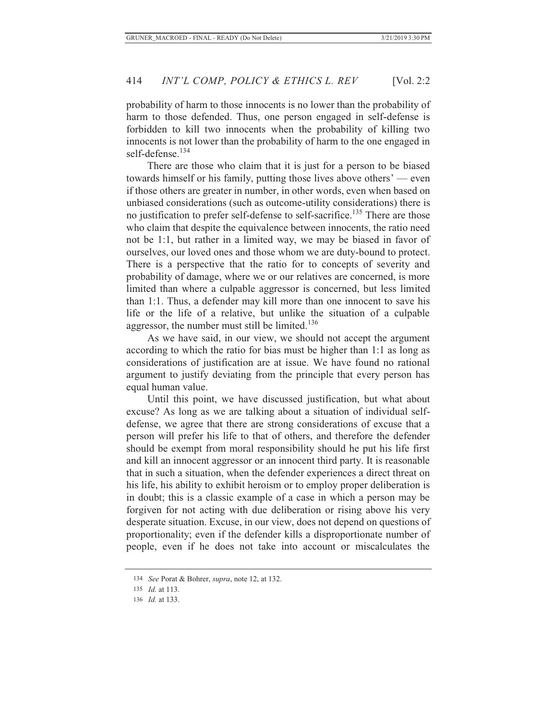probability of harm to those innocents is no lower than the probability of harm to those defended. Thus, one person engaged in self-defense is forbidden to kill two innocents when the probability of killing two innocents is not lower than the probability of harm to the one engaged in self-defense.<sup>134</sup>

There are those who claim that it is just for a person to be biased towards himself or his family, putting those lives above others' — even if those others are greater in number, in other words, even when based on unbiased considerations (such as outcome-utility considerations) there is no justification to prefer self-defense to self-sacrifice.135 There are those who claim that despite the equivalence between innocents, the ratio need not be 1:1, but rather in a limited way, we may be biased in favor of ourselves, our loved ones and those whom we are duty-bound to protect. There is a perspective that the ratio for to concepts of severity and probability of damage, where we or our relatives are concerned, is more limited than where a culpable aggressor is concerned, but less limited than 1:1. Thus, a defender may kill more than one innocent to save his life or the life of a relative, but unlike the situation of a culpable aggressor, the number must still be limited.<sup>136</sup>

As we have said, in our view, we should not accept the argument according to which the ratio for bias must be higher than 1:1 as long as considerations of justification are at issue. We have found no rational argument to justify deviating from the principle that every person has equal human value.

Until this point, we have discussed justification, but what about excuse? As long as we are talking about a situation of individual selfdefense, we agree that there are strong considerations of excuse that a person will prefer his life to that of others, and therefore the defender should be exempt from moral responsibility should he put his life first and kill an innocent aggressor or an innocent third party. It is reasonable that in such a situation, when the defender experiences a direct threat on his life, his ability to exhibit heroism or to employ proper deliberation is in doubt; this is a classic example of a case in which a person may be forgiven for not acting with due deliberation or rising above his very desperate situation. Excuse, in our view, does not depend on questions of proportionality; even if the defender kills a disproportionate number of people, even if he does not take into account or miscalculates the

<sup>134</sup> *See* Porat & Bohrer, *supra*, note 12, at 132.

<sup>135</sup> *Id.* at 113.

<sup>136</sup> *Id.* at 133.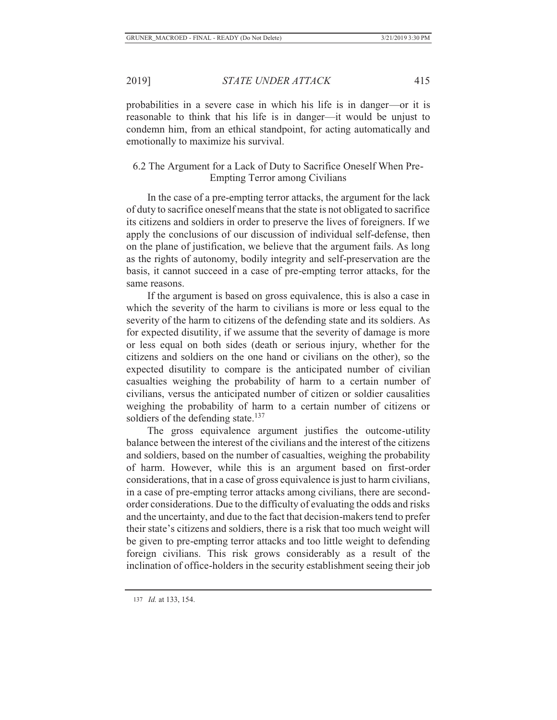probabilities in a severe case in which his life is in danger—or it is reasonable to think that his life is in danger—it would be unjust to condemn him, from an ethical standpoint, for acting automatically and emotionally to maximize his survival.

# 6.2 The Argument for a Lack of Duty to Sacrifice Oneself When Pre-Empting Terror among Civilians

In the case of a pre-empting terror attacks, the argument for the lack of duty to sacrifice oneself means that the state is not obligated to sacrifice its citizens and soldiers in order to preserve the lives of foreigners. If we apply the conclusions of our discussion of individual self-defense, then on the plane of justification, we believe that the argument fails. As long as the rights of autonomy, bodily integrity and self-preservation are the basis, it cannot succeed in a case of pre-empting terror attacks, for the same reasons.

If the argument is based on gross equivalence, this is also a case in which the severity of the harm to civilians is more or less equal to the severity of the harm to citizens of the defending state and its soldiers. As for expected disutility, if we assume that the severity of damage is more or less equal on both sides (death or serious injury, whether for the citizens and soldiers on the one hand or civilians on the other), so the expected disutility to compare is the anticipated number of civilian casualties weighing the probability of harm to a certain number of civilians, versus the anticipated number of citizen or soldier causalities weighing the probability of harm to a certain number of citizens or soldiers of the defending state.<sup>137</sup>

The gross equivalence argument justifies the outcome-utility balance between the interest of the civilians and the interest of the citizens and soldiers, based on the number of casualties, weighing the probability of harm. However, while this is an argument based on first-order considerations, that in a case of gross equivalence is just to harm civilians, in a case of pre-empting terror attacks among civilians, there are secondorder considerations. Due to the difficulty of evaluating the odds and risks and the uncertainty, and due to the fact that decision-makers tend to prefer their state's citizens and soldiers, there is a risk that too much weight will be given to pre-empting terror attacks and too little weight to defending foreign civilians. This risk grows considerably as a result of the inclination of office-holders in the security establishment seeing their job

<sup>137</sup> *Id.* at 133, 154.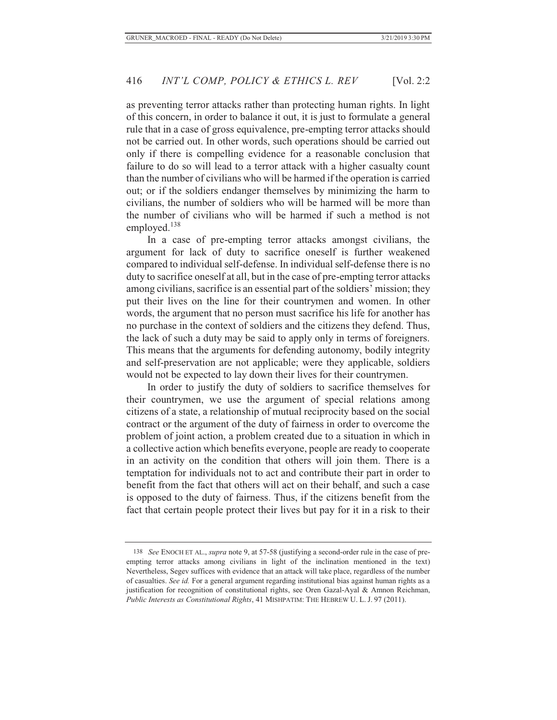as preventing terror attacks rather than protecting human rights. In light of this concern, in order to balance it out, it is just to formulate a general rule that in a case of gross equivalence, pre-empting terror attacks should not be carried out. In other words, such operations should be carried out only if there is compelling evidence for a reasonable conclusion that failure to do so will lead to a terror attack with a higher casualty count than the number of civilians who will be harmed if the operation is carried out; or if the soldiers endanger themselves by minimizing the harm to civilians, the number of soldiers who will be harmed will be more than the number of civilians who will be harmed if such a method is not employed.<sup>138</sup>

In a case of pre-empting terror attacks amongst civilians, the argument for lack of duty to sacrifice oneself is further weakened compared to individual self-defense. In individual self-defense there is no duty to sacrifice oneself at all, but in the case of pre-empting terror attacks among civilians, sacrifice is an essential part of the soldiers' mission; they put their lives on the line for their countrymen and women. In other words, the argument that no person must sacrifice his life for another has no purchase in the context of soldiers and the citizens they defend. Thus, the lack of such a duty may be said to apply only in terms of foreigners. This means that the arguments for defending autonomy, bodily integrity and self-preservation are not applicable; were they applicable, soldiers would not be expected to lay down their lives for their countrymen.

In order to justify the duty of soldiers to sacrifice themselves for their countrymen, we use the argument of special relations among citizens of a state, a relationship of mutual reciprocity based on the social contract or the argument of the duty of fairness in order to overcome the problem of joint action, a problem created due to a situation in which in a collective action which benefits everyone, people are ready to cooperate in an activity on the condition that others will join them. There is a temptation for individuals not to act and contribute their part in order to benefit from the fact that others will act on their behalf, and such a case is opposed to the duty of fairness. Thus, if the citizens benefit from the fact that certain people protect their lives but pay for it in a risk to their

<sup>138</sup> *See* ENOCH ET AL., *supra* note 9, at 57-58 (justifying a second-order rule in the case of preempting terror attacks among civilians in light of the inclination mentioned in the text) Nevertheless, Segev suffices with evidence that an attack will take place, regardless of the number of casualties. *See id.* For a general argument regarding institutional bias against human rights as a justification for recognition of constitutional rights, see Oren Gazal-Ayal & Amnon Reichman, *Public Interests as Constitutional Rights*, 41 MISHPATIM: THE HEBREW U. L. J. 97 (2011).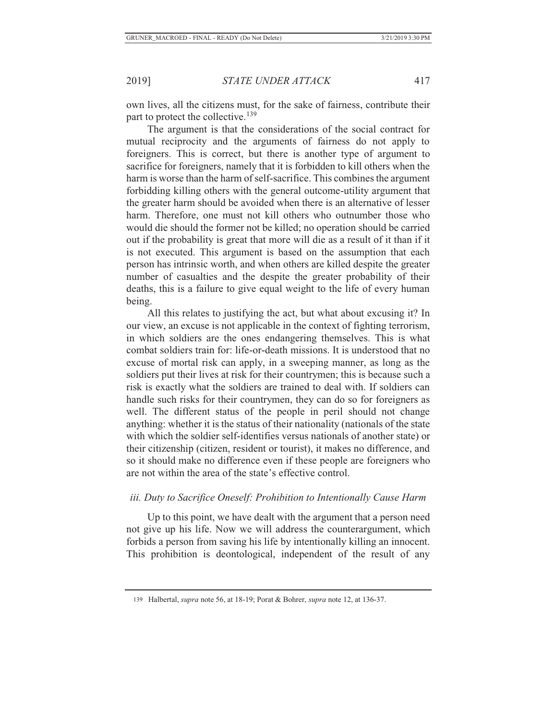own lives, all the citizens must, for the sake of fairness, contribute their part to protect the collective.<sup>139</sup>

The argument is that the considerations of the social contract for mutual reciprocity and the arguments of fairness do not apply to foreigners. This is correct, but there is another type of argument to sacrifice for foreigners, namely that it is forbidden to kill others when the harm is worse than the harm of self-sacrifice. This combines the argument forbidding killing others with the general outcome-utility argument that the greater harm should be avoided when there is an alternative of lesser harm. Therefore, one must not kill others who outnumber those who would die should the former not be killed; no operation should be carried out if the probability is great that more will die as a result of it than if it is not executed. This argument is based on the assumption that each person has intrinsic worth, and when others are killed despite the greater number of casualties and the despite the greater probability of their deaths, this is a failure to give equal weight to the life of every human being.

All this relates to justifying the act, but what about excusing it? In our view, an excuse is not applicable in the context of fighting terrorism, in which soldiers are the ones endangering themselves. This is what combat soldiers train for: life-or-death missions. It is understood that no excuse of mortal risk can apply, in a sweeping manner, as long as the soldiers put their lives at risk for their countrymen; this is because such a risk is exactly what the soldiers are trained to deal with. If soldiers can handle such risks for their countrymen, they can do so for foreigners as well. The different status of the people in peril should not change anything: whether it is the status of their nationality (nationals of the state with which the soldier self-identifies versus nationals of another state) or their citizenship (citizen, resident or tourist), it makes no difference, and so it should make no difference even if these people are foreigners who are not within the area of the state's effective control.

## *iii. Duty to Sacrifice Oneself: Prohibition to Intentionally Cause Harm*

Up to this point, we have dealt with the argument that a person need not give up his life. Now we will address the counterargument, which forbids a person from saving his life by intentionally killing an innocent. This prohibition is deontological, independent of the result of any

<sup>139</sup> Halbertal, *supra* note 56, at 18-19; Porat & Bohrer, *supra* note 12, at 136-37.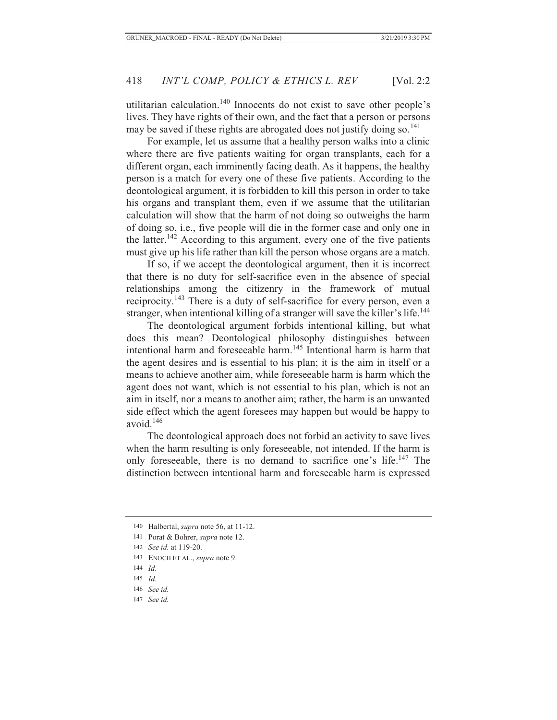utilitarian calculation.140 Innocents do not exist to save other people's lives. They have rights of their own, and the fact that a person or persons may be saved if these rights are abrogated does not justify doing so.<sup>141</sup>

For example, let us assume that a healthy person walks into a clinic where there are five patients waiting for organ transplants, each for a different organ, each imminently facing death. As it happens, the healthy person is a match for every one of these five patients. According to the deontological argument, it is forbidden to kill this person in order to take his organs and transplant them, even if we assume that the utilitarian calculation will show that the harm of not doing so outweighs the harm of doing so, i.e., five people will die in the former case and only one in the latter.<sup>142</sup> According to this argument, every one of the five patients must give up his life rather than kill the person whose organs are a match.

If so, if we accept the deontological argument, then it is incorrect that there is no duty for self-sacrifice even in the absence of special relationships among the citizenry in the framework of mutual reciprocity.143 There is a duty of self-sacrifice for every person, even a stranger, when intentional killing of a stranger will save the killer's life.<sup>144</sup>

The deontological argument forbids intentional killing, but what does this mean? Deontological philosophy distinguishes between intentional harm and foreseeable harm.145 Intentional harm is harm that the agent desires and is essential to his plan; it is the aim in itself or a means to achieve another aim, while foreseeable harm is harm which the agent does not want, which is not essential to his plan, which is not an aim in itself, nor a means to another aim; rather, the harm is an unwanted side effect which the agent foresees may happen but would be happy to avoid.<sup>146</sup>

The deontological approach does not forbid an activity to save lives when the harm resulting is only foreseeable, not intended. If the harm is only foreseeable, there is no demand to sacrifice one's life.147 The distinction between intentional harm and foreseeable harm is expressed

143 ENOCH ET AL., *supra* note 9.

- 145 *Id*.
- 146 *See id.*
- 147 *See id.*

<sup>140</sup> Halbertal, *supra* note 56, at 11-12.

<sup>141</sup> Porat & Bohrer, *supra* note 12.

<sup>142</sup> *See id.* at 119-20.

<sup>144</sup> *Id*.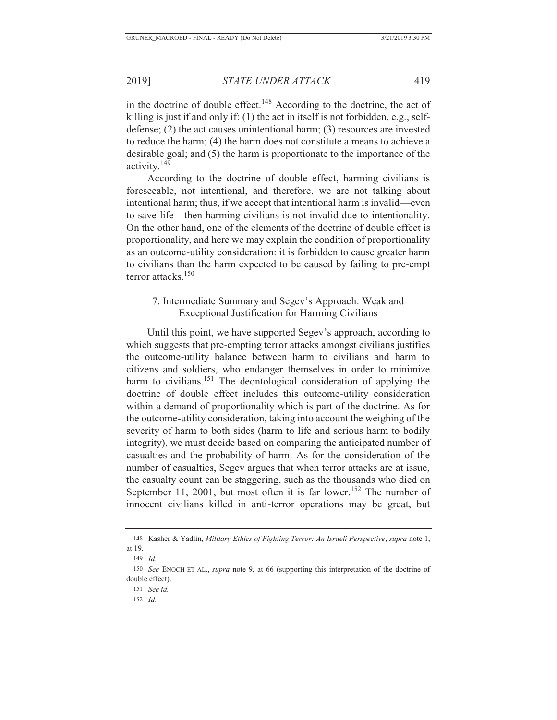in the doctrine of double effect.<sup>148</sup> According to the doctrine, the act of killing is just if and only if: (1) the act in itself is not forbidden, e.g., selfdefense; (2) the act causes unintentional harm; (3) resources are invested to reduce the harm; (4) the harm does not constitute a means to achieve a desirable goal; and (5) the harm is proportionate to the importance of the activity.<sup>149</sup>

According to the doctrine of double effect, harming civilians is foreseeable, not intentional, and therefore, we are not talking about intentional harm; thus, if we accept that intentional harm is invalid—even to save life—then harming civilians is not invalid due to intentionality. On the other hand, one of the elements of the doctrine of double effect is proportionality, and here we may explain the condition of proportionality as an outcome-utility consideration: it is forbidden to cause greater harm to civilians than the harm expected to be caused by failing to pre-empt terror attacks.150

## 7. Intermediate Summary and Segev's Approach: Weak and Exceptional Justification for Harming Civilians

Until this point, we have supported Segev's approach, according to which suggests that pre-empting terror attacks amongst civilians justifies the outcome-utility balance between harm to civilians and harm to citizens and soldiers, who endanger themselves in order to minimize harm to civilians.<sup>151</sup> The deontological consideration of applying the doctrine of double effect includes this outcome-utility consideration within a demand of proportionality which is part of the doctrine. As for the outcome-utility consideration, taking into account the weighing of the severity of harm to both sides (harm to life and serious harm to bodily integrity), we must decide based on comparing the anticipated number of casualties and the probability of harm. As for the consideration of the number of casualties, Segev argues that when terror attacks are at issue, the casualty count can be staggering, such as the thousands who died on September 11, 2001, but most often it is far lower.<sup>152</sup> The number of innocent civilians killed in anti-terror operations may be great, but

<sup>148</sup> Kasher & Yadlin, *Military Ethics of Fighting Terror: An Israeli Perspective*, *supra* note 1, at 19.

<sup>149</sup> *Id*.

<sup>150</sup> *See* ENOCH ET AL., *supra* note 9, at 66 (supporting this interpretation of the doctrine of double effect).

<sup>151</sup> *See id.*

<sup>152</sup> *Id*.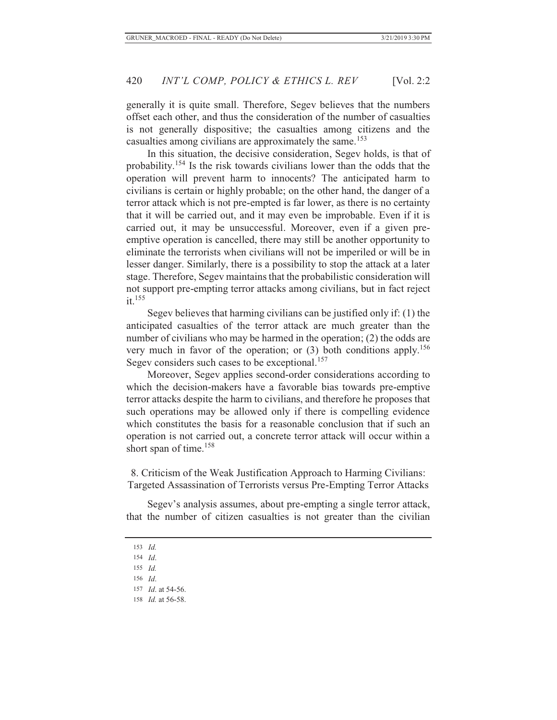generally it is quite small. Therefore, Segev believes that the numbers offset each other, and thus the consideration of the number of casualties is not generally dispositive; the casualties among citizens and the casualties among civilians are approximately the same.<sup>153</sup>

In this situation, the decisive consideration, Segev holds, is that of probability.154 Is the risk towards civilians lower than the odds that the operation will prevent harm to innocents? The anticipated harm to civilians is certain or highly probable; on the other hand, the danger of a terror attack which is not pre-empted is far lower, as there is no certainty that it will be carried out, and it may even be improbable. Even if it is carried out, it may be unsuccessful. Moreover, even if a given preemptive operation is cancelled, there may still be another opportunity to eliminate the terrorists when civilians will not be imperiled or will be in lesser danger. Similarly, there is a possibility to stop the attack at a later stage. Therefore, Segev maintains that the probabilistic consideration will not support pre-empting terror attacks among civilians, but in fact reject  $it$ <sup>155</sup>

Segev believes that harming civilians can be justified only if: (1) the anticipated casualties of the terror attack are much greater than the number of civilians who may be harmed in the operation; (2) the odds are very much in favor of the operation; or  $(3)$  both conditions apply.<sup>156</sup> Segev considers such cases to be exceptional.<sup>157</sup>

Moreover, Segev applies second-order considerations according to which the decision-makers have a favorable bias towards pre-emptive terror attacks despite the harm to civilians, and therefore he proposes that such operations may be allowed only if there is compelling evidence which constitutes the basis for a reasonable conclusion that if such an operation is not carried out, a concrete terror attack will occur within a short span of time.<sup>158</sup>

8. Criticism of the Weak Justification Approach to Harming Civilians: Targeted Assassination of Terrorists versus Pre-Empting Terror Attacks

Segev's analysis assumes, about pre-empting a single terror attack, that the number of citizen casualties is not greater than the civilian

156 *Id*.

158 *Id.* at 56-58.

<sup>153</sup> *Id.*

<sup>154</sup> *Id*.

<sup>155</sup> *Id.*

<sup>157</sup> *Id*. at 54-56.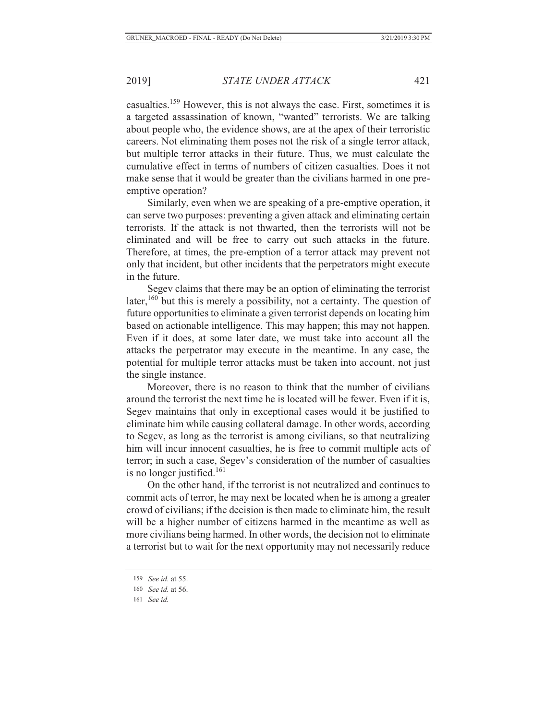casualties.159 However, this is not always the case. First, sometimes it is a targeted assassination of known, "wanted" terrorists. We are talking about people who, the evidence shows, are at the apex of their terroristic careers. Not eliminating them poses not the risk of a single terror attack, but multiple terror attacks in their future. Thus, we must calculate the cumulative effect in terms of numbers of citizen casualties. Does it not make sense that it would be greater than the civilians harmed in one preemptive operation?

Similarly, even when we are speaking of a pre-emptive operation, it can serve two purposes: preventing a given attack and eliminating certain terrorists. If the attack is not thwarted, then the terrorists will not be eliminated and will be free to carry out such attacks in the future. Therefore, at times, the pre-emption of a terror attack may prevent not only that incident, but other incidents that the perpetrators might execute in the future.

Segev claims that there may be an option of eliminating the terrorist later,<sup>160</sup> but this is merely a possibility, not a certainty. The question of future opportunities to eliminate a given terrorist depends on locating him based on actionable intelligence. This may happen; this may not happen. Even if it does, at some later date, we must take into account all the attacks the perpetrator may execute in the meantime. In any case, the potential for multiple terror attacks must be taken into account, not just the single instance.

Moreover, there is no reason to think that the number of civilians around the terrorist the next time he is located will be fewer. Even if it is, Segev maintains that only in exceptional cases would it be justified to eliminate him while causing collateral damage. In other words, according to Segev, as long as the terrorist is among civilians, so that neutralizing him will incur innocent casualties, he is free to commit multiple acts of terror; in such a case, Segev's consideration of the number of casualties is no longer justified.<sup>161</sup>

On the other hand, if the terrorist is not neutralized and continues to commit acts of terror, he may next be located when he is among a greater crowd of civilians; if the decision is then made to eliminate him, the result will be a higher number of citizens harmed in the meantime as well as more civilians being harmed. In other words, the decision not to eliminate a terrorist but to wait for the next opportunity may not necessarily reduce

161 *See id.*

<sup>159</sup> *See id.* at 55.

<sup>160</sup> *See id.* at 56.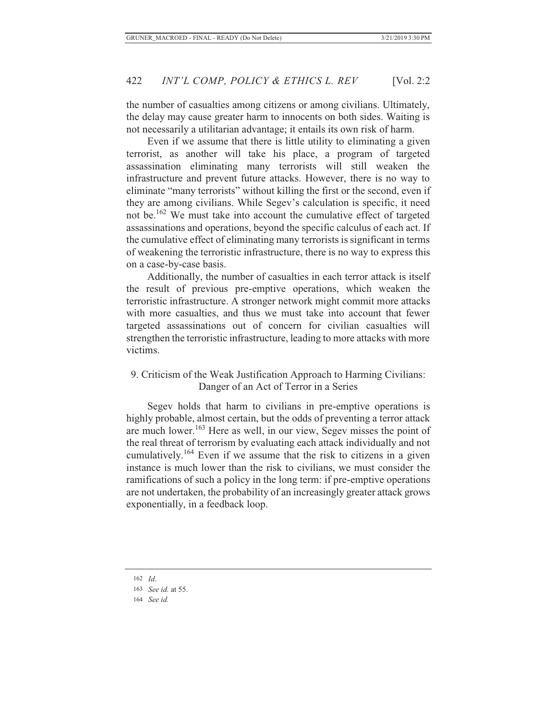the number of casualties among citizens or among civilians. Ultimately, the delay may cause greater harm to innocents on both sides. Waiting is not necessarily a utilitarian advantage; it entails its own risk of harm.

Even if we assume that there is little utility to eliminating a given terrorist, as another will take his place, a program of targeted assassination eliminating many terrorists will still weaken the infrastructure and prevent future attacks. However, there is no way to eliminate "many terrorists" without killing the first or the second, even if they are among civilians. While Segev's calculation is specific, it need not be.162 We must take into account the cumulative effect of targeted assassinations and operations, beyond the specific calculus of each act. If the cumulative effect of eliminating many terrorists is significant in terms of weakening the terroristic infrastructure, there is no way to express this on a case-by-case basis.

Additionally, the number of casualties in each terror attack is itself the result of previous pre-emptive operations, which weaken the terroristic infrastructure. A stronger network might commit more attacks with more casualties, and thus we must take into account that fewer targeted assassinations out of concern for civilian casualties will strengthen the terroristic infrastructure, leading to more attacks with more victims.

## 9. Criticism of the Weak Justification Approach to Harming Civilians: Danger of an Act of Terror in a Series

Segev holds that harm to civilians in pre-emptive operations is highly probable, almost certain, but the odds of preventing a terror attack are much lower.163 Here as well, in our view, Segev misses the point of the real threat of terrorism by evaluating each attack individually and not cumulatively.<sup>164</sup> Even if we assume that the risk to citizens in a given instance is much lower than the risk to civilians, we must consider the ramifications of such a policy in the long term: if pre-emptive operations are not undertaken, the probability of an increasingly greater attack grows exponentially, in a feedback loop.

164 *See id.*

<sup>162</sup> *Id*.

<sup>163</sup> *See id.* at 55.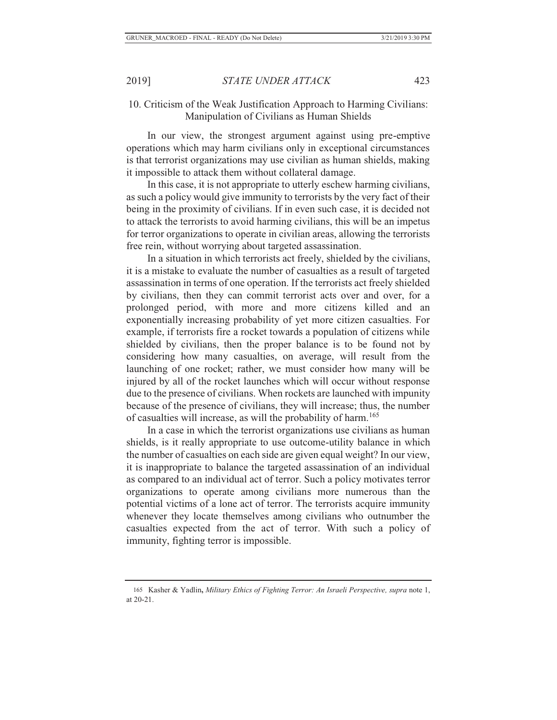## 10. Criticism of the Weak Justification Approach to Harming Civilians: Manipulation of Civilians as Human Shields

In our view, the strongest argument against using pre-emptive operations which may harm civilians only in exceptional circumstances is that terrorist organizations may use civilian as human shields, making it impossible to attack them without collateral damage.

In this case, it is not appropriate to utterly eschew harming civilians, as such a policy would give immunity to terrorists by the very fact of their being in the proximity of civilians. If in even such case, it is decided not to attack the terrorists to avoid harming civilians, this will be an impetus for terror organizations to operate in civilian areas, allowing the terrorists free rein, without worrying about targeted assassination.

In a situation in which terrorists act freely, shielded by the civilians, it is a mistake to evaluate the number of casualties as a result of targeted assassination in terms of one operation. If the terrorists act freely shielded by civilians, then they can commit terrorist acts over and over, for a prolonged period, with more and more citizens killed and an exponentially increasing probability of yet more citizen casualties. For example, if terrorists fire a rocket towards a population of citizens while shielded by civilians, then the proper balance is to be found not by considering how many casualties, on average, will result from the launching of one rocket; rather, we must consider how many will be injured by all of the rocket launches which will occur without response due to the presence of civilians. When rockets are launched with impunity because of the presence of civilians, they will increase; thus, the number of casualties will increase, as will the probability of harm.<sup>165</sup>

In a case in which the terrorist organizations use civilians as human shields, is it really appropriate to use outcome-utility balance in which the number of casualties on each side are given equal weight? In our view, it is inappropriate to balance the targeted assassination of an individual as compared to an individual act of terror. Such a policy motivates terror organizations to operate among civilians more numerous than the potential victims of a lone act of terror. The terrorists acquire immunity whenever they locate themselves among civilians who outnumber the casualties expected from the act of terror. With such a policy of immunity, fighting terror is impossible.

<sup>165</sup> Kasher & Yadlin**,** *Military Ethics of Fighting Terror: An Israeli Perspective, supra* note 1, at 20-21.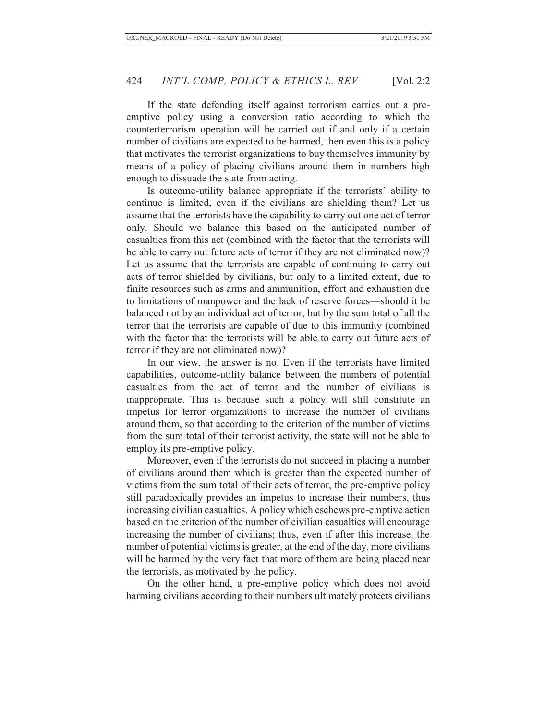If the state defending itself against terrorism carries out a preemptive policy using a conversion ratio according to which the counterterrorism operation will be carried out if and only if a certain number of civilians are expected to be harmed, then even this is a policy that motivates the terrorist organizations to buy themselves immunity by means of a policy of placing civilians around them in numbers high enough to dissuade the state from acting.

Is outcome-utility balance appropriate if the terrorists' ability to continue is limited, even if the civilians are shielding them? Let us assume that the terrorists have the capability to carry out one act of terror only. Should we balance this based on the anticipated number of casualties from this act (combined with the factor that the terrorists will be able to carry out future acts of terror if they are not eliminated now)? Let us assume that the terrorists are capable of continuing to carry out acts of terror shielded by civilians, but only to a limited extent, due to finite resources such as arms and ammunition, effort and exhaustion due to limitations of manpower and the lack of reserve forces—should it be balanced not by an individual act of terror, but by the sum total of all the terror that the terrorists are capable of due to this immunity (combined with the factor that the terrorists will be able to carry out future acts of terror if they are not eliminated now)?

In our view, the answer is no. Even if the terrorists have limited capabilities, outcome-utility balance between the numbers of potential casualties from the act of terror and the number of civilians is inappropriate. This is because such a policy will still constitute an impetus for terror organizations to increase the number of civilians around them, so that according to the criterion of the number of victims from the sum total of their terrorist activity, the state will not be able to employ its pre-emptive policy.

Moreover, even if the terrorists do not succeed in placing a number of civilians around them which is greater than the expected number of victims from the sum total of their acts of terror, the pre-emptive policy still paradoxically provides an impetus to increase their numbers, thus increasing civilian casualties. A policy which eschews pre-emptive action based on the criterion of the number of civilian casualties will encourage increasing the number of civilians; thus, even if after this increase, the number of potential victims is greater, at the end of the day, more civilians will be harmed by the very fact that more of them are being placed near the terrorists, as motivated by the policy.

On the other hand, a pre-emptive policy which does not avoid harming civilians according to their numbers ultimately protects civilians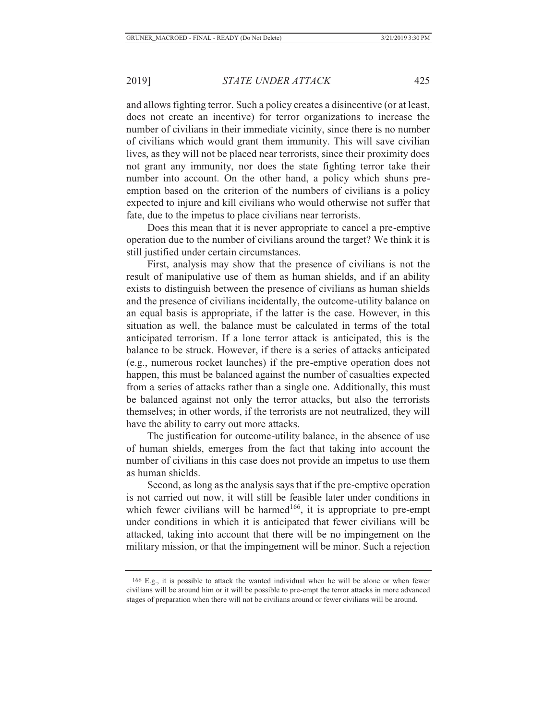and allows fighting terror. Such a policy creates a disincentive (or at least, does not create an incentive) for terror organizations to increase the number of civilians in their immediate vicinity, since there is no number of civilians which would grant them immunity. This will save civilian lives, as they will not be placed near terrorists, since their proximity does not grant any immunity, nor does the state fighting terror take their number into account. On the other hand, a policy which shuns preemption based on the criterion of the numbers of civilians is a policy expected to injure and kill civilians who would otherwise not suffer that fate, due to the impetus to place civilians near terrorists.

Does this mean that it is never appropriate to cancel a pre-emptive operation due to the number of civilians around the target? We think it is still justified under certain circumstances.

First, analysis may show that the presence of civilians is not the result of manipulative use of them as human shields, and if an ability exists to distinguish between the presence of civilians as human shields and the presence of civilians incidentally, the outcome-utility balance on an equal basis is appropriate, if the latter is the case. However, in this situation as well, the balance must be calculated in terms of the total anticipated terrorism. If a lone terror attack is anticipated, this is the balance to be struck. However, if there is a series of attacks anticipated (e.g., numerous rocket launches) if the pre-emptive operation does not happen, this must be balanced against the number of casualties expected from a series of attacks rather than a single one. Additionally, this must be balanced against not only the terror attacks, but also the terrorists themselves; in other words, if the terrorists are not neutralized, they will have the ability to carry out more attacks.

The justification for outcome-utility balance, in the absence of use of human shields, emerges from the fact that taking into account the number of civilians in this case does not provide an impetus to use them as human shields.

Second, as long as the analysis says that if the pre-emptive operation is not carried out now, it will still be feasible later under conditions in which fewer civilians will be harmed<sup>166</sup>, it is appropriate to pre-empt under conditions in which it is anticipated that fewer civilians will be attacked, taking into account that there will be no impingement on the military mission, or that the impingement will be minor. Such a rejection

 <sup>166</sup> E.g., it is possible to attack the wanted individual when he will be alone or when fewer civilians will be around him or it will be possible to pre-empt the terror attacks in more advanced stages of preparation when there will not be civilians around or fewer civilians will be around.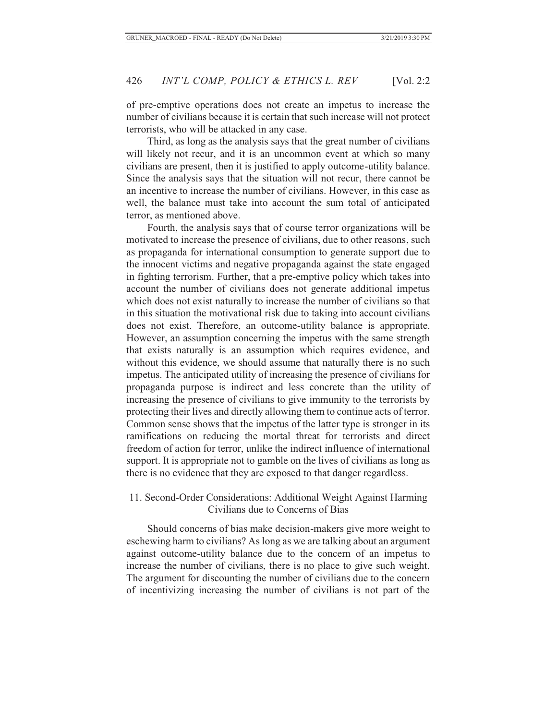of pre-emptive operations does not create an impetus to increase the number of civilians because it is certain that such increase will not protect terrorists, who will be attacked in any case.

Third, as long as the analysis says that the great number of civilians will likely not recur, and it is an uncommon event at which so many civilians are present, then it is justified to apply outcome-utility balance. Since the analysis says that the situation will not recur, there cannot be an incentive to increase the number of civilians. However, in this case as well, the balance must take into account the sum total of anticipated terror, as mentioned above.

Fourth, the analysis says that of course terror organizations will be motivated to increase the presence of civilians, due to other reasons, such as propaganda for international consumption to generate support due to the innocent victims and negative propaganda against the state engaged in fighting terrorism. Further, that a pre-emptive policy which takes into account the number of civilians does not generate additional impetus which does not exist naturally to increase the number of civilians so that in this situation the motivational risk due to taking into account civilians does not exist. Therefore, an outcome-utility balance is appropriate. However, an assumption concerning the impetus with the same strength that exists naturally is an assumption which requires evidence, and without this evidence, we should assume that naturally there is no such impetus. The anticipated utility of increasing the presence of civilians for propaganda purpose is indirect and less concrete than the utility of increasing the presence of civilians to give immunity to the terrorists by protecting their lives and directly allowing them to continue acts of terror. Common sense shows that the impetus of the latter type is stronger in its ramifications on reducing the mortal threat for terrorists and direct freedom of action for terror, unlike the indirect influence of international support. It is appropriate not to gamble on the lives of civilians as long as there is no evidence that they are exposed to that danger regardless.

## 11. Second-Order Considerations: Additional Weight Against Harming Civilians due to Concerns of Bias

Should concerns of bias make decision-makers give more weight to eschewing harm to civilians? As long as we are talking about an argument against outcome-utility balance due to the concern of an impetus to increase the number of civilians, there is no place to give such weight. The argument for discounting the number of civilians due to the concern of incentivizing increasing the number of civilians is not part of the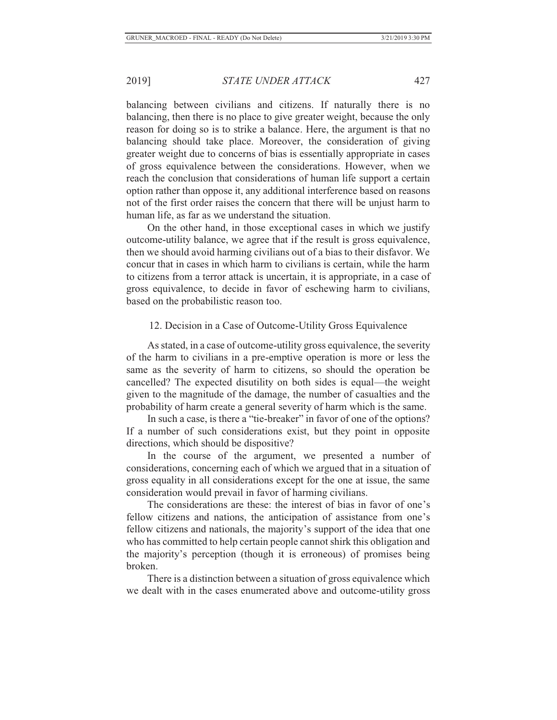balancing between civilians and citizens. If naturally there is no balancing, then there is no place to give greater weight, because the only reason for doing so is to strike a balance. Here, the argument is that no balancing should take place. Moreover, the consideration of giving greater weight due to concerns of bias is essentially appropriate in cases of gross equivalence between the considerations. However, when we reach the conclusion that considerations of human life support a certain option rather than oppose it, any additional interference based on reasons not of the first order raises the concern that there will be unjust harm to human life, as far as we understand the situation.

On the other hand, in those exceptional cases in which we justify outcome-utility balance, we agree that if the result is gross equivalence, then we should avoid harming civilians out of a bias to their disfavor. We concur that in cases in which harm to civilians is certain, while the harm to citizens from a terror attack is uncertain, it is appropriate, in a case of gross equivalence, to decide in favor of eschewing harm to civilians, based on the probabilistic reason too.

#### 12. Decision in a Case of Outcome-Utility Gross Equivalence

As stated, in a case of outcome-utility gross equivalence, the severity of the harm to civilians in a pre-emptive operation is more or less the same as the severity of harm to citizens, so should the operation be cancelled? The expected disutility on both sides is equal—the weight given to the magnitude of the damage, the number of casualties and the probability of harm create a general severity of harm which is the same.

In such a case, is there a "tie-breaker" in favor of one of the options? If a number of such considerations exist, but they point in opposite directions, which should be dispositive?

In the course of the argument, we presented a number of considerations, concerning each of which we argued that in a situation of gross equality in all considerations except for the one at issue, the same consideration would prevail in favor of harming civilians.

The considerations are these: the interest of bias in favor of one's fellow citizens and nations, the anticipation of assistance from one's fellow citizens and nationals, the majority's support of the idea that one who has committed to help certain people cannot shirk this obligation and the majority's perception (though it is erroneous) of promises being broken.

There is a distinction between a situation of gross equivalence which we dealt with in the cases enumerated above and outcome-utility gross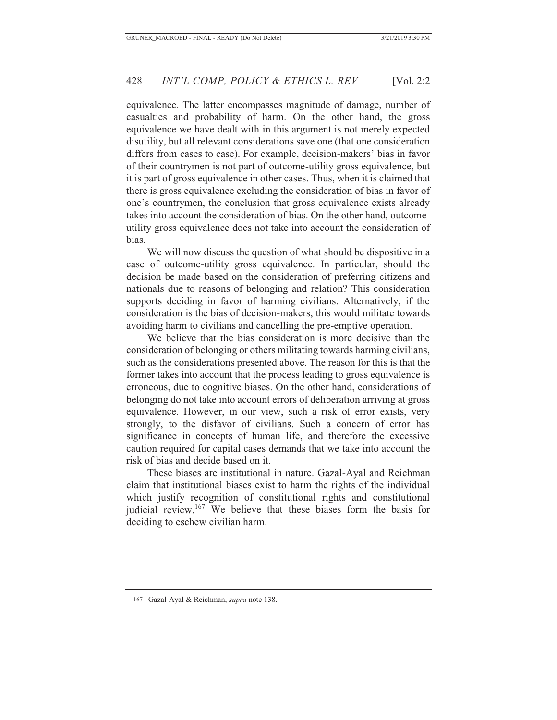equivalence. The latter encompasses magnitude of damage, number of casualties and probability of harm. On the other hand, the gross equivalence we have dealt with in this argument is not merely expected disutility, but all relevant considerations save one (that one consideration differs from cases to case). For example, decision-makers' bias in favor of their countrymen is not part of outcome-utility gross equivalence, but it is part of gross equivalence in other cases. Thus, when it is claimed that there is gross equivalence excluding the consideration of bias in favor of one's countrymen, the conclusion that gross equivalence exists already takes into account the consideration of bias. On the other hand, outcomeutility gross equivalence does not take into account the consideration of bias.

We will now discuss the question of what should be dispositive in a case of outcome-utility gross equivalence. In particular, should the decision be made based on the consideration of preferring citizens and nationals due to reasons of belonging and relation? This consideration supports deciding in favor of harming civilians. Alternatively, if the consideration is the bias of decision-makers, this would militate towards avoiding harm to civilians and cancelling the pre-emptive operation.

We believe that the bias consideration is more decisive than the consideration of belonging or others militating towards harming civilians, such as the considerations presented above. The reason for this is that the former takes into account that the process leading to gross equivalence is erroneous, due to cognitive biases. On the other hand, considerations of belonging do not take into account errors of deliberation arriving at gross equivalence. However, in our view, such a risk of error exists, very strongly, to the disfavor of civilians. Such a concern of error has significance in concepts of human life, and therefore the excessive caution required for capital cases demands that we take into account the risk of bias and decide based on it.

These biases are institutional in nature. Gazal-Ayal and Reichman claim that institutional biases exist to harm the rights of the individual which justify recognition of constitutional rights and constitutional judicial review.<sup>167</sup> We believe that these biases form the basis for deciding to eschew civilian harm.

<sup>167</sup> Gazal-Ayal & Reichman, *supra* note 138.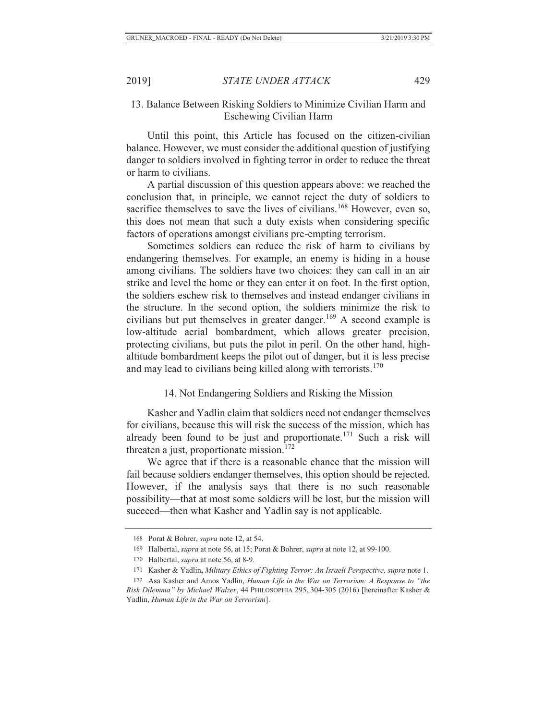## 13. Balance Between Risking Soldiers to Minimize Civilian Harm and Eschewing Civilian Harm

Until this point, this Article has focused on the citizen-civilian balance. However, we must consider the additional question of justifying danger to soldiers involved in fighting terror in order to reduce the threat or harm to civilians.

A partial discussion of this question appears above: we reached the conclusion that, in principle, we cannot reject the duty of soldiers to sacrifice themselves to save the lives of civilians.<sup>168</sup> However, even so, this does not mean that such a duty exists when considering specific factors of operations amongst civilians pre-empting terrorism.

Sometimes soldiers can reduce the risk of harm to civilians by endangering themselves. For example, an enemy is hiding in a house among civilians. The soldiers have two choices: they can call in an air strike and level the home or they can enter it on foot. In the first option, the soldiers eschew risk to themselves and instead endanger civilians in the structure. In the second option, the soldiers minimize the risk to civilians but put themselves in greater danger.<sup>169</sup> A second example is low-altitude aerial bombardment, which allows greater precision, protecting civilians, but puts the pilot in peril. On the other hand, highaltitude bombardment keeps the pilot out of danger, but it is less precise and may lead to civilians being killed along with terrorists.<sup>170</sup>

## 14. Not Endangering Soldiers and Risking the Mission

Kasher and Yadlin claim that soldiers need not endanger themselves for civilians, because this will risk the success of the mission, which has already been found to be just and proportionate.<sup>171</sup> Such a risk will threaten a just, proportionate mission. $172$ 

We agree that if there is a reasonable chance that the mission will fail because soldiers endanger themselves, this option should be rejected. However, if the analysis says that there is no such reasonable possibility—that at most some soldiers will be lost, but the mission will succeed—then what Kasher and Yadlin say is not applicable.

<sup>168</sup> Porat & Bohrer, *supra* note 12, at 54.

<sup>169</sup> Halbertal, *supra* at note 56, at 15; Porat & Bohrer, *supra* at note 12, at 99-100.

<sup>170</sup> Halbertal, *supra* at note 56, at 8-9.

<sup>171</sup> Kasher & Yadlin**,** *Military Ethics of Fighting Terror: An Israeli Perspective, supra* note 1.

<sup>172</sup> Asa Kasher and Amos Yadlin, *Human Life in the War on Terrorism: A Response to "the Risk Dilemma" by Michael Walzer*, 44 PHILOSOPHIA 295, 304-305 (2016) [hereinafter Kasher & Yadlin, *Human Life in the War on Terrorism*].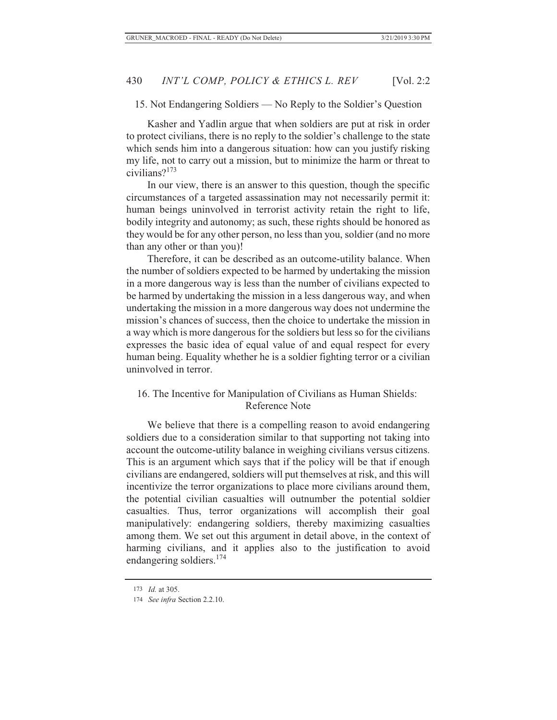#### 15. Not Endangering Soldiers — No Reply to the Soldier's Question

Kasher and Yadlin argue that when soldiers are put at risk in order to protect civilians, there is no reply to the soldier's challenge to the state which sends him into a dangerous situation: how can you justify risking my life, not to carry out a mission, but to minimize the harm or threat to civilians?<sup>173</sup>

In our view, there is an answer to this question, though the specific circumstances of a targeted assassination may not necessarily permit it: human beings uninvolved in terrorist activity retain the right to life, bodily integrity and autonomy; as such, these rights should be honored as they would be for any other person, no less than you, soldier (and no more than any other or than you)!

Therefore, it can be described as an outcome-utility balance. When the number of soldiers expected to be harmed by undertaking the mission in a more dangerous way is less than the number of civilians expected to be harmed by undertaking the mission in a less dangerous way, and when undertaking the mission in a more dangerous way does not undermine the mission's chances of success, then the choice to undertake the mission in a way which is more dangerous for the soldiers but less so for the civilians expresses the basic idea of equal value of and equal respect for every human being. Equality whether he is a soldier fighting terror or a civilian uninvolved in terror.

#### 16. The Incentive for Manipulation of Civilians as Human Shields: Reference Note

We believe that there is a compelling reason to avoid endangering soldiers due to a consideration similar to that supporting not taking into account the outcome-utility balance in weighing civilians versus citizens. This is an argument which says that if the policy will be that if enough civilians are endangered, soldiers will put themselves at risk, and this will incentivize the terror organizations to place more civilians around them, the potential civilian casualties will outnumber the potential soldier casualties. Thus, terror organizations will accomplish their goal manipulatively: endangering soldiers, thereby maximizing casualties among them. We set out this argument in detail above, in the context of harming civilians, and it applies also to the justification to avoid endangering soldiers.<sup>174</sup>

<sup>173</sup> *Id.* at 305.

<sup>174</sup> *See infra* Section 2.2.10.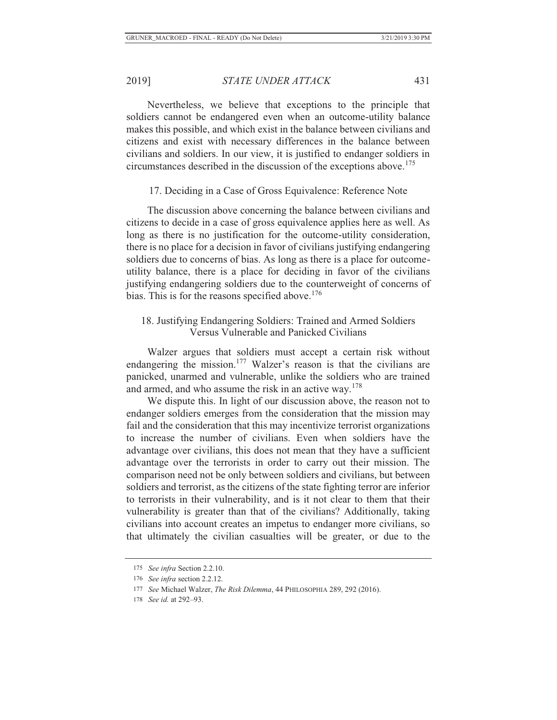Nevertheless, we believe that exceptions to the principle that soldiers cannot be endangered even when an outcome-utility balance makes this possible, and which exist in the balance between civilians and citizens and exist with necessary differences in the balance between civilians and soldiers. In our view, it is justified to endanger soldiers in circumstances described in the discussion of the exceptions above.<sup>175</sup>

#### 17. Deciding in a Case of Gross Equivalence: Reference Note

The discussion above concerning the balance between civilians and citizens to decide in a case of gross equivalence applies here as well. As long as there is no justification for the outcome-utility consideration, there is no place for a decision in favor of civilians justifying endangering soldiers due to concerns of bias. As long as there is a place for outcomeutility balance, there is a place for deciding in favor of the civilians justifying endangering soldiers due to the counterweight of concerns of bias. This is for the reasons specified above.<sup>176</sup>

# 18. Justifying Endangering Soldiers: Trained and Armed Soldiers Versus Vulnerable and Panicked Civilians

Walzer argues that soldiers must accept a certain risk without endangering the mission.<sup>177</sup> Walzer's reason is that the civilians are panicked, unarmed and vulnerable, unlike the soldiers who are trained and armed, and who assume the risk in an active way.<sup>178</sup>

We dispute this. In light of our discussion above, the reason not to endanger soldiers emerges from the consideration that the mission may fail and the consideration that this may incentivize terrorist organizations to increase the number of civilians. Even when soldiers have the advantage over civilians, this does not mean that they have a sufficient advantage over the terrorists in order to carry out their mission. The comparison need not be only between soldiers and civilians, but between soldiers and terrorist, as the citizens of the state fighting terror are inferior to terrorists in their vulnerability, and is it not clear to them that their vulnerability is greater than that of the civilians? Additionally, taking civilians into account creates an impetus to endanger more civilians, so that ultimately the civilian casualties will be greater, or due to the

<sup>175</sup> *See infra* Section 2.2.10.

<sup>176</sup> *See infra* section 2.2.12.

<sup>177</sup> *See* Michael Walzer, *The Risk Dilemma*, 44 PHILOSOPHIA 289, 292 (2016).

<sup>178</sup> *See id.* at 292–93.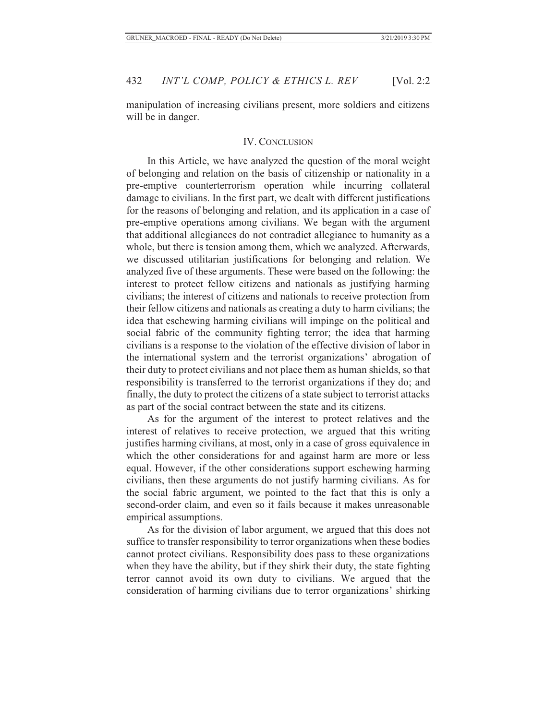manipulation of increasing civilians present, more soldiers and citizens will be in danger.

#### IV. CONCLUSION

In this Article, we have analyzed the question of the moral weight of belonging and relation on the basis of citizenship or nationality in a pre-emptive counterterrorism operation while incurring collateral damage to civilians. In the first part, we dealt with different justifications for the reasons of belonging and relation, and its application in a case of pre-emptive operations among civilians. We began with the argument that additional allegiances do not contradict allegiance to humanity as a whole, but there is tension among them, which we analyzed. Afterwards, we discussed utilitarian justifications for belonging and relation. We analyzed five of these arguments. These were based on the following: the interest to protect fellow citizens and nationals as justifying harming civilians; the interest of citizens and nationals to receive protection from their fellow citizens and nationals as creating a duty to harm civilians; the idea that eschewing harming civilians will impinge on the political and social fabric of the community fighting terror; the idea that harming civilians is a response to the violation of the effective division of labor in the international system and the terrorist organizations' abrogation of their duty to protect civilians and not place them as human shields, so that responsibility is transferred to the terrorist organizations if they do; and finally, the duty to protect the citizens of a state subject to terrorist attacks as part of the social contract between the state and its citizens.

As for the argument of the interest to protect relatives and the interest of relatives to receive protection, we argued that this writing justifies harming civilians, at most, only in a case of gross equivalence in which the other considerations for and against harm are more or less equal. However, if the other considerations support eschewing harming civilians, then these arguments do not justify harming civilians. As for the social fabric argument, we pointed to the fact that this is only a second-order claim, and even so it fails because it makes unreasonable empirical assumptions.

As for the division of labor argument, we argued that this does not suffice to transfer responsibility to terror organizations when these bodies cannot protect civilians. Responsibility does pass to these organizations when they have the ability, but if they shirk their duty, the state fighting terror cannot avoid its own duty to civilians. We argued that the consideration of harming civilians due to terror organizations' shirking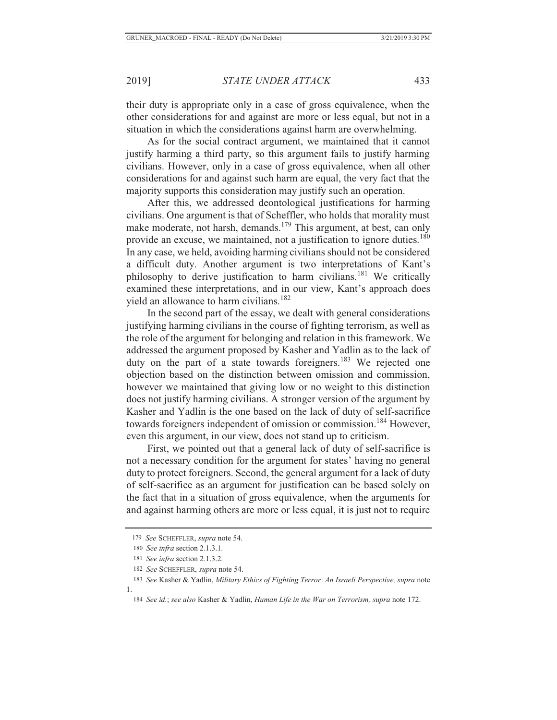their duty is appropriate only in a case of gross equivalence, when the other considerations for and against are more or less equal, but not in a situation in which the considerations against harm are overwhelming.

As for the social contract argument, we maintained that it cannot justify harming a third party, so this argument fails to justify harming civilians. However, only in a case of gross equivalence, when all other considerations for and against such harm are equal, the very fact that the majority supports this consideration may justify such an operation.

After this, we addressed deontological justifications for harming civilians. One argument is that of Scheffler, who holds that morality must make moderate, not harsh, demands.<sup>179</sup> This argument, at best, can only provide an excuse, we maintained, not a justification to ignore duties.<sup>180</sup> In any case, we held, avoiding harming civilians should not be considered a difficult duty. Another argument is two interpretations of Kant's philosophy to derive justification to harm civilians.181 We critically examined these interpretations, and in our view, Kant's approach does yield an allowance to harm civilians.<sup>182</sup>

In the second part of the essay, we dealt with general considerations justifying harming civilians in the course of fighting terrorism, as well as the role of the argument for belonging and relation in this framework. We addressed the argument proposed by Kasher and Yadlin as to the lack of duty on the part of a state towards foreigners.<sup>183</sup> We rejected one objection based on the distinction between omission and commission, however we maintained that giving low or no weight to this distinction does not justify harming civilians. A stronger version of the argument by Kasher and Yadlin is the one based on the lack of duty of self-sacrifice towards foreigners independent of omission or commission.<sup>184</sup> However, even this argument, in our view, does not stand up to criticism.

First, we pointed out that a general lack of duty of self-sacrifice is not a necessary condition for the argument for states' having no general duty to protect foreigners. Second, the general argument for a lack of duty of self-sacrifice as an argument for justification can be based solely on the fact that in a situation of gross equivalence, when the arguments for and against harming others are more or less equal, it is just not to require

 <sup>179</sup> *See* SCHEFFLER, *supra* note 54.

<sup>180</sup> *See infra* section 2.1.3.1.

<sup>181</sup> *See infra* section 2.1.3.2.

<sup>182</sup> *See* SCHEFFLER, *supra* note 54.

<sup>183</sup> *See* Kasher & Yadlin, *Military Ethics of Fighting Terror*: *An Israeli Perspective, supra* note 1.

<sup>184</sup> *See id.*; *see also* Kasher & Yadlin, *Human Life in the War on Terrorism, supra* note 172.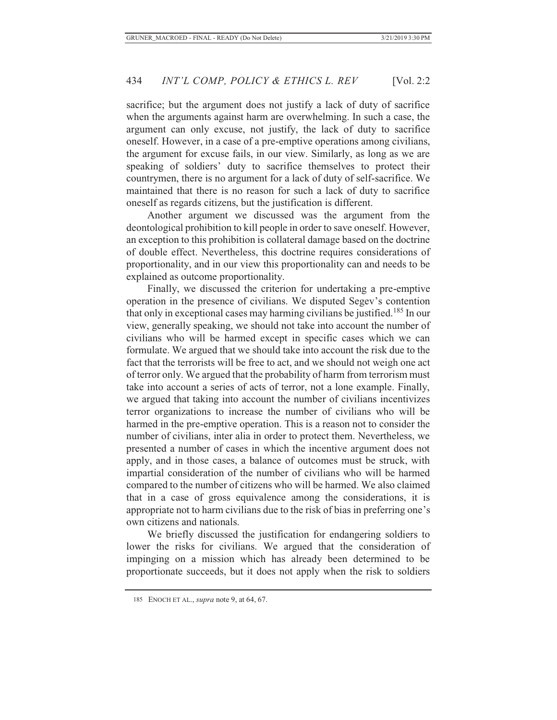sacrifice; but the argument does not justify a lack of duty of sacrifice when the arguments against harm are overwhelming. In such a case, the argument can only excuse, not justify, the lack of duty to sacrifice oneself. However, in a case of a pre-emptive operations among civilians, the argument for excuse fails, in our view. Similarly, as long as we are speaking of soldiers' duty to sacrifice themselves to protect their countrymen, there is no argument for a lack of duty of self-sacrifice. We maintained that there is no reason for such a lack of duty to sacrifice oneself as regards citizens, but the justification is different.

Another argument we discussed was the argument from the deontological prohibition to kill people in order to save oneself. However, an exception to this prohibition is collateral damage based on the doctrine of double effect. Nevertheless, this doctrine requires considerations of proportionality, and in our view this proportionality can and needs to be explained as outcome proportionality.

Finally, we discussed the criterion for undertaking a pre-emptive operation in the presence of civilians. We disputed Segev's contention that only in exceptional cases may harming civilians be justified.<sup>185</sup> In our view, generally speaking, we should not take into account the number of civilians who will be harmed except in specific cases which we can formulate. We argued that we should take into account the risk due to the fact that the terrorists will be free to act, and we should not weigh one act of terror only. We argued that the probability of harm from terrorism must take into account a series of acts of terror, not a lone example. Finally, we argued that taking into account the number of civilians incentivizes terror organizations to increase the number of civilians who will be harmed in the pre-emptive operation. This is a reason not to consider the number of civilians, inter alia in order to protect them. Nevertheless, we presented a number of cases in which the incentive argument does not apply, and in those cases, a balance of outcomes must be struck, with impartial consideration of the number of civilians who will be harmed compared to the number of citizens who will be harmed. We also claimed that in a case of gross equivalence among the considerations, it is appropriate not to harm civilians due to the risk of bias in preferring one's own citizens and nationals.

We briefly discussed the justification for endangering soldiers to lower the risks for civilians. We argued that the consideration of impinging on a mission which has already been determined to be proportionate succeeds, but it does not apply when the risk to soldiers

<sup>185</sup> ENOCH ET AL., *supra* note 9, at 64, 67.